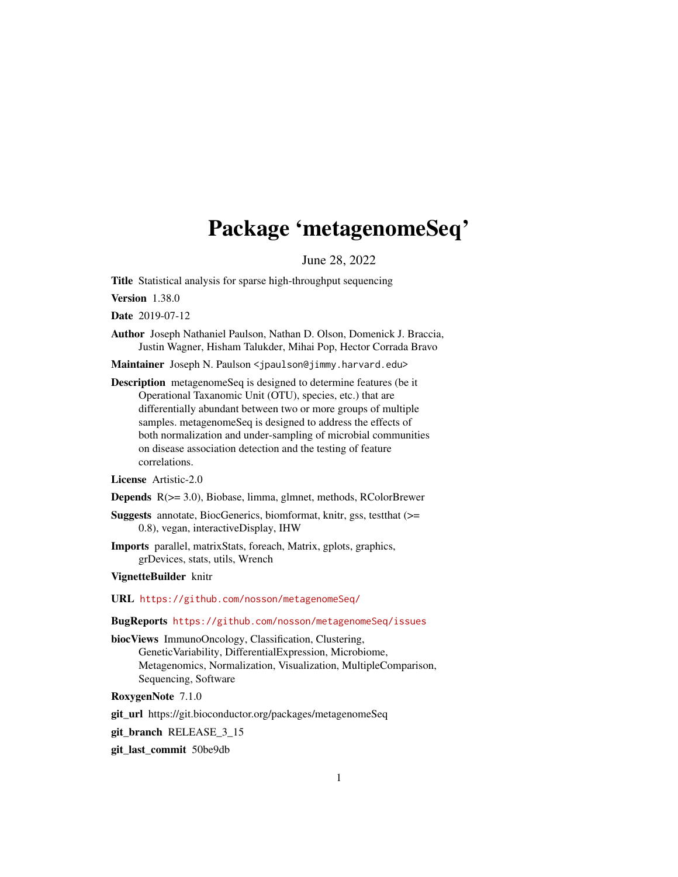# Package 'metagenomeSeq'

June 28, 2022

<span id="page-0-0"></span>Title Statistical analysis for sparse high-throughput sequencing

Version 1.38.0

Date 2019-07-12

Author Joseph Nathaniel Paulson, Nathan D. Olson, Domenick J. Braccia, Justin Wagner, Hisham Talukder, Mihai Pop, Hector Corrada Bravo

Maintainer Joseph N. Paulson <jpaulson@jimmy.harvard.edu>

Description metagenomeSeq is designed to determine features (be it Operational Taxanomic Unit (OTU), species, etc.) that are differentially abundant between two or more groups of multiple samples. metagenomeSeq is designed to address the effects of both normalization and under-sampling of microbial communities on disease association detection and the testing of feature correlations.

License Artistic-2.0

Depends R(>= 3.0), Biobase, limma, glmnet, methods, RColorBrewer

Suggests annotate, BiocGenerics, biomformat, knitr, gss, testthat (>= 0.8), vegan, interactiveDisplay, IHW

Imports parallel, matrixStats, foreach, Matrix, gplots, graphics, grDevices, stats, utils, Wrench

#### VignetteBuilder knitr

URL <https://github.com/nosson/metagenomeSeq/>

#### BugReports <https://github.com/nosson/metagenomeSeq/issues>

biocViews ImmunoOncology, Classification, Clustering, GeneticVariability, DifferentialExpression, Microbiome, Metagenomics, Normalization, Visualization, MultipleComparison, Sequencing, Software

RoxygenNote 7.1.0

git\_url https://git.bioconductor.org/packages/metagenomeSeq

git branch RELEASE 3 15

git\_last\_commit 50be9db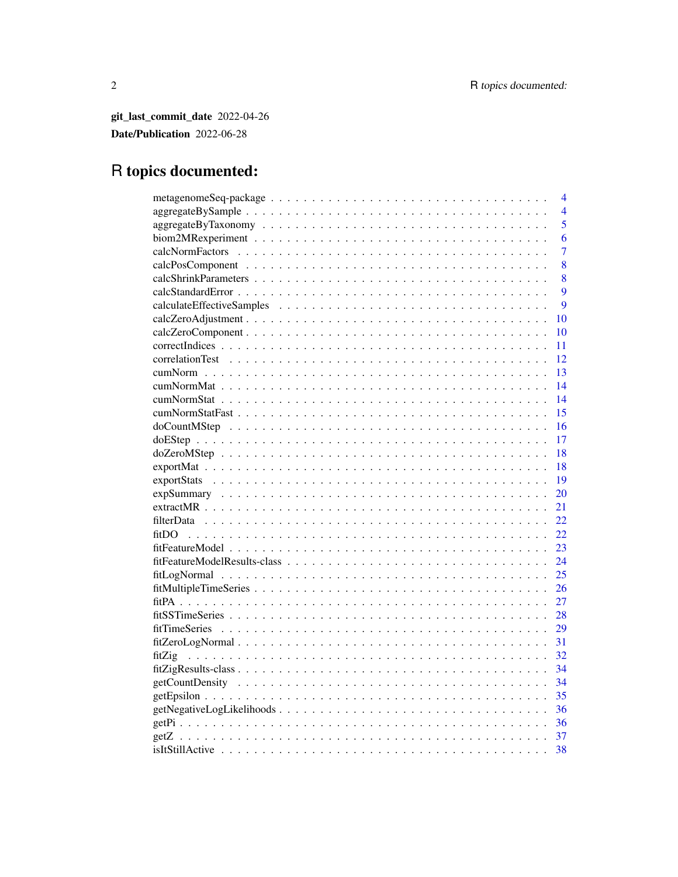git\_last\_commit\_date 2022-04-26 Date/Publication 2022-06-28

# R topics documented:

| $\overline{4}$ |
|----------------|
| $\overline{4}$ |
| 5              |
| 6              |
| 7              |
| 8              |
| 8              |
| 9              |
| $\overline{9}$ |
| 10             |
| 10             |
| 11             |
| 12             |
| 13             |
| 14             |
| 14             |
| 15             |
| 16             |
| 17             |
| 18             |
| 18             |
| 19             |
| 20             |
| 21             |
| 22             |
| 22<br>fitDO    |
| 23             |
| 24             |
| 25             |
| 26             |
| 27             |
| 28             |
| 29             |
| 31             |
| 32             |
| 34             |
| 34             |
| 35             |
| 36             |
|                |
|                |
| 38             |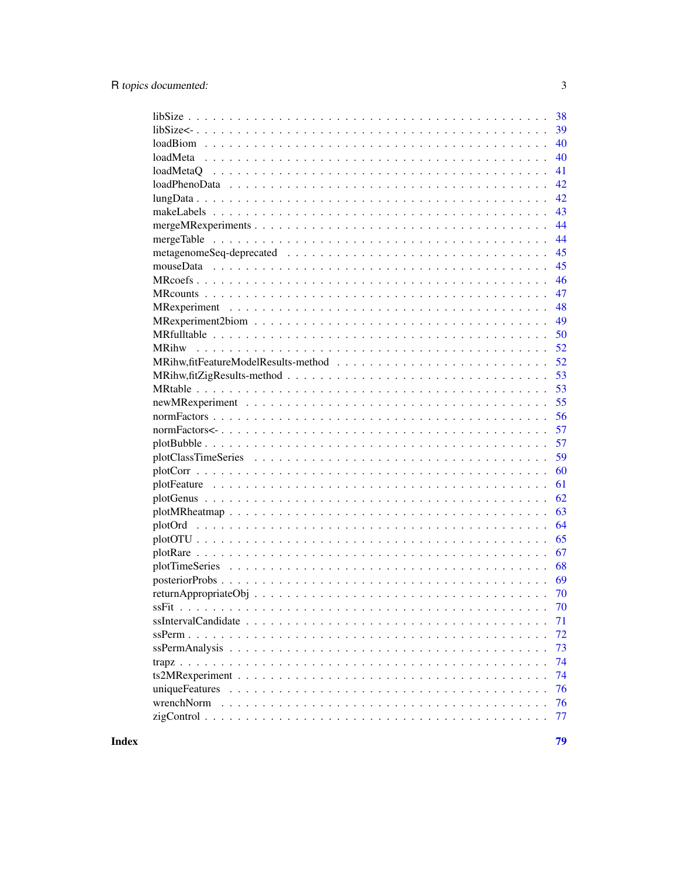| 38               |
|------------------|
| 39               |
| 40               |
| 40               |
| 41               |
| 42               |
| 42               |
| 43               |
| 44               |
| 44               |
| 45               |
| 45               |
| 46               |
| 47               |
| 48               |
| 49               |
| 50               |
| 52               |
| 52               |
| 53               |
| 53               |
| 55               |
| 56               |
| 57               |
| 57               |
| 59               |
| 60               |
| 61               |
| 62               |
| 63               |
| 64               |
| 65               |
| 67               |
| 68               |
| 69               |
| 70               |
| 70               |
| 71               |
| 72               |
| 73               |
| 74               |
| 74               |
| 76               |
| wrenchNorm<br>76 |
| 77               |
|                  |

**Index**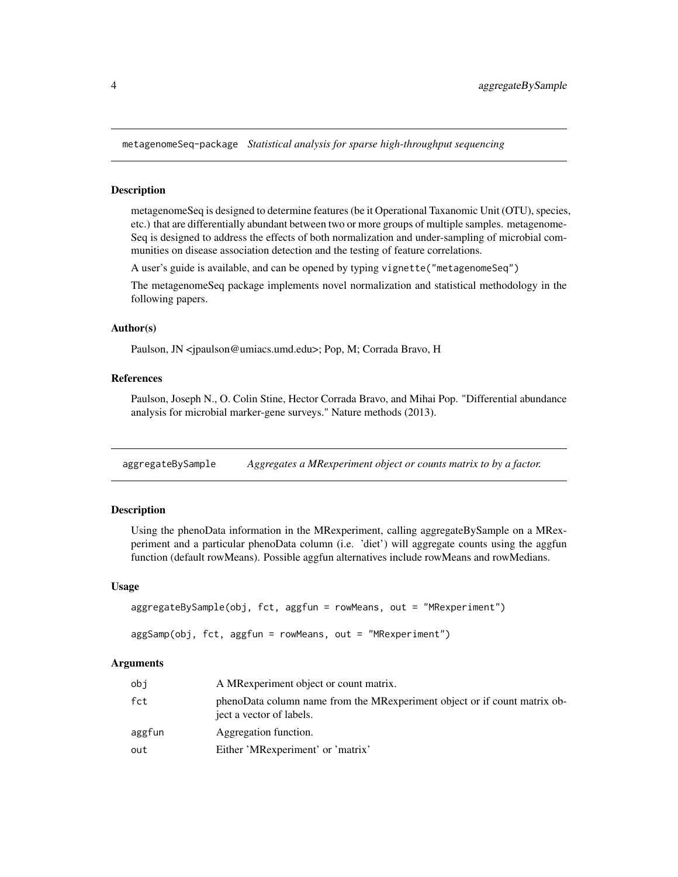<span id="page-3-0"></span>metagenomeSeq-package *Statistical analysis for sparse high-throughput sequencing*

#### **Description**

metagenomeSeq is designed to determine features (be it Operational Taxanomic Unit (OTU), species, etc.) that are differentially abundant between two or more groups of multiple samples. metagenome-Seq is designed to address the effects of both normalization and under-sampling of microbial communities on disease association detection and the testing of feature correlations.

A user's guide is available, and can be opened by typing vignette("metagenomeSeq")

The metagenomeSeq package implements novel normalization and statistical methodology in the following papers.

#### Author(s)

Paulson, JN <jpaulson@umiacs.umd.edu>; Pop, M; Corrada Bravo, H

# References

Paulson, Joseph N., O. Colin Stine, Hector Corrada Bravo, and Mihai Pop. "Differential abundance analysis for microbial marker-gene surveys." Nature methods (2013).

aggregateBySample *Aggregates a MRexperiment object or counts matrix to by a factor.*

#### Description

Using the phenoData information in the MRexperiment, calling aggregateBySample on a MRexperiment and a particular phenoData column (i.e. 'diet') will aggregate counts using the aggfun function (default rowMeans). Possible aggfun alternatives include rowMeans and rowMedians.

#### Usage

```
aggregateBySample(obj, fct, aggfun = rowMeans, out = "MRexperiment")
aggSamp(obj, fct, aggfun = rowMeans, out = "MRexperiment")
```
#### Arguments

| obi    | A MRexperiment object or count matrix.                                                                 |
|--------|--------------------------------------------------------------------------------------------------------|
| fct    | phenoData column name from the MR experiment object or if count matrix ob-<br>ject a vector of labels. |
| aggfun | Aggregation function.                                                                                  |
| out    | Either 'MRexperiment' or 'matrix'                                                                      |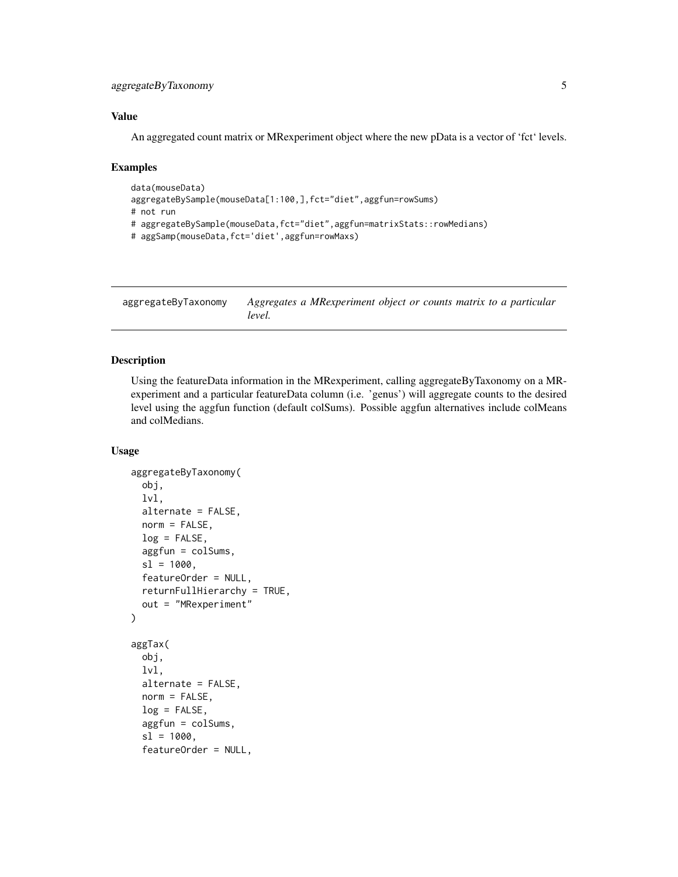# <span id="page-4-0"></span>Value

An aggregated count matrix or MRexperiment object where the new pData is a vector of 'fct' levels.

#### Examples

```
data(mouseData)
aggregateBySample(mouseData[1:100,],fct="diet",aggfun=rowSums)
# not run
# aggregateBySample(mouseData,fct="diet",aggfun=matrixStats::rowMedians)
# aggSamp(mouseData,fct='diet',aggfun=rowMaxs)
```
aggregateByTaxonomy *Aggregates a MRexperiment object or counts matrix to a particular level.*

# Description

Using the featureData information in the MRexperiment, calling aggregateByTaxonomy on a MRexperiment and a particular featureData column (i.e. 'genus') will aggregate counts to the desired level using the aggfun function (default colSums). Possible aggfun alternatives include colMeans and colMedians.

# Usage

```
aggregateByTaxonomy(
  obj,
  lvl,
  alternate = FALSE,
  norm = FALSE,
  log = FALSE,aggfun = colSums,
  sl = 1000,featureOrder = NULL,
  returnFullHierarchy = TRUE,
 out = "MRexperiment"
)
aggTax(
  obj,
  lvl,
  alternate = FALSE,
  norm = FALSE,
  log = FALSE,
  aggfun = colSums,
  sl = 1000,featureOrder = NULL,
```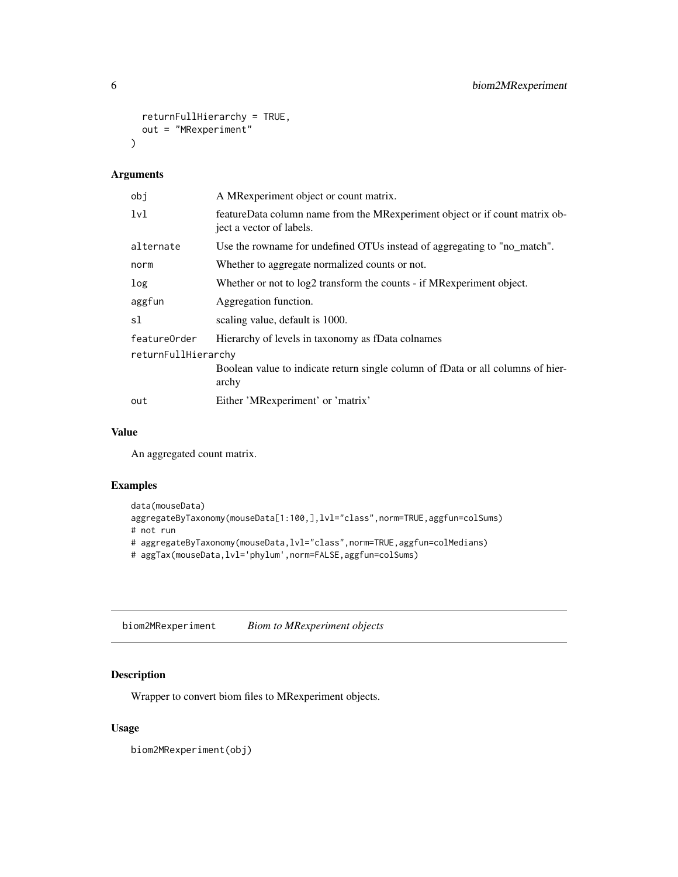```
returnFullHierarchy = TRUE,
 out = "MRexperiment"
\lambda
```
#### Arguments

| obj                 | A MRexperiment object or count matrix.                                                                  |  |
|---------------------|---------------------------------------------------------------------------------------------------------|--|
| 1 <sub>v</sub> 1    | featureData column name from the MRexperiment object or if count matrix ob-<br>ject a vector of labels. |  |
| alternate           | Use the rowname for undefined OTUs instead of aggregating to "no_match".                                |  |
| norm                | Whether to aggregate normalized counts or not.                                                          |  |
| log                 | Whether or not to log2 transform the counts - if MRexperiment object.                                   |  |
| aggfun              | Aggregation function.                                                                                   |  |
| sl                  | scaling value, default is 1000.                                                                         |  |
| featureOrder        | Hierarchy of levels in taxonomy as fData colnames                                                       |  |
| returnFullHierarchy |                                                                                                         |  |
|                     | Boolean value to indicate return single column of fData or all columns of hier-<br>archy                |  |
| out                 | Either 'MRexperiment' or 'matrix'                                                                       |  |

# Value

An aggregated count matrix.

# Examples

```
data(mouseData)
aggregateByTaxonomy(mouseData[1:100,],lvl="class",norm=TRUE,aggfun=colSums)
# not run
# aggregateByTaxonomy(mouseData,lvl="class",norm=TRUE,aggfun=colMedians)
# aggTax(mouseData,lvl='phylum',norm=FALSE,aggfun=colSums)
```
biom2MRexperiment *Biom to MRexperiment objects*

# Description

Wrapper to convert biom files to MRexperiment objects.

#### Usage

biom2MRexperiment(obj)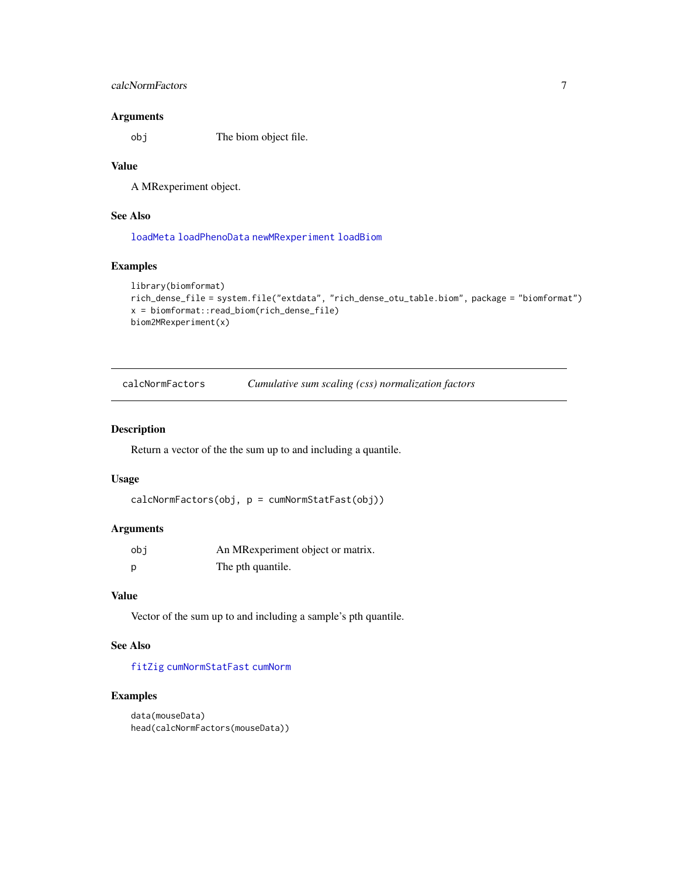# <span id="page-6-0"></span>calcNormFactors 7

# Arguments

obj The biom object file.

#### Value

A MRexperiment object.

#### See Also

[loadMeta](#page-39-1) [loadPhenoData](#page-41-1) [newMRexperiment](#page-54-1) [loadBiom](#page-39-2)

#### Examples

```
library(biomformat)
rich_dense_file = system.file("extdata", "rich_dense_otu_table.biom", package = "biomformat")
x = biomformat::read_biom(rich_dense_file)
biom2MRexperiment(x)
```
calcNormFactors *Cumulative sum scaling (css) normalization factors*

#### Description

Return a vector of the the sum up to and including a quantile.

#### Usage

```
calcNormFactors(obj, p = cumNormStatFast(obj))
```
#### Arguments

| obi | An MRexperiment object or matrix. |
|-----|-----------------------------------|
| p   | The pth quantile.                 |

# Value

Vector of the sum up to and including a sample's pth quantile.

#### See Also

#### [fitZig](#page-31-1) [cumNormStatFast](#page-14-1) [cumNorm](#page-12-1)

# Examples

```
data(mouseData)
head(calcNormFactors(mouseData))
```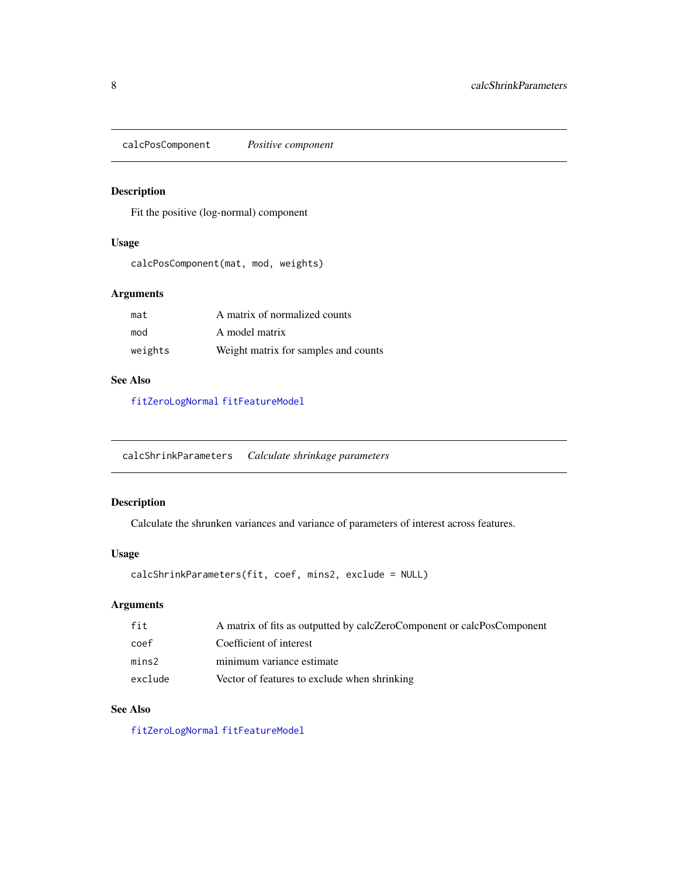<span id="page-7-0"></span>calcPosComponent *Positive component*

# Description

Fit the positive (log-normal) component

#### Usage

calcPosComponent(mat, mod, weights)

# Arguments

| mat     | A matrix of normalized counts        |
|---------|--------------------------------------|
| mod     | A model matrix                       |
| weights | Weight matrix for samples and counts |

# See Also

[fitZeroLogNormal](#page-30-1) [fitFeatureModel](#page-22-1)

calcShrinkParameters *Calculate shrinkage parameters*

# Description

Calculate the shrunken variances and variance of parameters of interest across features.

# Usage

```
calcShrinkParameters(fit, coef, mins2, exclude = NULL)
```
# Arguments

| fit     | A matrix of fits as outputted by calcZeroComponent or calcPosComponent |
|---------|------------------------------------------------------------------------|
| coef    | Coefficient of interest                                                |
| mins2   | minimum variance estimate                                              |
| exclude | Vector of features to exclude when shrinking                           |

# See Also

[fitZeroLogNormal](#page-30-1) [fitFeatureModel](#page-22-1)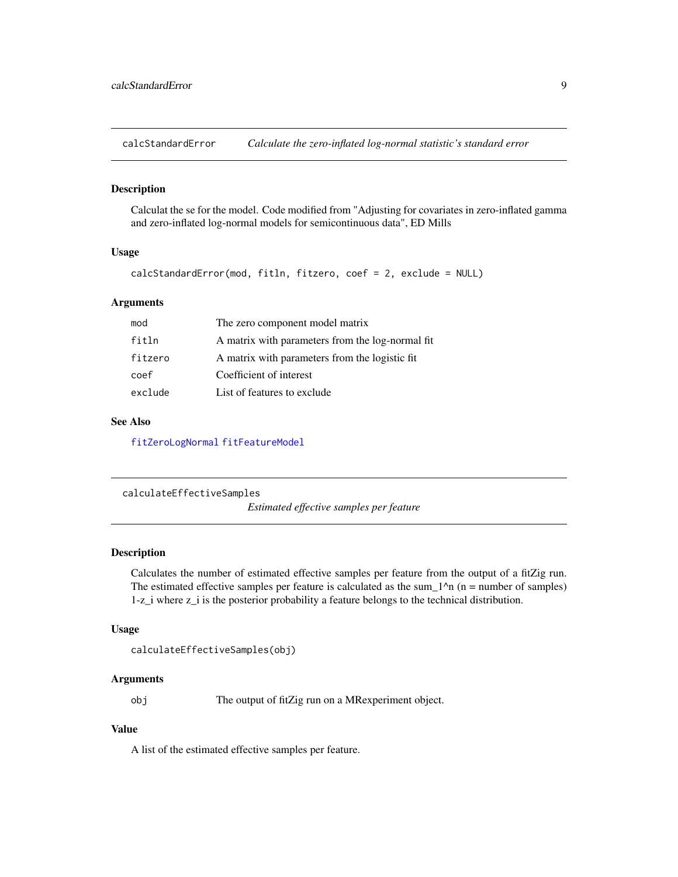<span id="page-8-0"></span>calcStandardError *Calculate the zero-inflated log-normal statistic's standard error*

#### Description

Calculat the se for the model. Code modified from "Adjusting for covariates in zero-inflated gamma and zero-inflated log-normal models for semicontinuous data", ED Mills

#### Usage

```
calcStandardError(mod, fitln, fitzero, coef = 2, exclude = NULL)
```
#### **Arguments**

| mod     | The zero component model matrix                  |
|---------|--------------------------------------------------|
| fitln   | A matrix with parameters from the log-normal fit |
| fitzero | A matrix with parameters from the logistic fit.  |
| coef    | Coefficient of interest                          |
| exclude | List of features to exclude                      |

#### See Also

[fitZeroLogNormal](#page-30-1) [fitFeatureModel](#page-22-1)

calculateEffectiveSamples

*Estimated effective samples per feature*

#### Description

Calculates the number of estimated effective samples per feature from the output of a fitZig run. The estimated effective samples per feature is calculated as the sum\_ $1^{\wedge}n$  (n = number of samples) 1-z\_i where z\_i is the posterior probability a feature belongs to the technical distribution.

#### Usage

```
calculateEffectiveSamples(obj)
```
#### Arguments

obj The output of fitZig run on a MRexperiment object.

# Value

A list of the estimated effective samples per feature.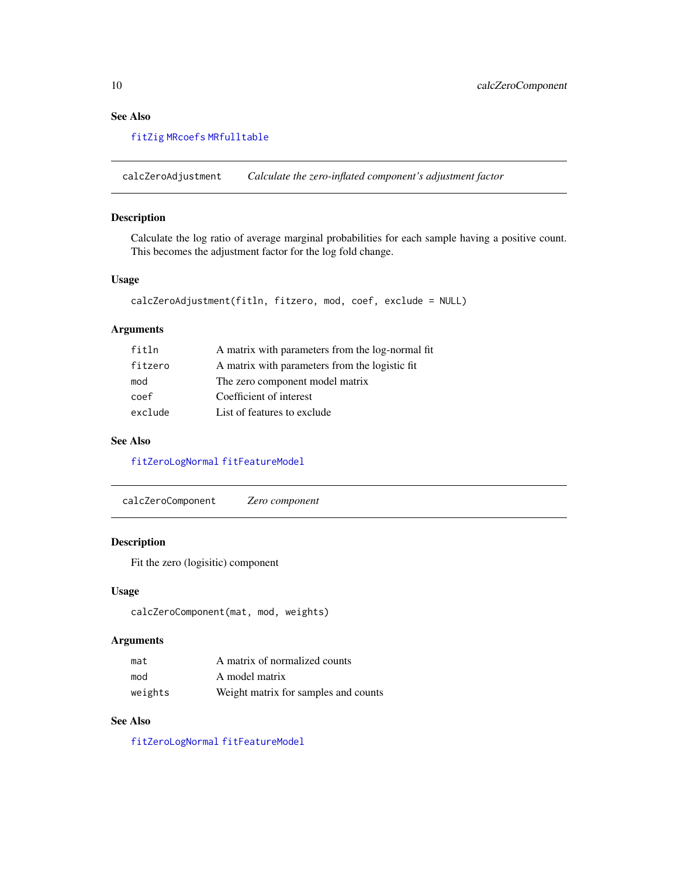# <span id="page-9-0"></span>See Also

# [fitZig](#page-31-1) [MRcoefs](#page-45-1) [MRfulltable](#page-49-1)

calcZeroAdjustment *Calculate the zero-inflated component's adjustment factor*

# Description

Calculate the log ratio of average marginal probabilities for each sample having a positive count. This becomes the adjustment factor for the log fold change.

# Usage

```
calcZeroAdjustment(fitln, fitzero, mod, coef, exclude = NULL)
```
#### Arguments

| fitln   | A matrix with parameters from the log-normal fit |
|---------|--------------------------------------------------|
| fitzero | A matrix with parameters from the logistic fit.  |
| mod     | The zero component model matrix                  |
| coef    | Coefficient of interest                          |
| exclude | List of features to exclude                      |

#### See Also

[fitZeroLogNormal](#page-30-1) [fitFeatureModel](#page-22-1)

calcZeroComponent *Zero component*

# Description

Fit the zero (logisitic) component

#### Usage

```
calcZeroComponent(mat, mod, weights)
```
# Arguments

| mat     | A matrix of normalized counts        |
|---------|--------------------------------------|
| mod     | A model matrix                       |
| weights | Weight matrix for samples and counts |

# See Also

[fitZeroLogNormal](#page-30-1) [fitFeatureModel](#page-22-1)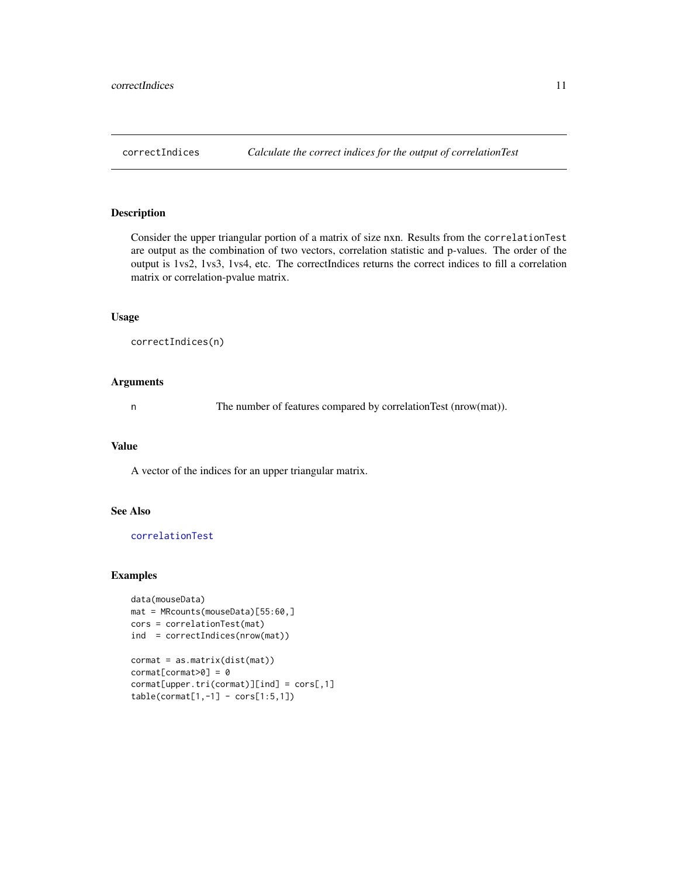<span id="page-10-1"></span><span id="page-10-0"></span>

# Description

Consider the upper triangular portion of a matrix of size nxn. Results from the correlationTest are output as the combination of two vectors, correlation statistic and p-values. The order of the output is 1vs2, 1vs3, 1vs4, etc. The correctIndices returns the correct indices to fill a correlation matrix or correlation-pvalue matrix.

# Usage

```
correctIndices(n)
```
#### Arguments

n The number of features compared by correlationTest (nrow(mat)).

#### Value

A vector of the indices for an upper triangular matrix.

# See Also

[correlationTest](#page-11-1)

#### Examples

```
data(mouseData)
mat = MRcounts(mouseData)[55:60,]
cors = correlationTest(mat)
ind = correctIndices(nrow(mat))
```

```
cormat = as.matrix(dist(mat))
cormat[cormat>0] = 0cormat[upper.tri(cormat)][ind] = cors[,1]
table(cormat[1,-1] - cors[1:5,1])
```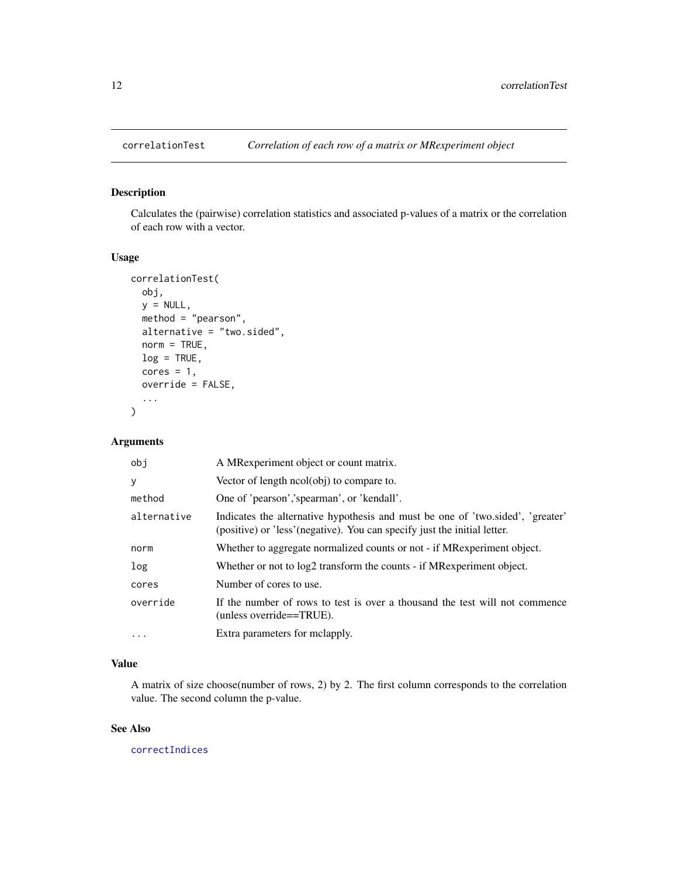<span id="page-11-1"></span><span id="page-11-0"></span>

# Description

Calculates the (pairwise) correlation statistics and associated p-values of a matrix or the correlation of each row with a vector.

# Usage

```
correlationTest(
  obj,
 y = NULL,method = "pearson",
 alternative = "two.sided",
  norm = TRUE,log = TRUE,cores = 1,
 override = FALSE,
  ...
\mathcal{E}
```
# Arguments

| obi         | A MRexperiment object or count matrix.                                                                                                                      |
|-------------|-------------------------------------------------------------------------------------------------------------------------------------------------------------|
| y           | Vector of length ncol(obj) to compare to.                                                                                                                   |
| method      | One of 'pearson', 'spearman', or 'kendall'.                                                                                                                 |
| alternative | Indicates the alternative hypothesis and must be one of 'two.sided', 'greater'<br>(positive) or 'less' (negative). You can specify just the initial letter. |
| norm        | Whether to aggregate normalized counts or not - if MRexperiment object.                                                                                     |
| log         | Whether or not to log2 transform the counts - if MRexperiment object.                                                                                       |
| cores       | Number of cores to use.                                                                                                                                     |
| override    | If the number of rows to test is over a thousand the test will not commence<br>(unless override==TRUE).                                                     |
| $\cdots$    | Extra parameters for mclapply.                                                                                                                              |

# Value

A matrix of size choose(number of rows, 2) by 2. The first column corresponds to the correlation value. The second column the p-value.

# See Also

[correctIndices](#page-10-1)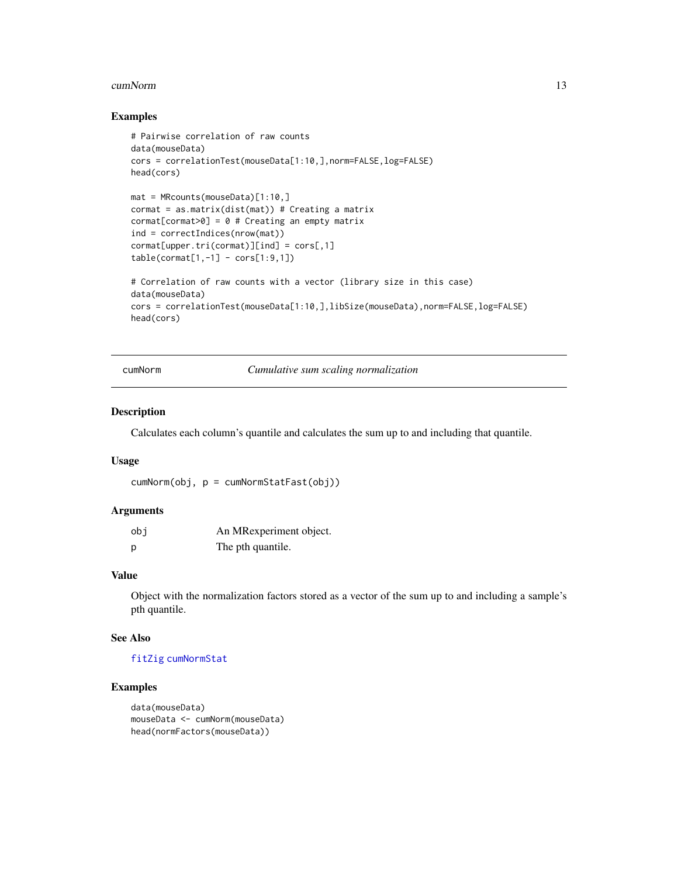#### <span id="page-12-0"></span>cumNorm and the contract of the contract of the contract of the contract of the contract of the contract of the contract of the contract of the contract of the contract of the contract of the contract of the contract of th

#### Examples

```
# Pairwise correlation of raw counts
data(mouseData)
cors = correlationTest(mouseData[1:10,],norm=FALSE,log=FALSE)
head(cors)
mat = MRcounts(mouseData)[1:10,]
cormat = as.matrix(dist(mat)) # Creating a matrix
cormat[commat>0] = 0 # Creating an empty matrixind = correctIndices(nrow(mat))
cormat[upper.tri(cormat)][ind] = cors[,1]
table(cormat[1,-1] - cors[1:9,1])
# Correlation of raw counts with a vector (library size in this case)
data(mouseData)
cors = correlationTest(mouseData[1:10,],libSize(mouseData),norm=FALSE,log=FALSE)
head(cors)
```
cumNorm *Cumulative sum scaling normalization*

#### Description

Calculates each column's quantile and calculates the sum up to and including that quantile.

#### Usage

cumNorm(obj, p = cumNormStatFast(obj))

#### Arguments

| obi | An MRexperiment object. |
|-----|-------------------------|
| р   | The pth quantile.       |

#### Value

Object with the normalization factors stored as a vector of the sum up to and including a sample's pth quantile.

# See Also

[fitZig](#page-31-1) [cumNormStat](#page-13-1)

#### Examples

```
data(mouseData)
mouseData <- cumNorm(mouseData)
head(normFactors(mouseData))
```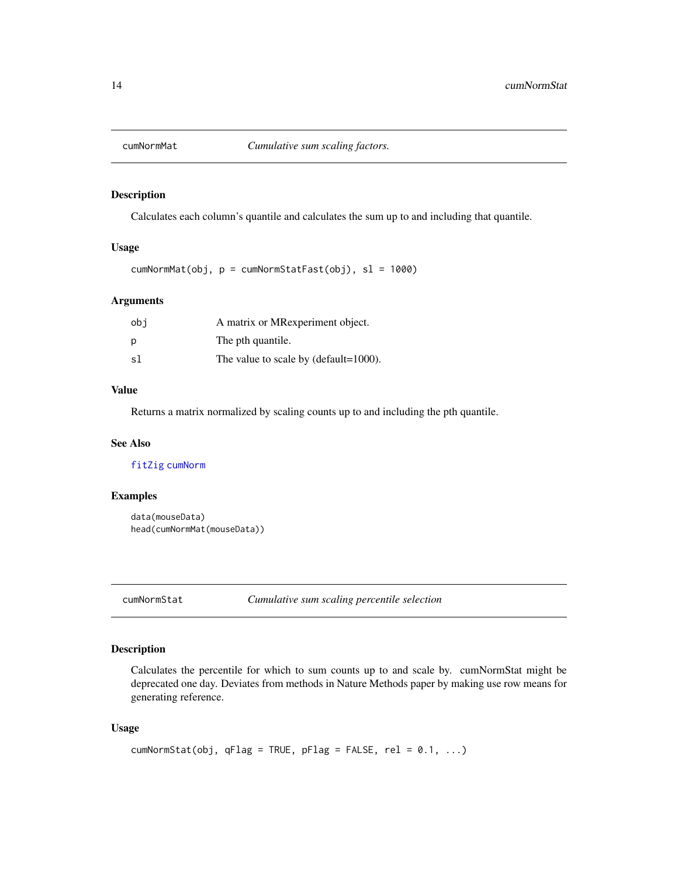<span id="page-13-0"></span>

# Description

Calculates each column's quantile and calculates the sum up to and including that quantile.

#### Usage

 $cumNormMat(obj, p = cumNormStatFast(obj), sl = 1000)$ 

# Arguments

| obi | A matrix or MR experiment object.         |
|-----|-------------------------------------------|
| p   | The pth quantile.                         |
| s1  | The value to scale by (default= $1000$ ). |

# Value

Returns a matrix normalized by scaling counts up to and including the pth quantile.

#### See Also

[fitZig](#page-31-1) [cumNorm](#page-12-1)

#### Examples

```
data(mouseData)
head(cumNormMat(mouseData))
```
<span id="page-13-1"></span>cumNormStat *Cumulative sum scaling percentile selection*

# Description

Calculates the percentile for which to sum counts up to and scale by. cumNormStat might be deprecated one day. Deviates from methods in Nature Methods paper by making use row means for generating reference.

#### Usage

```
cumNormStat(obj, qFlag = TRUE, pFlag = FALSE, rel = 0.1, ...)
```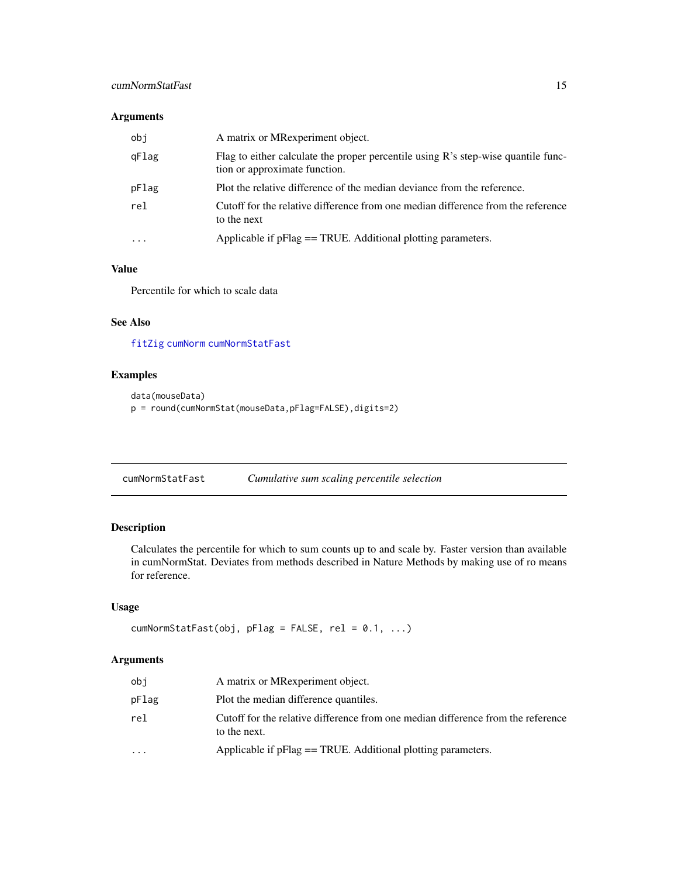# <span id="page-14-0"></span>cumNormStatFast 15

# Arguments

| obj       | A matrix or MR experiment object.                                                                                     |
|-----------|-----------------------------------------------------------------------------------------------------------------------|
| qFlag     | Flag to either calculate the proper percentile using $R$ 's step-wise quantile func-<br>tion or approximate function. |
| pFlag     | Plot the relative difference of the median deviance from the reference.                                               |
| rel       | Cutoff for the relative difference from one median difference from the reference<br>to the next                       |
| $\ddotsc$ | Applicable if $pFlag = TRUE$ . Additional plotting parameters.                                                        |

# Value

Percentile for which to scale data

# See Also

[fitZig](#page-31-1) [cumNorm](#page-12-1) [cumNormStatFast](#page-14-1)

# Examples

data(mouseData) p = round(cumNormStat(mouseData,pFlag=FALSE),digits=2)

<span id="page-14-1"></span>

| cumNormStatFast | Cumulative sum scaling percentile selection |  |  |
|-----------------|---------------------------------------------|--|--|
|-----------------|---------------------------------------------|--|--|

# Description

Calculates the percentile for which to sum counts up to and scale by. Faster version than available in cumNormStat. Deviates from methods described in Nature Methods by making use of ro means for reference.

# Usage

```
cumNormStatFast(obj, pFlag = FALSE, rel = 0.1, ...)
```
#### Arguments

| obi   | A matrix or MR experiment object.                                                                |
|-------|--------------------------------------------------------------------------------------------------|
| pFlag | Plot the median difference quantiles.                                                            |
| rel   | Cutoff for the relative difference from one median difference from the reference<br>to the next. |
| .     | Applicable if $pFlag = TRUE$ . Additional plotting parameters.                                   |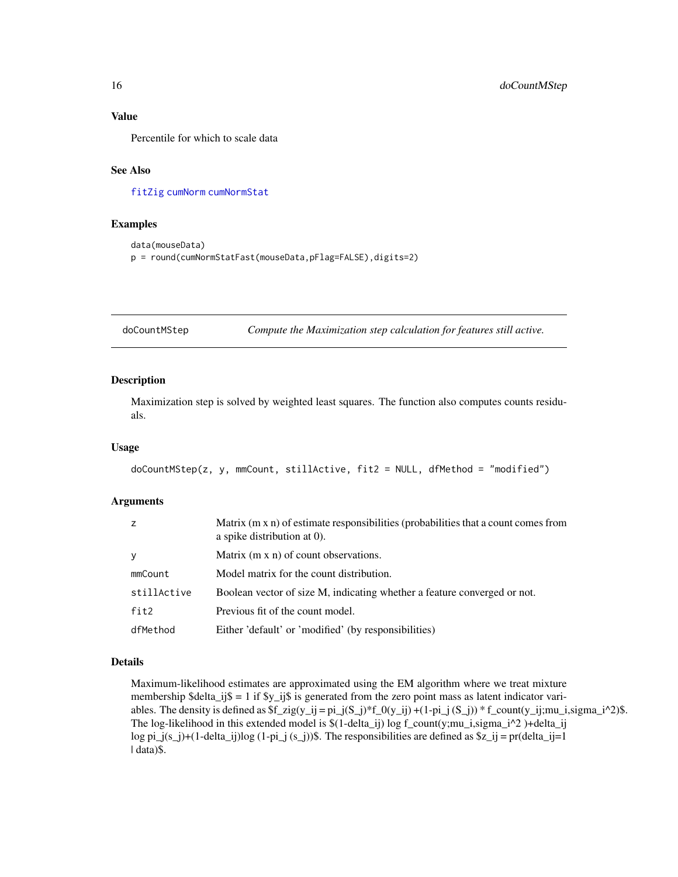# Value

Percentile for which to scale data

# See Also

[fitZig](#page-31-1) [cumNorm](#page-12-1) [cumNormStat](#page-13-1)

#### Examples

```
data(mouseData)
p = round(cumNormStatFast(mouseData,pFlag=FALSE),digits=2)
```
doCountMStep *Compute the Maximization step calculation for features still active.*

#### Description

Maximization step is solved by weighted least squares. The function also computes counts residuals.

#### Usage

```
doCountMStep(z, y, mmCount, stillActive, fit2 = NULL, dfMethod = "modified")
```
#### Arguments

| z           | Matrix $(m \times n)$ of estimate responsibilities (probabilities that a count comes from<br>a spike distribution at 0). |
|-------------|--------------------------------------------------------------------------------------------------------------------------|
| V           | Matrix (m x n) of count observations.                                                                                    |
| mmCount     | Model matrix for the count distribution.                                                                                 |
| stillActive | Boolean vector of size M, indicating whether a feature converged or not.                                                 |
| fit2        | Previous fit of the count model.                                                                                         |
| dfMethod    | Either 'default' or 'modified' (by responsibilities)                                                                     |

#### Details

Maximum-likelihood estimates are approximated using the EM algorithm where we treat mixture membership \$delta\_ij\$ = 1 if \$y\_ij\$ is generated from the zero point mass as latent indicator variables. The density is defined as  $f_2ig(y_ij) = pi_j(S_i)*f_0(y_ij) + (1-pi_j(S_i)) * f_1$  count(y\_ij;mu\_i,sigma\_i^2)\$. The log-likelihood in this extended model is \$(1-delta\_ij) log f\_count(y;mu\_i,sigma\_i^2 )+delta\_ij log pi\_j(s\_j)+(1-delta\_ij)log (1-pi\_j (s\_j))\$. The responsibilities are defined as  $z_i$ \_ij = pr(delta\_ij=1 | data)\$.

<span id="page-15-0"></span>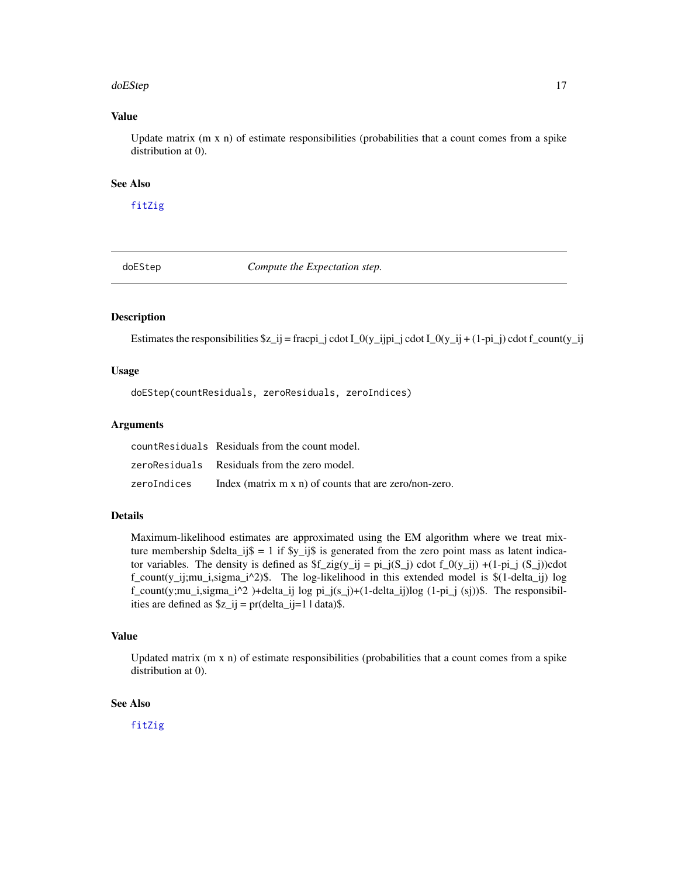#### <span id="page-16-0"></span>doEStep 17

# Value

Update matrix  $(m \times n)$  of estimate responsibilities (probabilities that a count comes from a spike distribution at 0).

### See Also

[fitZig](#page-31-1)

doEStep *Compute the Expectation step.*

# Description

Estimates the responsibilities  $z_{i} = \frac{z_{i} - z_{i}}{z_{i}}$  cdot  $I_0(y_{i} = y_{i} - z_{i})$  cdot  $I_0(y_{i} = y_{i} + (1 - pi_{i})$  cdot  $f_0(y_{i} = y_{i})$ 

# Usage

doEStep(countResiduals, zeroResiduals, zeroIndices)

#### Arguments

|             | countResiduals Residuals from the count model.                 |
|-------------|----------------------------------------------------------------|
|             | zeroResiduals Residuals from the zero model.                   |
| zeroIndices | Index (matrix $m \times n$ ) of counts that are zero/non-zero. |

# Details

Maximum-likelihood estimates are approximated using the EM algorithm where we treat mixture membership \$delta\_ij\$ = 1 if \$y\_ij\$ is generated from the zero point mass as latent indicator variables. The density is defined as  $f_zig(y_ij) = pi_j(S_j)$  cdot  $f_0(y_ij) + (1-p_i)(S_j)$  cdot f\_count(y\_ij;mu\_i,sigma\_i^2)\$. The log-likelihood in this extended model is \$(1-delta\_ij) log f\_count(y;mu\_i,sigma\_i^2 )+delta\_ij log pi\_j(s\_j)+(1-delta\_ij)log (1-pi\_j (sj))\$. The responsibilities are defined as  $z_{i} = pr(delta_{i} = 1 | data)$ .

### Value

Updated matrix (m x n) of estimate responsibilities (probabilities that a count comes from a spike distribution at 0).

#### See Also

[fitZig](#page-31-1)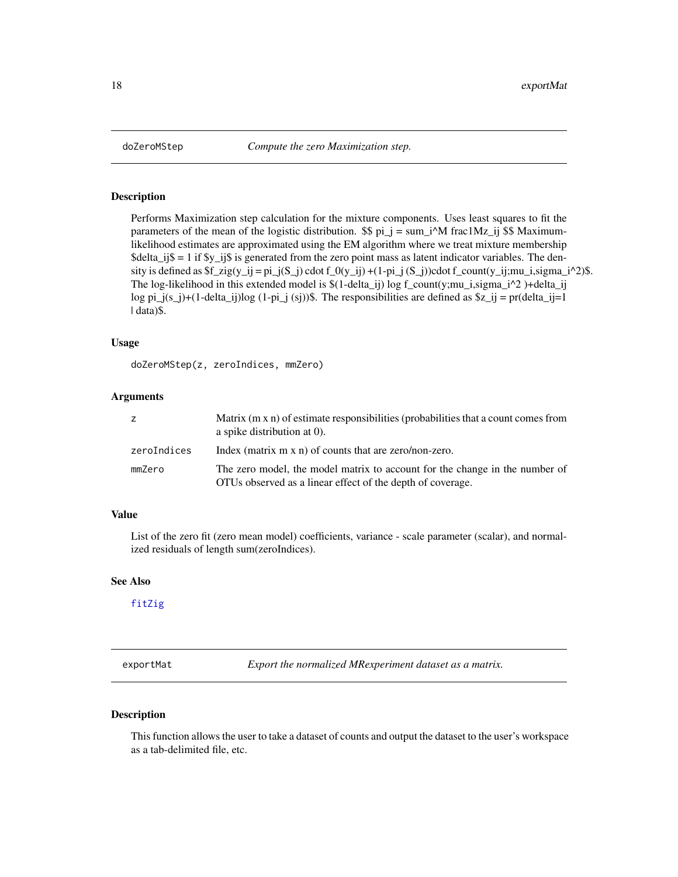<span id="page-17-0"></span>

# Description

Performs Maximization step calculation for the mixture components. Uses least squares to fit the parameters of the mean of the logistic distribution. \$\$ pi\_j = sum\_i^M frac1Mz\_ij \$\$ Maximumlikelihood estimates are approximated using the EM algorithm where we treat mixture membership  $\delta$ delta\_ij $\delta$  = 1 if  $\gamma$ \_ij $\delta$  is generated from the zero point mass as latent indicator variables. The density is defined as  $f_zig(y_ij = pi_j(S_j)$  cdot  $f_0(y_ij) + (1-pi_j(S_j))$ cdot  $f_count(y_ij;mu_j,sigma_j^2)$ \$. The log-likelihood in this extended model is \$(1-delta\_ij) log f\_count(y;mu\_i,sigma\_i^2 )+delta\_ij log  $pi_j(s_j)+(1-delta_jj)log(1-p_i)$  (sj))\$. The responsibilities are defined as  $z_j = pr(delta_j) = 1$ | data)\$.

#### Usage

doZeroMStep(z, zeroIndices, mmZero)

#### Arguments

| z           | Matrix $(m \times n)$ of estimate responsibilities (probabilities that a count comes from<br>a spike distribution at $0$ ).               |
|-------------|-------------------------------------------------------------------------------------------------------------------------------------------|
| zeroIndices | Index (matrix m x n) of counts that are zero/non-zero.                                                                                    |
| mmZero      | The zero model, the model matrix to account for the change in the number of<br>OTUs observed as a linear effect of the depth of coverage. |

#### Value

List of the zero fit (zero mean model) coefficients, variance - scale parameter (scalar), and normalized residuals of length sum(zeroIndices).

# See Also

# [fitZig](#page-31-1)

exportMat *Export the normalized MRexperiment dataset as a matrix.*

#### Description

This function allows the user to take a dataset of counts and output the dataset to the user's workspace as a tab-delimited file, etc.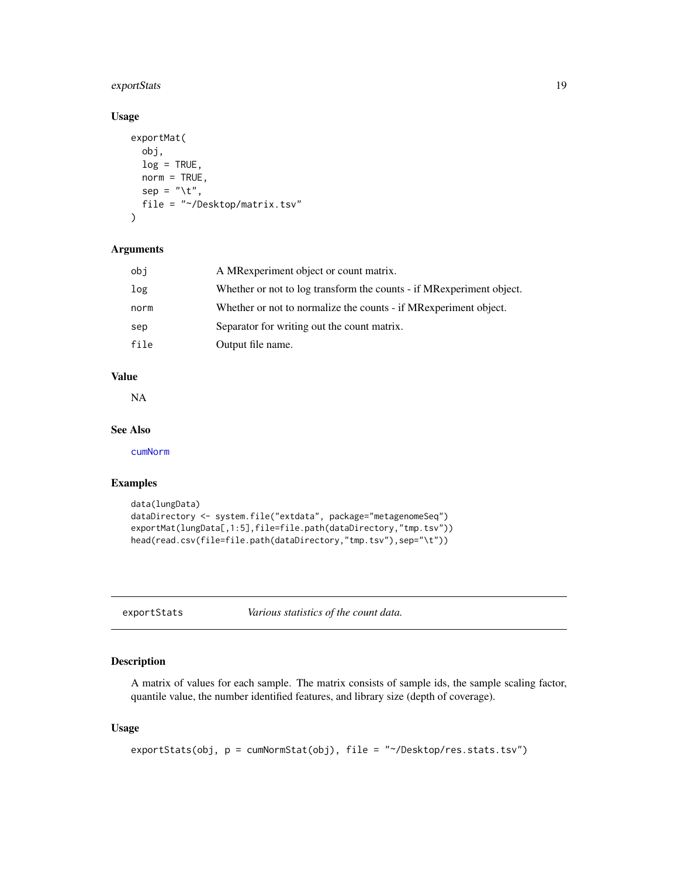# <span id="page-18-0"></span>exportStats 19

# Usage

```
exportMat(
  obj,
  log = TRUE,norm = TRUE,sep = "\t",
  file = "~/Desktop/matrix.tsv"
)
```
# Arguments

| obj  | A MRexperiment object or count matrix.                                |
|------|-----------------------------------------------------------------------|
| log  | Whether or not to log transform the counts - if MR experiment object. |
| norm | Whether or not to normalize the counts - if MRexperiment object.      |
| sep  | Separator for writing out the count matrix.                           |
| file | Output file name.                                                     |

# Value

NA

## See Also

[cumNorm](#page-12-1)

#### Examples

```
data(lungData)
dataDirectory <- system.file("extdata", package="metagenomeSeq")
exportMat(lungData[,1:5],file=file.path(dataDirectory,"tmp.tsv"))
head(read.csv(file=file.path(dataDirectory,"tmp.tsv"),sep="\t"))
```
exportStats *Various statistics of the count data.*

#### Description

A matrix of values for each sample. The matrix consists of sample ids, the sample scaling factor, quantile value, the number identified features, and library size (depth of coverage).

#### Usage

```
exportStats(obj, p = cumNormStat(obj), file = "~/Desktop/res.stats.tsv")
```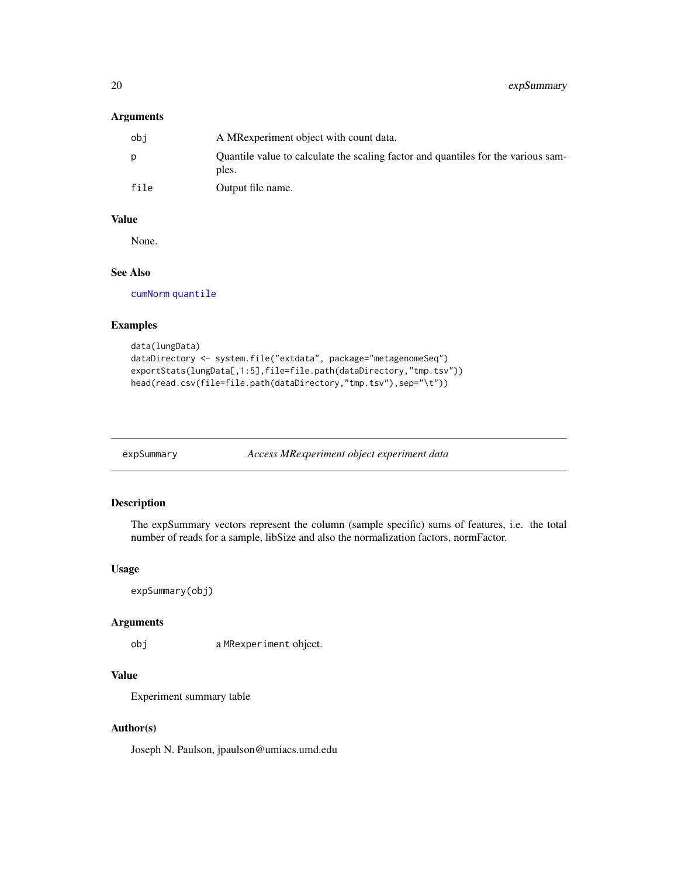# <span id="page-19-0"></span>Arguments

| obi  | A MRexperiment object with count data.                                                     |
|------|--------------------------------------------------------------------------------------------|
|      | Quantile value to calculate the scaling factor and quantiles for the various sam-<br>ples. |
| file | Output file name.                                                                          |

#### Value

None.

#### See Also

[cumNorm](#page-12-1) [quantile](#page-0-0)

# Examples

```
data(lungData)
dataDirectory <- system.file("extdata", package="metagenomeSeq")
exportStats(lungData[,1:5],file=file.path(dataDirectory,"tmp.tsv"))
head(read.csv(file=file.path(dataDirectory,"tmp.tsv"),sep="\t"))
```
expSummary *Access MRexperiment object experiment data*

# Description

The expSummary vectors represent the column (sample specific) sums of features, i.e. the total number of reads for a sample, libSize and also the normalization factors, normFactor.

#### Usage

```
expSummary(obj)
```
## Arguments

obj a MRexperiment object.

# Value

Experiment summary table

#### Author(s)

Joseph N. Paulson, jpaulson@umiacs.umd.edu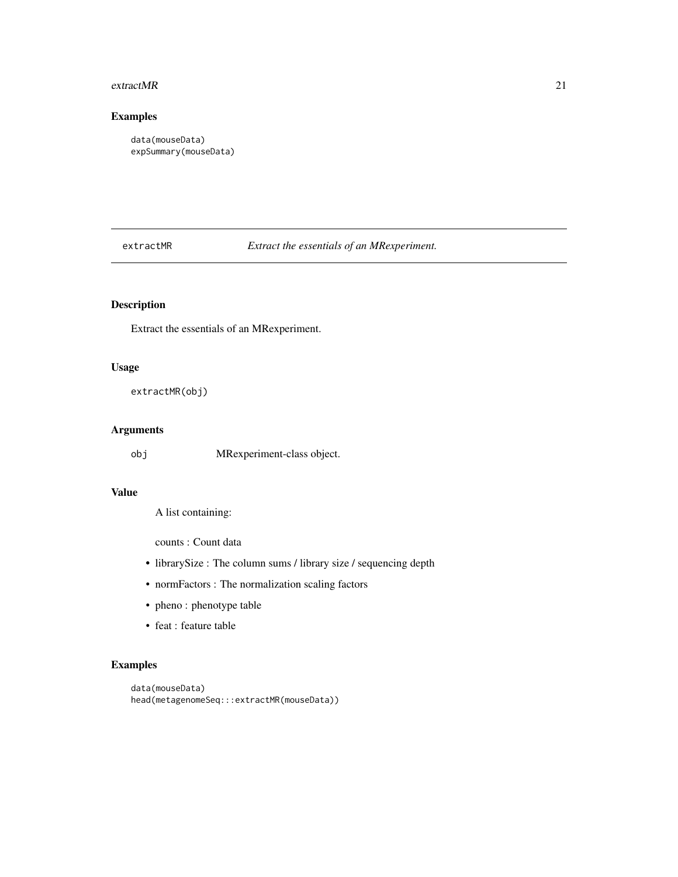#### <span id="page-20-0"></span>extractMR 21

# Examples

```
data(mouseData)
expSummary(mouseData)
```
extractMR *Extract the essentials of an MRexperiment.*

# Description

Extract the essentials of an MRexperiment.

# Usage

extractMR(obj)

# Arguments

obj MRexperiment-class object.

#### Value

A list containing:

counts : Count data

- librarySize : The column sums / library size / sequencing depth
- normFactors : The normalization scaling factors
- pheno : phenotype table
- feat : feature table

# Examples

```
data(mouseData)
head(metagenomeSeq:::extractMR(mouseData))
```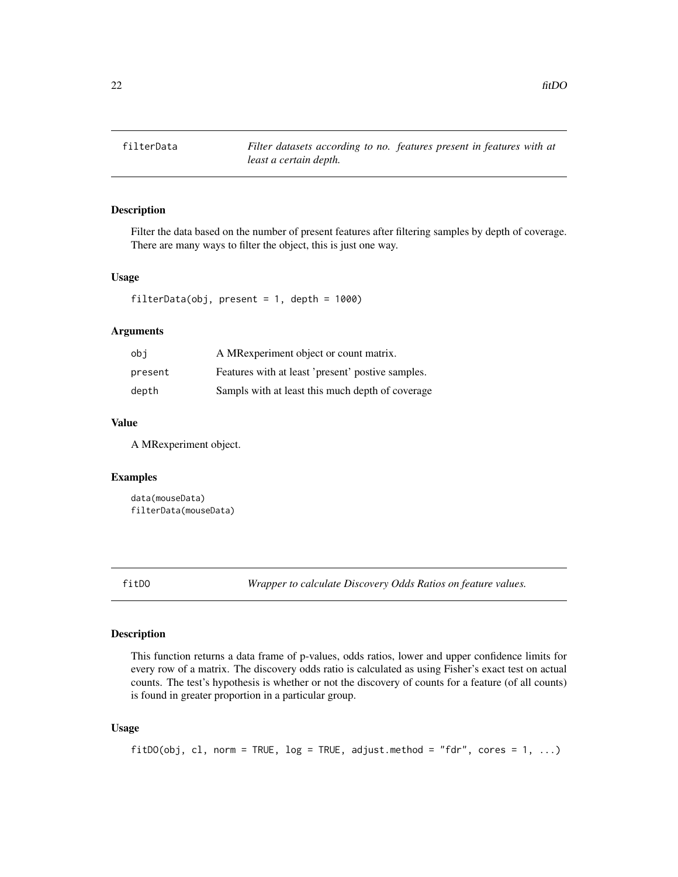<span id="page-21-0"></span>

#### Description

Filter the data based on the number of present features after filtering samples by depth of coverage. There are many ways to filter the object, this is just one way.

#### Usage

 $filterData(obj, present = 1, depth = 1000)$ 

#### Arguments

| obi     | A MRexperiment object or count matrix.            |
|---------|---------------------------------------------------|
| present | Features with at least 'present' postive samples. |
| depth   | Sampls with at least this much depth of coverage  |

#### Value

A MRexperiment object.

#### Examples

```
data(mouseData)
filterData(mouseData)
```
<span id="page-21-1"></span>fitDO *Wrapper to calculate Discovery Odds Ratios on feature values.*

#### Description

This function returns a data frame of p-values, odds ratios, lower and upper confidence limits for every row of a matrix. The discovery odds ratio is calculated as using Fisher's exact test on actual counts. The test's hypothesis is whether or not the discovery of counts for a feature (of all counts) is found in greater proportion in a particular group.

#### Usage

```
fitDO(obj, cl, norm = TRUE, log = TRUE, adjust.method = "fdr", cores = 1, ...)
```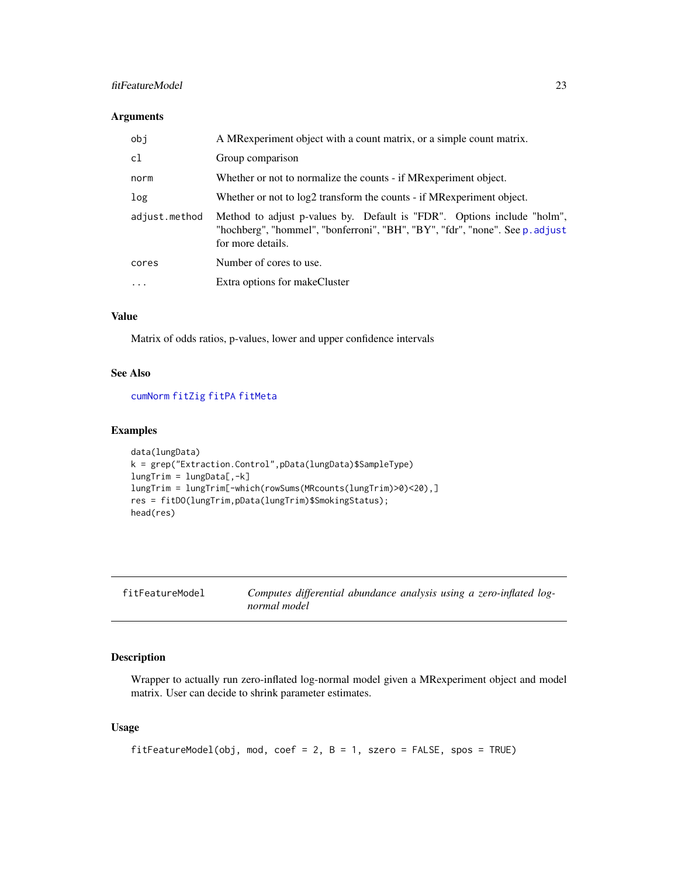# <span id="page-22-0"></span>fitFeatureModel 23

# Arguments

| obj           | A MRexperiment object with a count matrix, or a simple count matrix.                                                                                                         |
|---------------|------------------------------------------------------------------------------------------------------------------------------------------------------------------------------|
| cl            | Group comparison                                                                                                                                                             |
| norm          | Whether or not to normalize the counts - if MR experiment object.                                                                                                            |
| log           | Whether or not to log2 transform the counts - if MRexperiment object.                                                                                                        |
| adjust.method | Method to adjust p-values by. Default is "FDR". Options include "holm",<br>"hochberg", "hommel", "bonferroni", "BH", "BY", "fdr", "none". See p. adjust<br>for more details. |
| cores         | Number of cores to use.                                                                                                                                                      |
| $\ddotsc$     | Extra options for makeCluster                                                                                                                                                |

# Value

Matrix of odds ratios, p-values, lower and upper confidence intervals

# See Also

[cumNorm](#page-12-1) [fitZig](#page-31-1) [fitPA](#page-26-1) [fitMeta](#page-44-1)

### Examples

```
data(lungData)
k = grep("Extraction.Control",pData(lungData)$SampleType)
lungTrim = lungData[, -k]lungTrim = lungTrim[-which(rowSums(MRcounts(lungTrim)>0)<20),]
res = fitDO(lungTrim,pData(lungTrim)$SmokingStatus);
head(res)
```
<span id="page-22-1"></span>

| fitFeatureModel | Computes differential abundance analysis using a zero-inflated log- |
|-----------------|---------------------------------------------------------------------|
|                 | normal model                                                        |

# Description

Wrapper to actually run zero-inflated log-normal model given a MRexperiment object and model matrix. User can decide to shrink parameter estimates.

# Usage

fitFeatureModel(obj, mod, coef = 2, B = 1, szero = FALSE, spos = TRUE)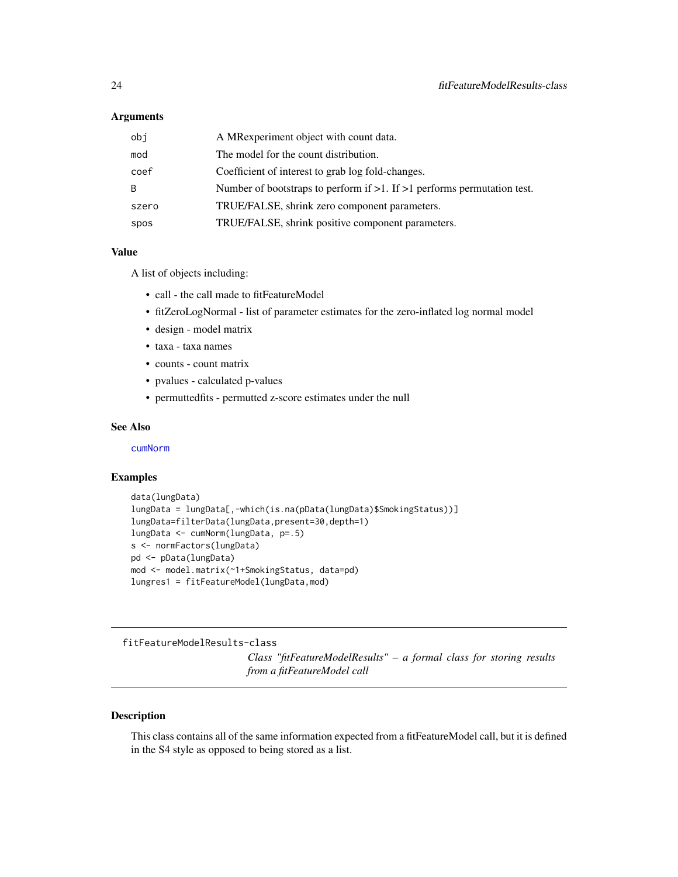#### <span id="page-23-0"></span>**Arguments**

| obi          | A MRexperiment object with count data.                                       |
|--------------|------------------------------------------------------------------------------|
| mod          | The model for the count distribution.                                        |
| coef         | Coefficient of interest to grab log fold-changes.                            |
| <sup>B</sup> | Number of bootstraps to perform if $>1$ . If $>1$ performs permutation test. |
| szero        | TRUE/FALSE, shrink zero component parameters.                                |
| spos         | TRUE/FALSE, shrink positive component parameters.                            |

#### Value

A list of objects including:

- call the call made to fitFeatureModel
- fitZeroLogNormal list of parameter estimates for the zero-inflated log normal model
- design model matrix
- taxa taxa names
- counts count matrix
- pvalues calculated p-values
- permuttedfits permutted z-score estimates under the null

# See Also

[cumNorm](#page-12-1)

#### Examples

```
data(lungData)
lungData = lungData[,-which(is.na(pData(lungData)$SmokingStatus))]
lungData=filterData(lungData,present=30,depth=1)
lungData <- cumNorm(lungData, p=.5)
s <- normFactors(lungData)
pd <- pData(lungData)
mod <- model.matrix(~1+SmokingStatus, data=pd)
lungres1 = fitFeatureModel(lungData,mod)
```
fitFeatureModelResults-class

*Class "fitFeatureModelResults" – a formal class for storing results from a fitFeatureModel call*

#### Description

This class contains all of the same information expected from a fitFeatureModel call, but it is defined in the S4 style as opposed to being stored as a list.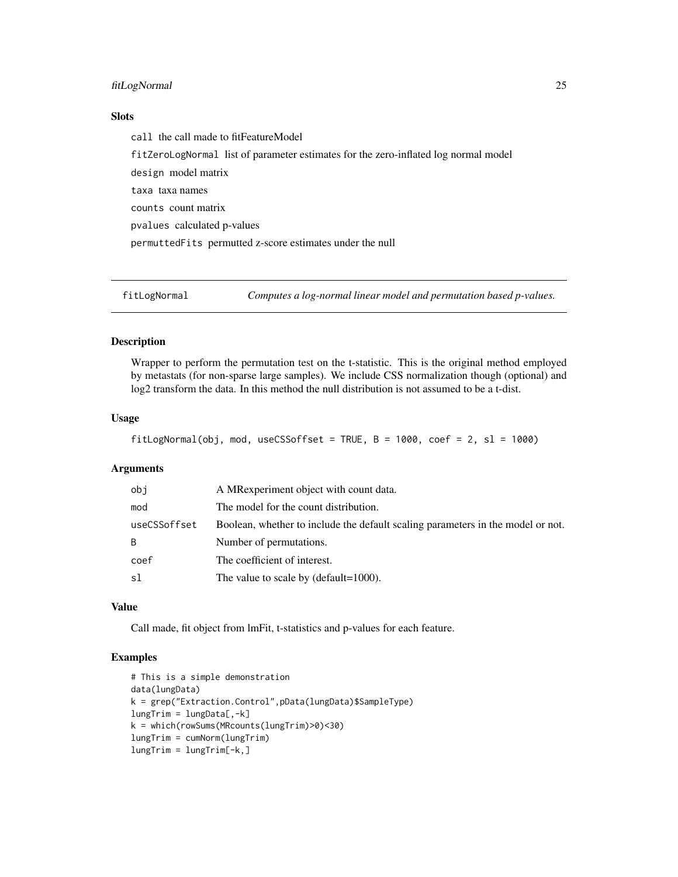# <span id="page-24-0"></span>fitLogNormal 25

#### Slots

call the call made to fitFeatureModel

fitZeroLogNormal list of parameter estimates for the zero-inflated log normal model design model matrix

taxa taxa names

counts count matrix

pvalues calculated p-values

permuttedFits permutted z-score estimates under the null

fitLogNormal *Computes a log-normal linear model and permutation based p-values.*

#### Description

Wrapper to perform the permutation test on the t-statistic. This is the original method employed by metastats (for non-sparse large samples). We include CSS normalization though (optional) and log2 transform the data. In this method the null distribution is not assumed to be a t-dist.

#### Usage

```
fitLogNormal(obj, mod, useCSSoftset = TRUE, B = 1000, coef = 2, sl = 1000)
```
# Arguments

| obi          | A MRexperiment object with count data.                                          |
|--------------|---------------------------------------------------------------------------------|
| mod          | The model for the count distribution.                                           |
| useCSSoffset | Boolean, whether to include the default scaling parameters in the model or not. |
| -B           | Number of permutations.                                                         |
| coef         | The coefficient of interest.                                                    |
| sl           | The value to scale by (default=1000).                                           |

#### Value

Call made, fit object from lmFit, t-statistics and p-values for each feature.

#### Examples

```
# This is a simple demonstration
data(lungData)
k = grep("Extraction.Control",pData(lungData)$SampleType)
lungTrim = lungData[, -k]k = which(rowSums(MRcounts(lungTrim)>0)<30)
lungTrim = cumNorm(lungTrim)
lungTrim = lungTrim[-k, ]
```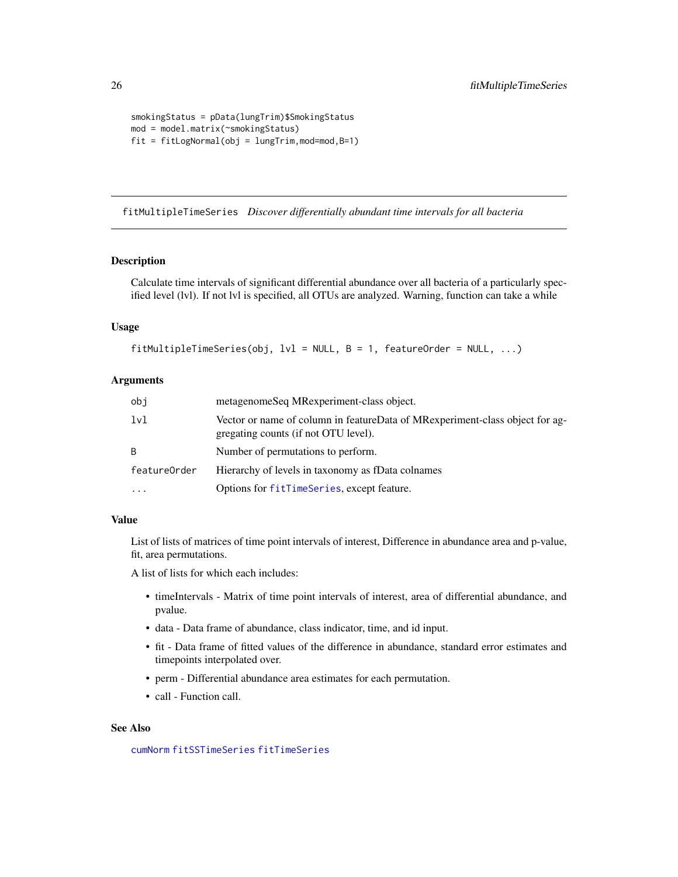```
smokingStatus = pData(lungTrim)$SmokingStatus
mod = model.matrix(~smokingStatus)
fit = fitLogNormal(obj = lungTrim,mod=mod,B=1)
```
fitMultipleTimeSeries *Discover differentially abundant time intervals for all bacteria*

# Description

Calculate time intervals of significant differential abundance over all bacteria of a particularly specified level (lvl). If not lvl is specified, all OTUs are analyzed. Warning, function can take a while

#### Usage

```
fitMultipleTimeSeries(obj, lvl = NULL, B = 1, featureOrder = NULL, ...)
```
#### Arguments

| obj          | metagenomeSeq MRexperiment-class object.                                                                             |
|--------------|----------------------------------------------------------------------------------------------------------------------|
| lvl          | Vector or name of column in featureData of MRexperiment-class object for ag-<br>gregating counts (if not OTU level). |
| B            | Number of permutations to perform.                                                                                   |
| featureOrder | Hierarchy of levels in taxonomy as fData colnames                                                                    |
| $\cdots$     | Options for fitTimeSeries, except feature.                                                                           |

# Value

List of lists of matrices of time point intervals of interest, Difference in abundance area and p-value, fit, area permutations.

A list of lists for which each includes:

- timeIntervals Matrix of time point intervals of interest, area of differential abundance, and pvalue.
- data Data frame of abundance, class indicator, time, and id input.
- fit Data frame of fitted values of the difference in abundance, standard error estimates and timepoints interpolated over.
- perm Differential abundance area estimates for each permutation.
- call Function call.

#### See Also

[cumNorm](#page-12-1) [fitSSTimeSeries](#page-27-1) [fitTimeSeries](#page-28-1)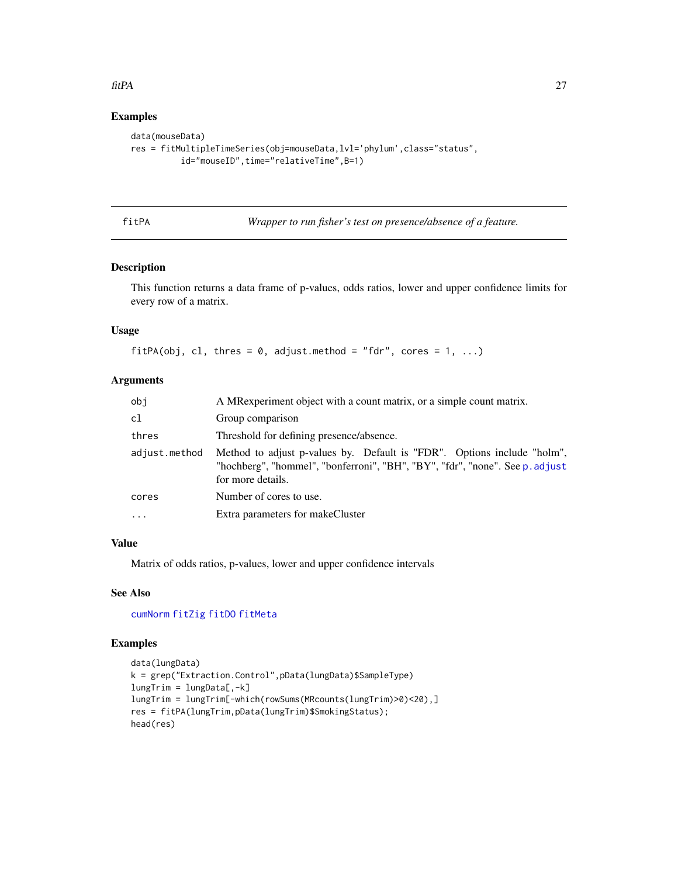#### <span id="page-26-0"></span>fitPA 27

# Examples

```
data(mouseData)
res = fitMultipleTimeSeries(obj=mouseData,lvl='phylum',class="status",
          id="mouseID",time="relativeTime",B=1)
```
<span id="page-26-1"></span>

|--|--|

Wrapper to run fisher's test on presence/absence of a feature.

# Description

This function returns a data frame of p-values, odds ratios, lower and upper confidence limits for every row of a matrix.

#### Usage

fitPA(obj, cl, thres =  $0$ , adjust.method = "fdr", cores =  $1, ...$ )

#### Arguments

| obi           | A MR experiment object with a count matrix, or a simple count matrix.                                                                                                        |
|---------------|------------------------------------------------------------------------------------------------------------------------------------------------------------------------------|
| c1            | Group comparison                                                                                                                                                             |
| thres         | Threshold for defining presence/absence.                                                                                                                                     |
| adjust.method | Method to adjust p-values by. Default is "FDR". Options include "holm",<br>"hochberg", "hommel", "bonferroni", "BH", "BY", "fdr", "none". See p. adjust<br>for more details. |
| cores         | Number of cores to use.                                                                                                                                                      |
| $\cdots$      | Extra parameters for makeCluster                                                                                                                                             |
|               |                                                                                                                                                                              |

# Value

Matrix of odds ratios, p-values, lower and upper confidence intervals

# See Also

[cumNorm](#page-12-1) [fitZig](#page-31-1) [fitDO](#page-21-1) [fitMeta](#page-44-1)

#### Examples

```
data(lungData)
k = grep("Extraction.Control",pData(lungData)$SampleType)
lungTrim = lungData[, -k]lungTrim = lungTrim[-which(rowSums(MRcounts(lungTrim)>0)<20),]
res = fitPA(lungTrim,pData(lungTrim)$SmokingStatus);
head(res)
```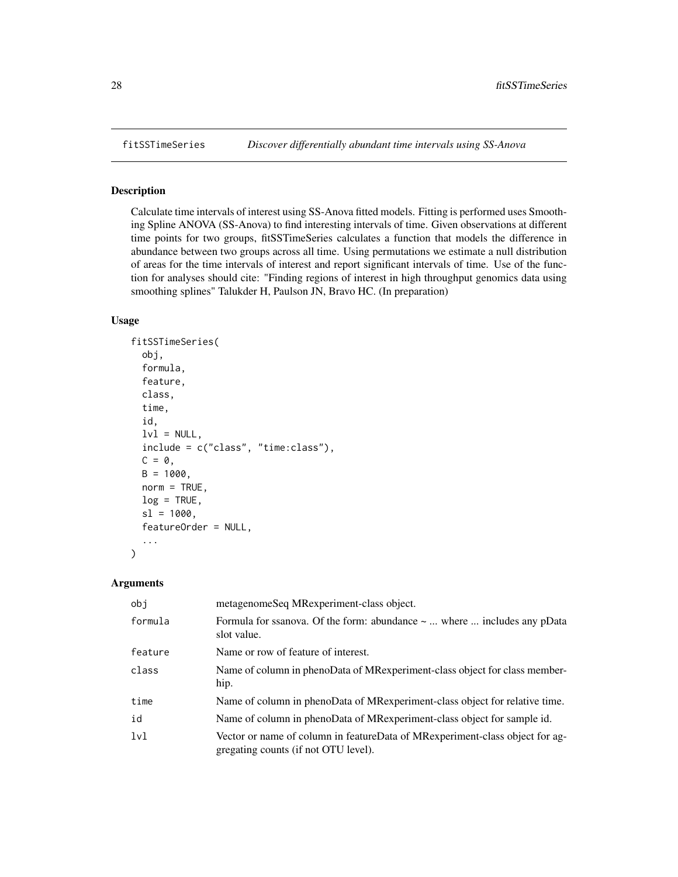#### Description

Calculate time intervals of interest using SS-Anova fitted models. Fitting is performed uses Smoothing Spline ANOVA (SS-Anova) to find interesting intervals of time. Given observations at different time points for two groups, fitSSTimeSeries calculates a function that models the difference in abundance between two groups across all time. Using permutations we estimate a null distribution of areas for the time intervals of interest and report significant intervals of time. Use of the function for analyses should cite: "Finding regions of interest in high throughput genomics data using smoothing splines" Talukder H, Paulson JN, Bravo HC. (In preparation)

#### Usage

```
fitSSTimeSeries(
  obj,
  formula,
  feature,
  class,
  time,
  id,
  lv1 = NULL,include = c("class", "time:class"),
 C = 0,
 B = 1000,norm = TRUE,log = TRUE,sl = 1000,featureOrder = NULL,
  ...
)
```
#### Arguments

| obi              | metagenomeSeq MRexperiment-class object.                                                                             |
|------------------|----------------------------------------------------------------------------------------------------------------------|
| formula          | Formula for ssanova. Of the form: abundance $\sim$ where  includes any pData<br>slot value.                          |
| feature          | Name or row of feature of interest.                                                                                  |
| class            | Name of column in phenoData of MRexperiment-class object for class member-<br>hip.                                   |
| time             | Name of column in phenoData of MRexperiment-class object for relative time.                                          |
| id               | Name of column in phenoData of MRexperiment-class object for sample id.                                              |
| 1 <sub>v</sub> 1 | Vector or name of column in featureData of MRexperiment-class object for ag-<br>gregating counts (if not OTU level). |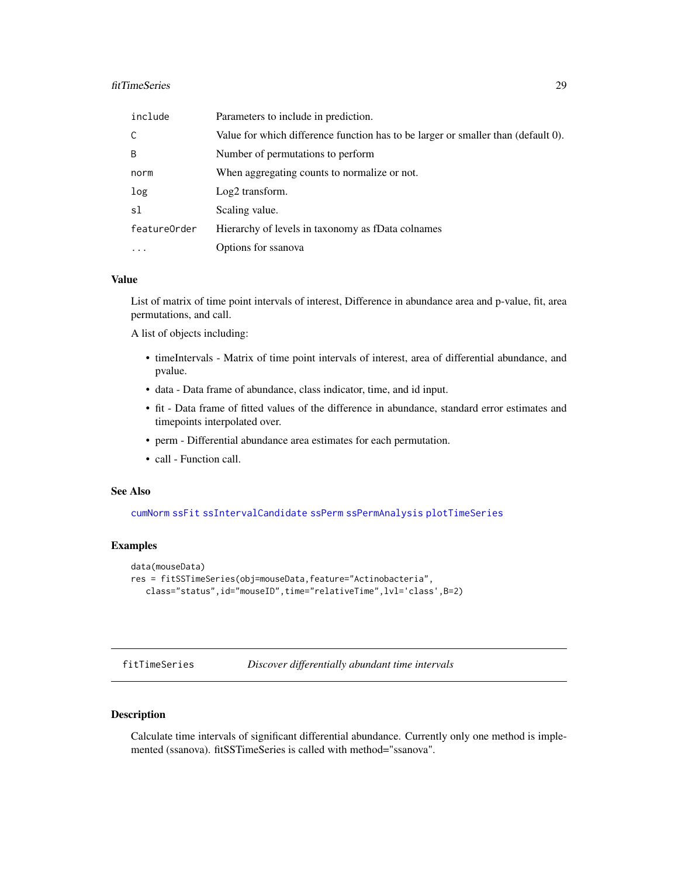#### <span id="page-28-0"></span>fitTimeSeries 29

| include      | Parameters to include in prediction.                                              |
|--------------|-----------------------------------------------------------------------------------|
| C            | Value for which difference function has to be larger or smaller than (default 0). |
| B            | Number of permutations to perform                                                 |
| norm         | When aggregating counts to normalize or not.                                      |
| log          | Log <sub>2</sub> transform.                                                       |
| sl           | Scaling value.                                                                    |
| featureOrder | Hierarchy of levels in taxonomy as fData colnames                                 |
| $\cdots$     | Options for ssanova                                                               |

### Value

List of matrix of time point intervals of interest, Difference in abundance area and p-value, fit, area permutations, and call.

A list of objects including:

- timeIntervals Matrix of time point intervals of interest, area of differential abundance, and pvalue.
- data Data frame of abundance, class indicator, time, and id input.
- fit Data frame of fitted values of the difference in abundance, standard error estimates and timepoints interpolated over.
- perm Differential abundance area estimates for each permutation.
- call Function call.

#### See Also

[cumNorm](#page-12-1) [ssFit](#page-69-1) [ssIntervalCandidate](#page-70-1) [ssPerm](#page-71-1) [ssPermAnalysis](#page-72-1) [plotTimeSeries](#page-67-1)

# Examples

```
data(mouseData)
res = fitSSTimeSeries(obj=mouseData,feature="Actinobacteria",
  class="status",id="mouseID",time="relativeTime",lvl='class',B=2)
```
<span id="page-28-1"></span>

| fitTimeSeries |  | Discover differentially abundant time intervals |  |  |  |
|---------------|--|-------------------------------------------------|--|--|--|
|---------------|--|-------------------------------------------------|--|--|--|

# Description

Calculate time intervals of significant differential abundance. Currently only one method is implemented (ssanova). fitSSTimeSeries is called with method="ssanova".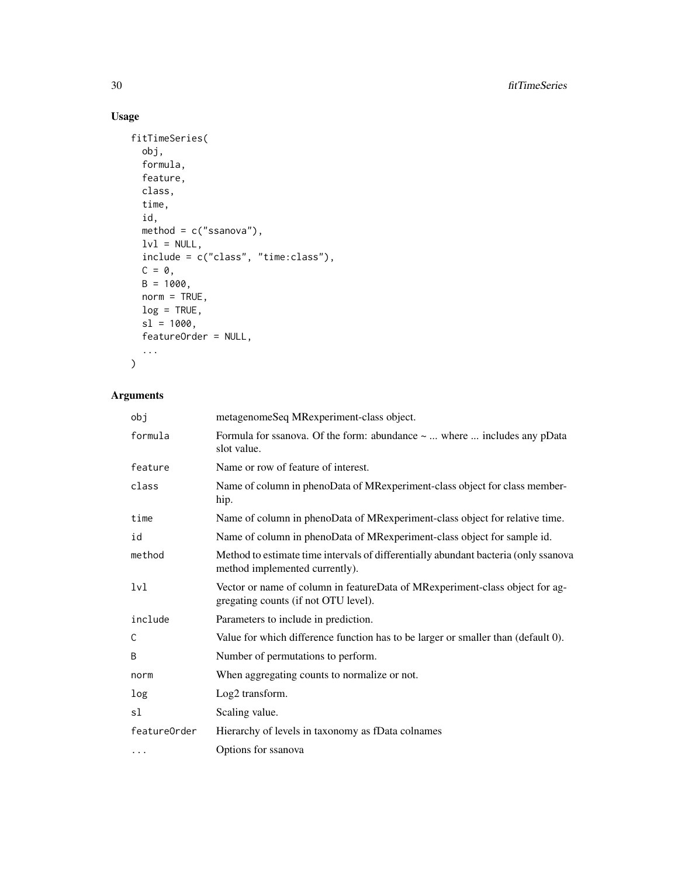# Usage

```
fitTimeSeries(
 obj,
 formula,
 feature,
 class,
  time,
 id,
 method = c("ssanova"),
 lv1 = NULL,include = c("class", "time:class"),
 C = 0,
 B = 1000,norm = TRUE,log = TRUE,sl = 1000,featureOrder = NULL,
  ...
```

```
\mathcal{L}
```
# Arguments

| obi          | metagenomeSeq MRexperiment-class object.                                                                              |
|--------------|-----------------------------------------------------------------------------------------------------------------------|
| formula      | Formula for ssanova. Of the form: abundance ~  where  includes any pData<br>slot value.                               |
| feature      | Name or row of feature of interest.                                                                                   |
| class        | Name of column in phenoData of MRexperiment-class object for class member-<br>hip.                                    |
| time         | Name of column in phenoData of MRexperiment-class object for relative time.                                           |
| id           | Name of column in phenoData of MRexperiment-class object for sample id.                                               |
| method       | Method to estimate time intervals of differentially abundant bacteria (only ssanova<br>method implemented currently). |
| 1v1          | Vector or name of column in featureData of MRexperiment-class object for ag-<br>gregating counts (if not OTU level).  |
| include      | Parameters to include in prediction.                                                                                  |
| C            | Value for which difference function has to be larger or smaller than (default 0).                                     |
| B            | Number of permutations to perform.                                                                                    |
| norm         | When aggregating counts to normalize or not.                                                                          |
| log          | Log <sub>2</sub> transform.                                                                                           |
| sl           | Scaling value.                                                                                                        |
| featureOrder | Hierarchy of levels in taxonomy as fData colnames                                                                     |
| $\cdots$     | Options for ssanova                                                                                                   |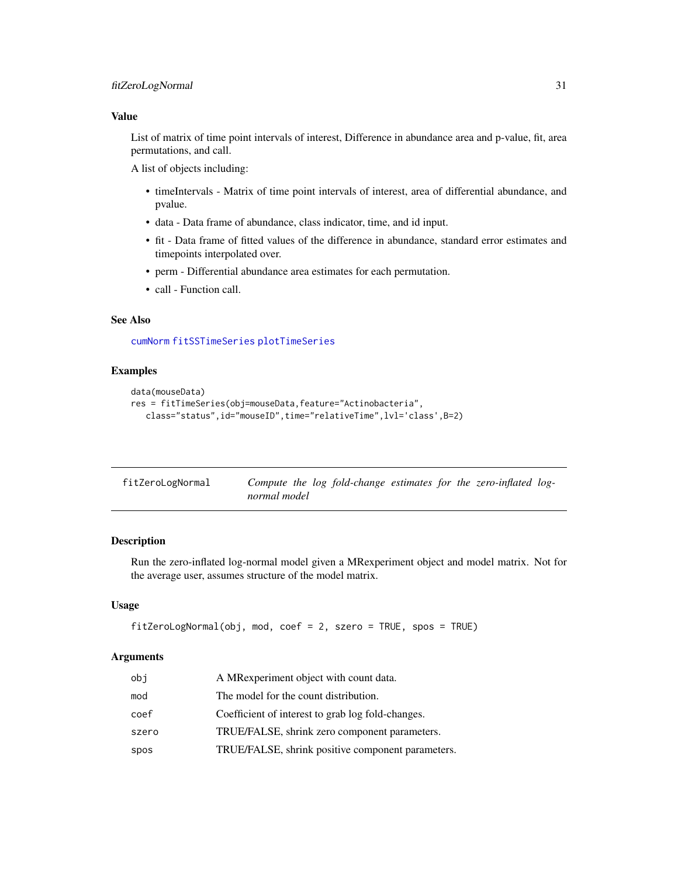#### <span id="page-30-0"></span>Value

List of matrix of time point intervals of interest, Difference in abundance area and p-value, fit, area permutations, and call.

A list of objects including:

- timeIntervals Matrix of time point intervals of interest, area of differential abundance, and pvalue.
- data Data frame of abundance, class indicator, time, and id input.
- fit Data frame of fitted values of the difference in abundance, standard error estimates and timepoints interpolated over.
- perm Differential abundance area estimates for each permutation.
- call Function call.

# See Also

#### [cumNorm](#page-12-1) [fitSSTimeSeries](#page-27-1) [plotTimeSeries](#page-67-1)

# Examples

```
data(mouseData)
res = fitTimeSeries(obj=mouseData,feature="Actinobacteria",
  class="status",id="mouseID",time="relativeTime",lvl='class',B=2)
```
<span id="page-30-1"></span>

| fitZeroLogNormal | Compute the log fold-change estimates for the zero-inflated log- |
|------------------|------------------------------------------------------------------|
|                  | normal model                                                     |

# Description

Run the zero-inflated log-normal model given a MRexperiment object and model matrix. Not for the average user, assumes structure of the model matrix.

#### Usage

```
fitZeroLogNormal(obj, mod, coef = 2, szero = TRUE, spos = TRUE)
```
#### Arguments

| obi   | A MRexperiment object with count data.            |
|-------|---------------------------------------------------|
| mod   | The model for the count distribution.             |
| coef  | Coefficient of interest to grab log fold-changes. |
| szero | TRUE/FALSE, shrink zero component parameters.     |
| spos  | TRUE/FALSE, shrink positive component parameters. |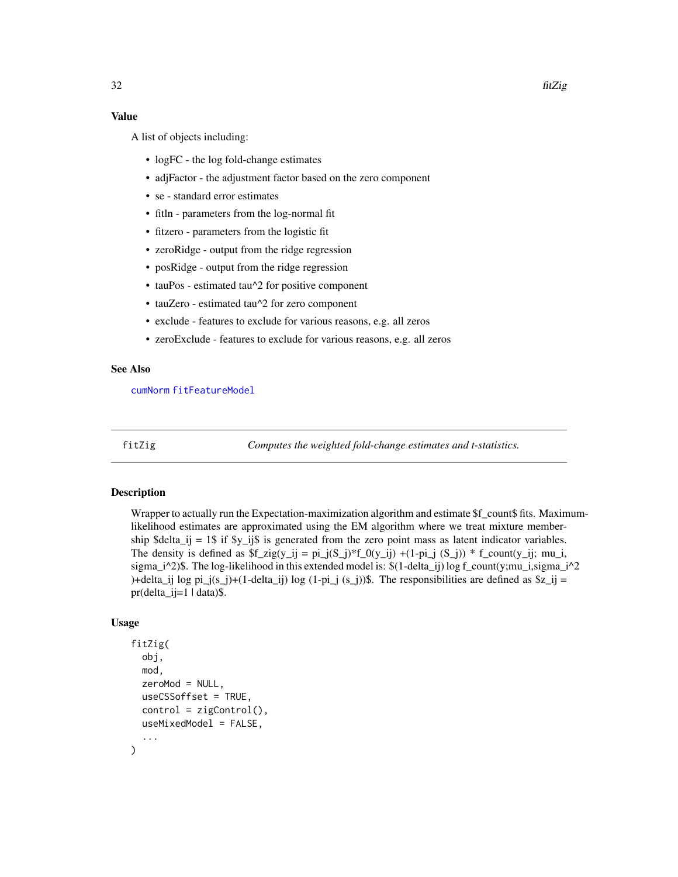# <span id="page-31-0"></span>Value

A list of objects including:

- logFC the log fold-change estimates
- adjFactor the adjustment factor based on the zero component
- se standard error estimates
- fitln parameters from the log-normal fit
- fitzero parameters from the logistic fit
- zeroRidge output from the ridge regression
- posRidge output from the ridge regression
- tauPos estimated tau^2 for positive component
- tauZero estimated tau^2 for zero component
- exclude features to exclude for various reasons, e.g. all zeros
- zeroExclude features to exclude for various reasons, e.g. all zeros

# See Also

[cumNorm](#page-12-1) [fitFeatureModel](#page-22-1)

<span id="page-31-1"></span>fitZig *Computes the weighted fold-change estimates and t-statistics.*

# Description

Wrapper to actually run the Expectation-maximization algorithm and estimate \$f\_count\$ fits. Maximumlikelihood estimates are approximated using the EM algorithm where we treat mixture membership \$delta\_ij = 1\$ if \$y\_ij\$ is generated from the zero point mass as latent indicator variables. The density is defined as  $f_2zig(y_i = pi_j(S_i)*f_0(y_i) + (1-p_i)(S_i)) * f_0(x_i)$  \* f\_count(y\_ij; mu\_i, sigma\_i^2)\$. The log-likelihood in this extended model is:  $$(1-delta_i)$  log f\_count(y;mu\_i,sigma\_i^2 )+delta\_ij log pi\_j(s\_j)+(1-delta\_ij) log (1-pi\_j (s\_j))\$. The responsibilities are defined as  $\overline{3z}$ \_ij = pr(delta  $i=1$  | data)\$.

# Usage

```
fitZig(
  obj,
  mod,
  zeroMod = NULL,
  useCSSoffset = TRUE,
  control = zigControl(),
  useMixedModel = FALSE,
  ...
)
```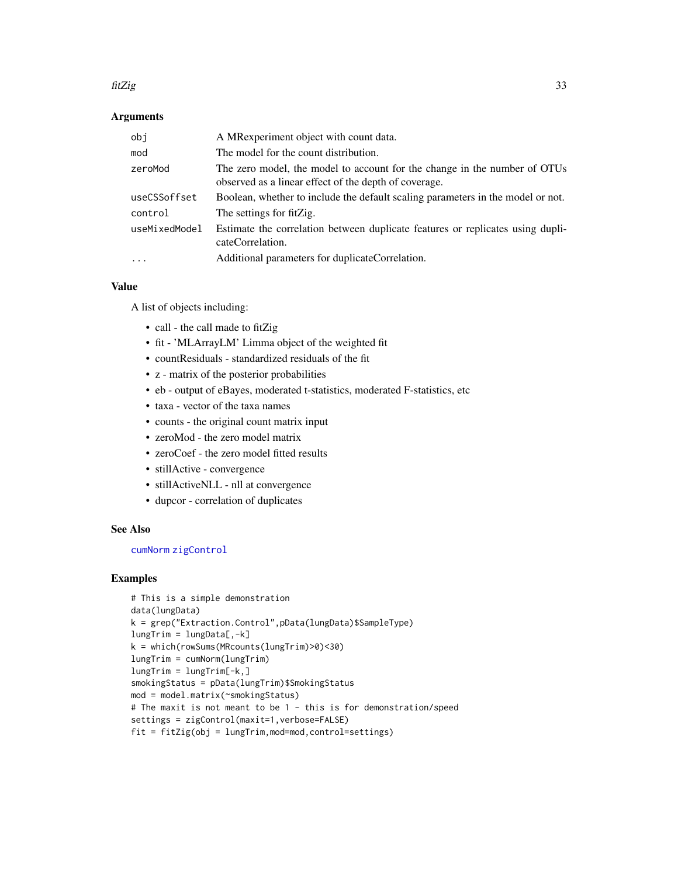#### fitZig 33

#### **Arguments**

| obi           | A MRexperiment object with count data.                                                                                             |
|---------------|------------------------------------------------------------------------------------------------------------------------------------|
| mod           | The model for the count distribution.                                                                                              |
| zeroMod       | The zero model, the model to account for the change in the number of OTUs<br>observed as a linear effect of the depth of coverage. |
| useCSSoffset  | Boolean, whether to include the default scaling parameters in the model or not.                                                    |
| control       | The settings for fitZig.                                                                                                           |
| useMixedModel | Estimate the correlation between duplicate features or replicates using dupli-<br>cateCorrelation.                                 |
| $\cdots$      | Additional parameters for duplicateCorrelation.                                                                                    |

# Value

A list of objects including:

- call the call made to fitZig
- fit 'MLArrayLM' Limma object of the weighted fit
- countResiduals standardized residuals of the fit
- z matrix of the posterior probabilities
- eb output of eBayes, moderated t-statistics, moderated F-statistics, etc
- taxa vector of the taxa names
- counts the original count matrix input
- zeroMod the zero model matrix
- zeroCoef the zero model fitted results
- stillActive convergence
- stillActiveNLL nll at convergence
- dupcor correlation of duplicates

#### See Also

#### [cumNorm](#page-12-1) [zigControl](#page-76-1)

#### Examples

```
# This is a simple demonstration
data(lungData)
k = grep("Extraction.Control",pData(lungData)$SampleType)
lungTrim = lungData[,-k]
k = which(rowSums(MRcounts(lungTrim)>0)<30)
lungTrim = cumNorm(lungTrim)
lungTrim = lungTrim[-k, ]smokingStatus = pData(lungTrim)$SmokingStatus
mod = model.matrix(~smokingStatus)
# The maxit is not meant to be 1 - this is for demonstration/speed
settings = zigControl(maxit=1,verbose=FALSE)
fit = fitZig(obj = lungTrim,mod=mod,control=settings)
```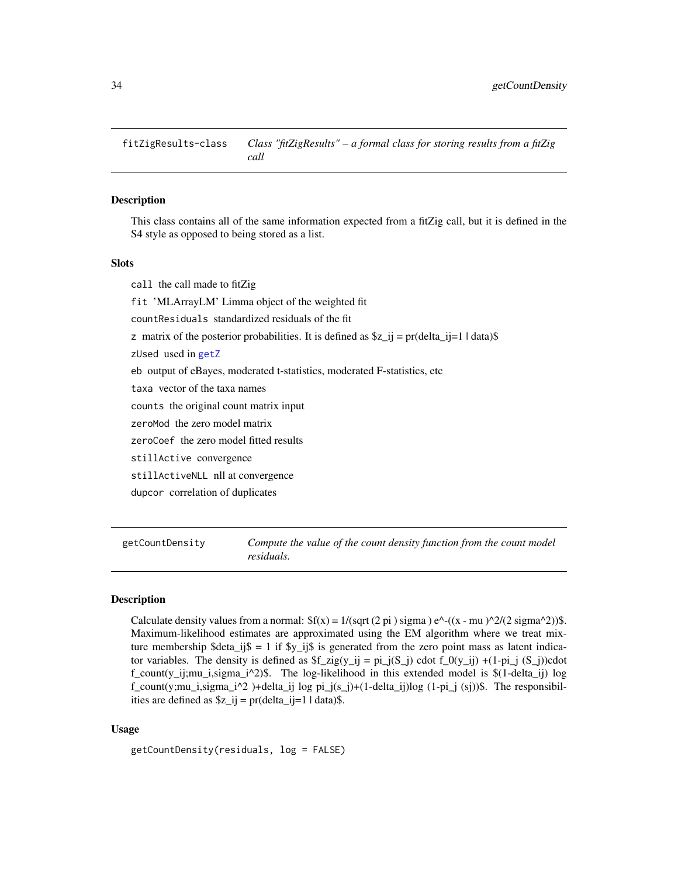<span id="page-33-0"></span>fitZigResults-class *Class "fitZigResults" – a formal class for storing results from a fitZig call*

# Description

This class contains all of the same information expected from a fitZig call, but it is defined in the S4 style as opposed to being stored as a list.

#### **Slots**

call the call made to fitZig fit 'MLArrayLM' Limma object of the weighted fit countResiduals standardized residuals of the fit z matrix of the posterior probabilities. It is defined as  $\&z$  ij = pr(delta ij=1 | data) $\&$ zUsed used in [getZ](#page-36-1) eb output of eBayes, moderated t-statistics, moderated F-statistics, etc taxa vector of the taxa names counts the original count matrix input zeroMod the zero model matrix zeroCoef the zero model fitted results stillActive convergence stillActiveNLL nll at convergence dupcor correlation of duplicates

getCountDensity *Compute the value of the count density function from the count model residuals.*

#### **Description**

Calculate density values from a normal:  $f(x) = 1/(sqrt(2 pi) \sigma^2)$  sigma ) e^-((x - mu )^2/(2 sigma^2))\$. Maximum-likelihood estimates are approximated using the EM algorithm where we treat mixture membership  $\delta deta_{ij}\$  = 1 if  $y_{ij}\$  is generated from the zero point mass as latent indicator variables. The density is defined as  $f_2zig(y_1 = pi_1(G_1)$  cdot  $f_0(y_1)$  +(1-pi<sub>-1</sub> (S<sub>-1</sub>))cdot  $f_{\text{count}}(y_i)$ i;mu\_i,sigma\_i^2)\$. The log-likelihood in this extended model is  $\S(1-\text{delta}_i)$  log f\_count(y;mu\_i,sigma\_i^2 )+delta\_ij log pi\_j(s\_j)+(1-delta\_ij)log (1-pi\_j (sj))\$. The responsibilities are defined as  $z_{ij} = pr(delta_{ij}=1 | data).$ 

#### Usage

getCountDensity(residuals, log = FALSE)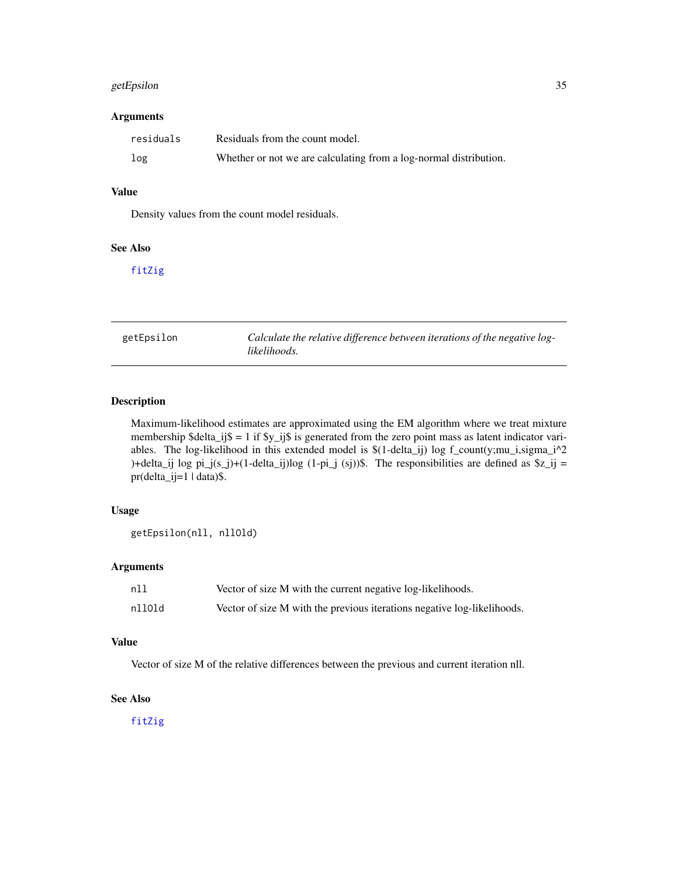# <span id="page-34-0"></span>getEpsilon 35

#### Arguments

| residuals | Residuals from the count model.                                   |
|-----------|-------------------------------------------------------------------|
| log       | Whether or not we are calculating from a log-normal distribution. |

# Value

Density values from the count model residuals.

#### See Also

# [fitZig](#page-31-1)

| getEpsilon |  |
|------------|--|
|------------|--|

Calculate the relative difference between iterations of the negative log*likelihoods.*

# Description

Maximum-likelihood estimates are approximated using the EM algorithm where we treat mixture membership \$delta\_ij\$ = 1 if \$y\_ij\$ is generated from the zero point mass as latent indicator variables. The log-likelihood in this extended model is  $$(1-delta_i])$  log  $f_{count}(y;mu_i,sigma_i^2)$ )+delta\_ij log pi\_j(s\_j)+(1-delta\_ij)log (1-pi\_j (sj))\$. The responsibilities are defined as  $z_{ij}$  =  $pr(delta_i]=1$  | data)\$.

# Usage

getEpsilon(nll, nllOld)

# Arguments

| n11    | Vector of size M with the current negative log-likelihoods.             |
|--------|-------------------------------------------------------------------------|
| nllOld | Vector of size M with the previous iterations negative log-likelihoods. |

#### Value

Vector of size M of the relative differences between the previous and current iteration nll.

#### See Also

[fitZig](#page-31-1)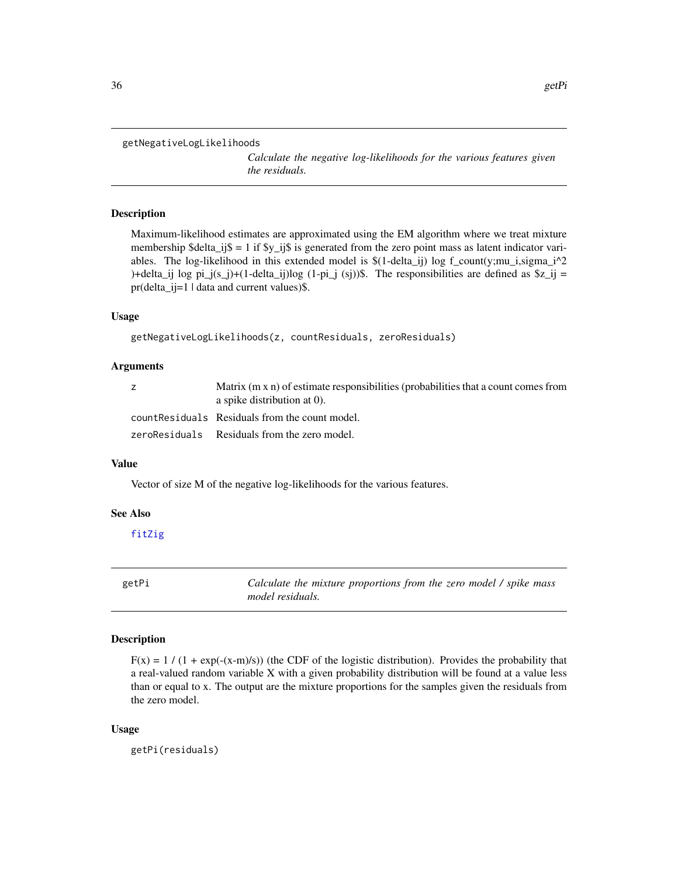```
getNegativeLogLikelihoods
```
*Calculate the negative log-likelihoods for the various features given the residuals.*

# Description

Maximum-likelihood estimates are approximated using the EM algorithm where we treat mixture membership \$delta\_ij\$ = 1 if  $y_{ij}$  is generated from the zero point mass as latent indicator variables. The log-likelihood in this extended model is  $$(1-delta_i])$  log  $f_{count}(y;mu_i,sigm_i^2)$ )+delta\_ij log pi\_j(s\_j)+(1-delta\_ij)log (1-pi\_j (sj))\$. The responsibilities are defined as  $z_{ij}$  = pr(delta\_ij=1 | data and current values)\$.

# Usage

```
getNegativeLogLikelihoods(z, countResiduals, zeroResiduals)
```
#### **Arguments**

| z | Matrix $(m \times n)$ of estimate responsibilities (probabilities that a count comes from<br>a spike distribution at $0$ ). |
|---|-----------------------------------------------------------------------------------------------------------------------------|
|   | count Residuals Residuals from the count model.                                                                             |
|   | zeroResiduals Residuals from the zero model.                                                                                |

# Value

Vector of size M of the negative log-likelihoods for the various features.

#### See Also

#### [fitZig](#page-31-1)

getPi *Calculate the mixture proportions from the zero model / spike mass model residuals.*

# Description

 $F(x) = 1 / (1 + \exp(-(x-m)/s))$  (the CDF of the logistic distribution). Provides the probability that a real-valued random variable X with a given probability distribution will be found at a value less than or equal to x. The output are the mixture proportions for the samples given the residuals from the zero model.

#### Usage

getPi(residuals)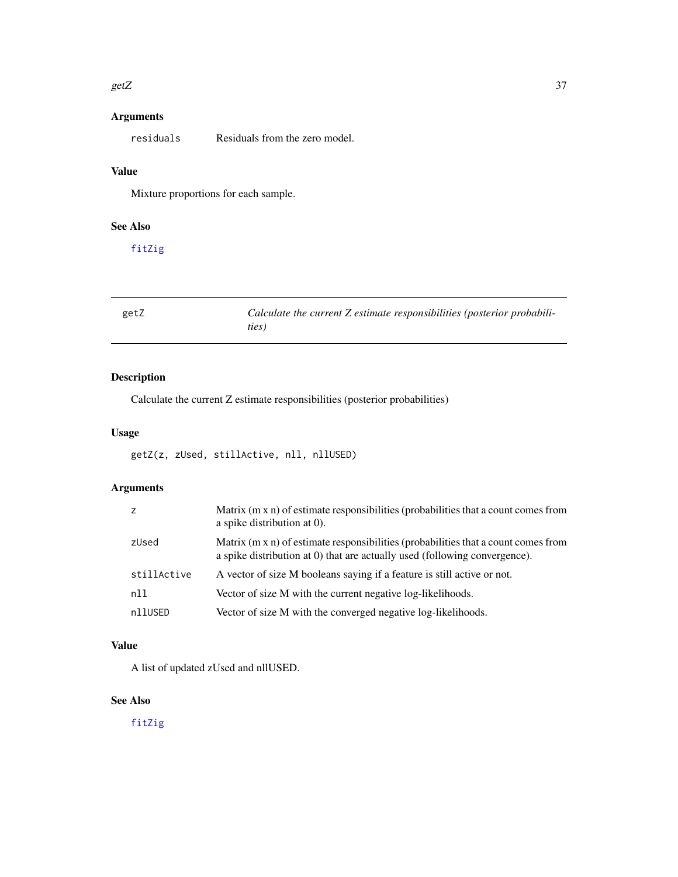#### $\text{getZ}$  37

# Arguments

residuals Residuals from the zero model.

# Value

Mixture proportions for each sample.

# See Also

[fitZig](#page-31-0)

| getZ | Calculate the current Z estimate responsibilities (posterior probabili- |
|------|-------------------------------------------------------------------------|
|      | ties)                                                                   |

# Description

Calculate the current Z estimate responsibilities (posterior probabilities)

# Usage

getZ(z, zUsed, stillActive, nll, nllUSED)

# Arguments

| z           | Matrix (m x n) of estimate responsibilities (probabilities that a count comes from<br>a spike distribution at 0).                                                       |
|-------------|-------------------------------------------------------------------------------------------------------------------------------------------------------------------------|
| zUsed       | Matrix $(m \times n)$ of estimate responsibilities (probabilities that a count comes from<br>a spike distribution at 0) that are actually used (following convergence). |
| stillActive | A vector of size M booleans saying if a feature is still active or not.                                                                                                 |
| nll         | Vector of size M with the current negative log-likelihoods.                                                                                                             |
| nllUSED     | Vector of size M with the converged negative log-likelihoods.                                                                                                           |

## Value

A list of updated zUsed and nllUSED.

# See Also

[fitZig](#page-31-0)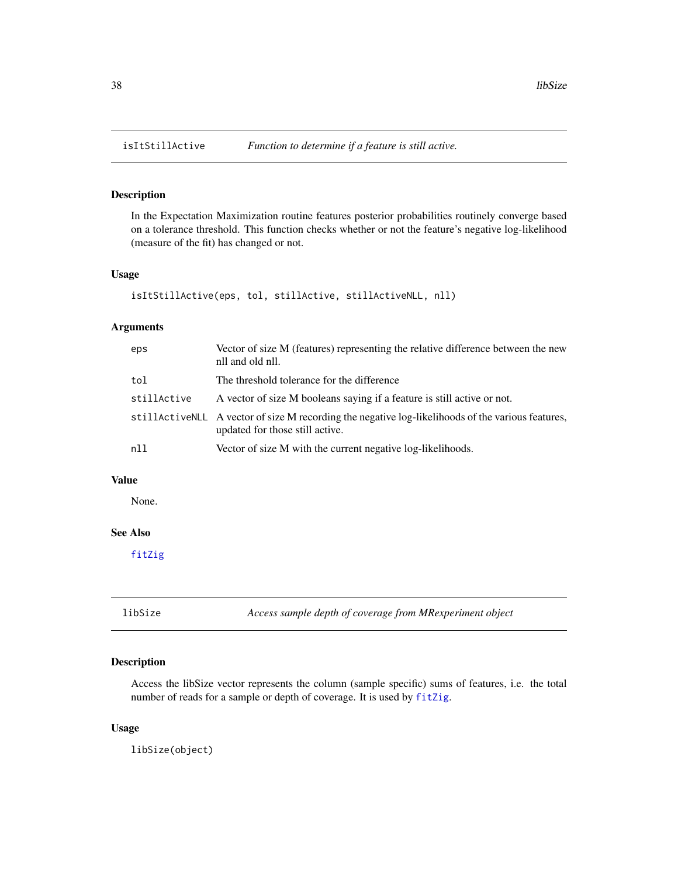In the Expectation Maximization routine features posterior probabilities routinely converge based on a tolerance threshold. This function checks whether or not the feature's negative log-likelihood (measure of the fit) has changed or not.

### Usage

```
isItStillActive(eps, tol, stillActive, stillActiveNLL, nll)
```
#### Arguments

| eps         | Vector of size M (features) representing the relative difference between the new<br>nll and old nll.                                  |
|-------------|---------------------------------------------------------------------------------------------------------------------------------------|
| tol         | The threshold tolerance for the difference                                                                                            |
| stillActive | A vector of size M booleans saying if a feature is still active or not.                                                               |
|             | still ActiveNLL A vector of size M recording the negative log-likelihoods of the various features,<br>updated for those still active. |
| n11         | Vector of size M with the current negative log-likelihoods.                                                                           |

## Value

None.

## See Also

[fitZig](#page-31-0)

<span id="page-37-0"></span>libSize *Access sample depth of coverage from MRexperiment object*

# Description

Access the libSize vector represents the column (sample specific) sums of features, i.e. the total number of reads for a sample or depth of coverage. It is used by [fitZig](#page-31-0).

#### Usage

libSize(object)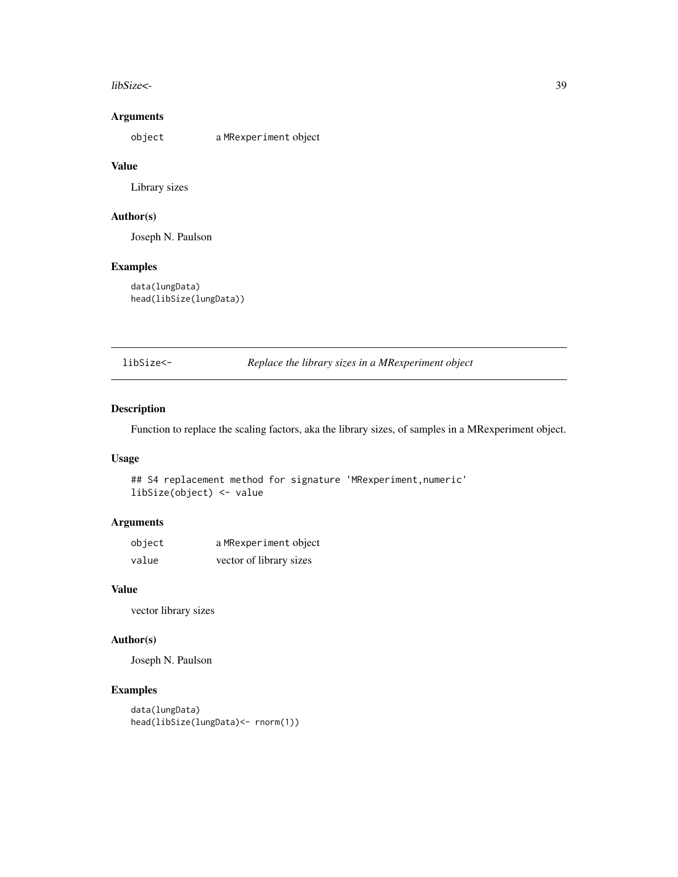#### libSize<- 39

## Arguments

object a MRexperiment object

### Value

Library sizes

## Author(s)

Joseph N. Paulson

# Examples

data(lungData) head(libSize(lungData))

libSize<- *Replace the library sizes in a MRexperiment object*

# Description

Function to replace the scaling factors, aka the library sizes, of samples in a MRexperiment object.

#### Usage

## S4 replacement method for signature 'MRexperiment,numeric' libSize(object) <- value

# Arguments

| object | a MRexperiment object   |
|--------|-------------------------|
| value  | vector of library sizes |

### Value

vector library sizes

### Author(s)

Joseph N. Paulson

```
data(lungData)
head(libSize(lungData)<- rnorm(1))
```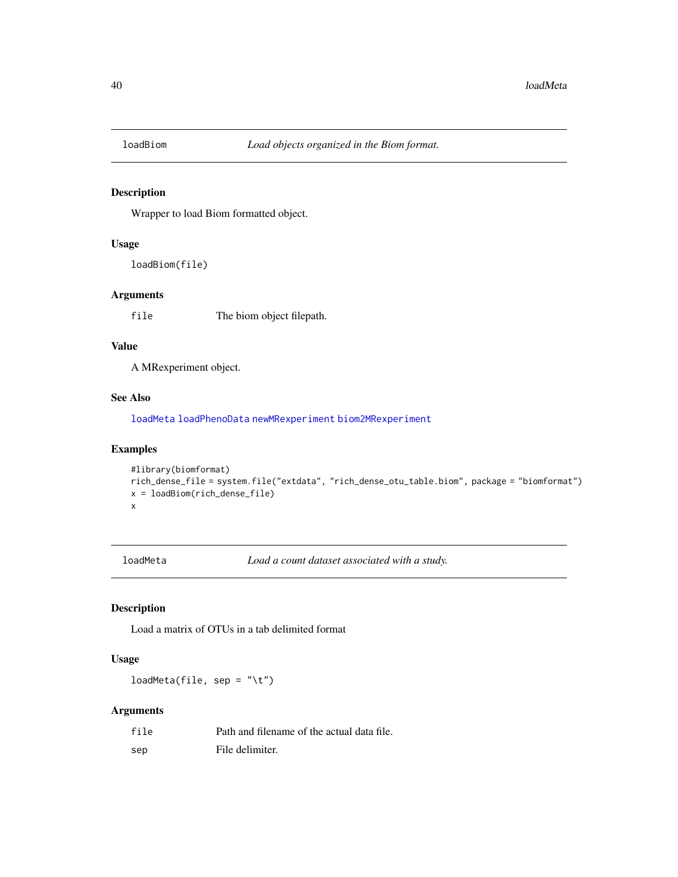<span id="page-39-1"></span>

Wrapper to load Biom formatted object.

# Usage

loadBiom(file)

## Arguments

file The biom object filepath.

#### Value

A MRexperiment object.

### See Also

[loadMeta](#page-39-0) [loadPhenoData](#page-41-0) [newMRexperiment](#page-54-0) [biom2MRexperiment](#page-5-0)

# Examples

```
#library(biomformat)
rich_dense_file = system.file("extdata", "rich_dense_otu_table.biom", package = "biomformat")
x = loadBiom(rich_dense_file)
x
```
<span id="page-39-0"></span>loadMeta *Load a count dataset associated with a study.*

# Description

Load a matrix of OTUs in a tab delimited format

## Usage

loadMeta(file, sep = "\t")

# Arguments

| file | Path and filename of the actual data file. |
|------|--------------------------------------------|
| sep  | File delimiter.                            |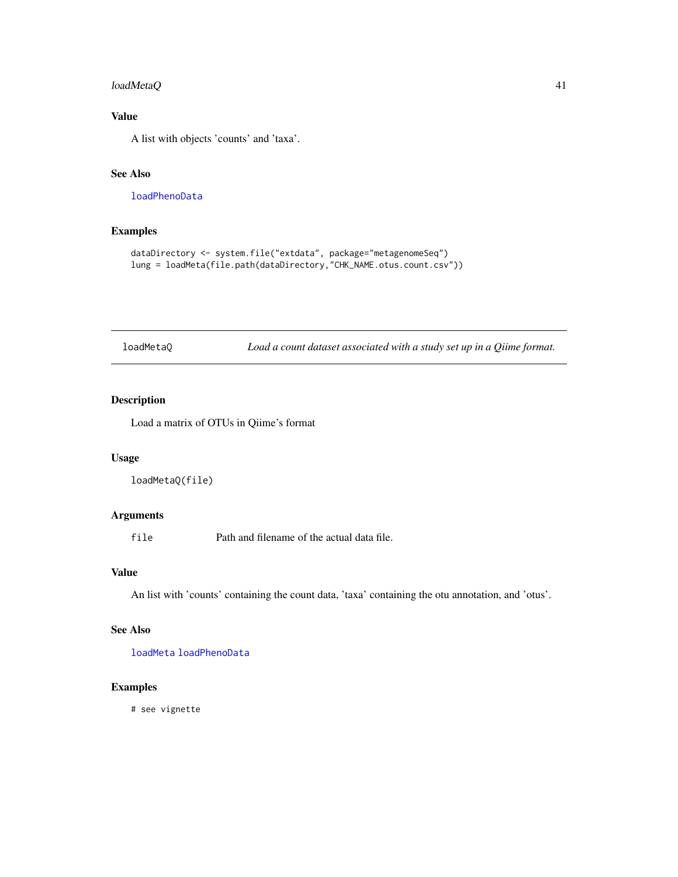# loadMetaQ 41

# Value

A list with objects 'counts' and 'taxa'.

# See Also

[loadPhenoData](#page-41-0)

# Examples

```
dataDirectory <- system.file("extdata", package="metagenomeSeq")
lung = loadMeta(file.path(dataDirectory,"CHK_NAME.otus.count.csv"))
```
loadMetaQ *Load a count dataset associated with a study set up in a Qiime format.*

#### Description

Load a matrix of OTUs in Qiime's format

### Usage

```
loadMetaQ(file)
```
# Arguments

file Path and filename of the actual data file.

#### Value

An list with 'counts' containing the count data, 'taxa' containing the otu annotation, and 'otus'.

# See Also

[loadMeta](#page-39-0) [loadPhenoData](#page-41-0)

# Examples

# see vignette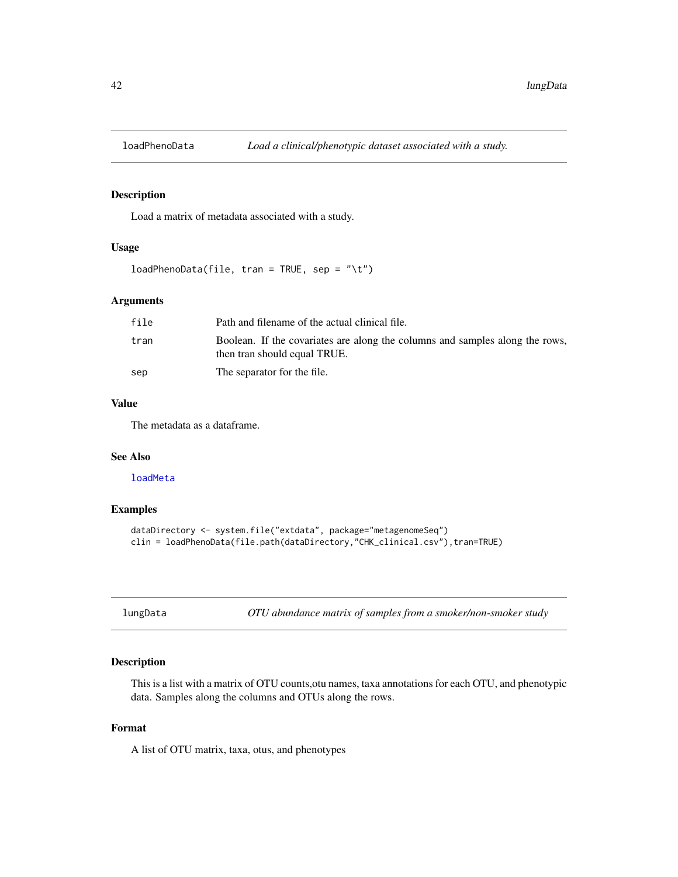<span id="page-41-0"></span>

Load a matrix of metadata associated with a study.

#### Usage

loadPhenoData(file, tran = TRUE, sep = "\t")

# Arguments

| file | Path and filename of the actual clinical file.                                                               |
|------|--------------------------------------------------------------------------------------------------------------|
| tran | Boolean. If the covariates are along the columns and samples along the rows,<br>then tran should equal TRUE. |
| sep  | The separator for the file.                                                                                  |

# Value

The metadata as a dataframe.

### See Also

[loadMeta](#page-39-0)

# Examples

```
dataDirectory <- system.file("extdata", package="metagenomeSeq")
clin = loadPhenoData(file.path(dataDirectory,"CHK_clinical.csv"),tran=TRUE)
```
OTU abundance matrix of samples from a smoker/non-smoker study

#### Description

This is a list with a matrix of OTU counts,otu names, taxa annotations for each OTU, and phenotypic data. Samples along the columns and OTUs along the rows.

#### Format

A list of OTU matrix, taxa, otus, and phenotypes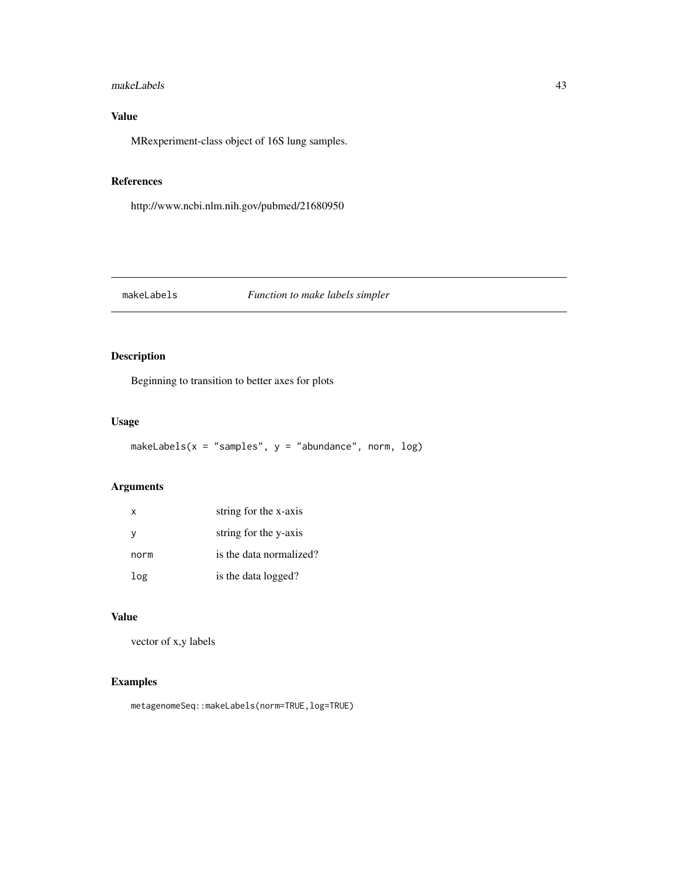#### makeLabels 43

# Value

MRexperiment-class object of 16S lung samples.

#### References

http://www.ncbi.nlm.nih.gov/pubmed/21680950

# makeLabels *Function to make labels simpler*

# Description

Beginning to transition to better axes for plots

# Usage

```
makeLabels(x ="samples", y ="abundance", norm, log)
```
# Arguments

| х    | string for the x-axis   |
|------|-------------------------|
| V    | string for the y-axis   |
| norm | is the data normalized? |
| log  | is the data logged?     |

# Value

vector of x,y labels

# Examples

metagenomeSeq::makeLabels(norm=TRUE,log=TRUE)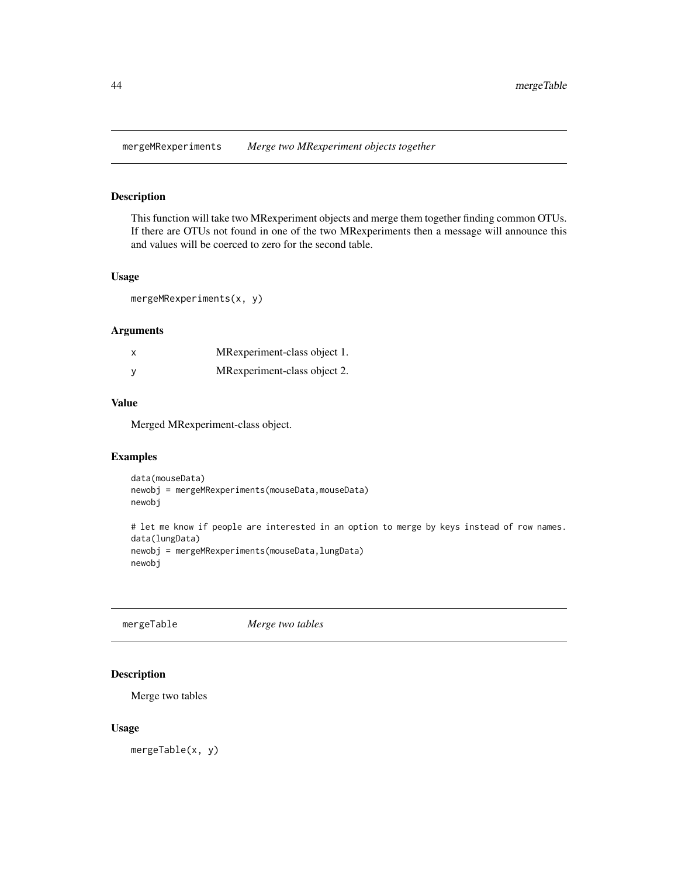mergeMRexperiments *Merge two MRexperiment objects together*

### Description

This function will take two MRexperiment objects and merge them together finding common OTUs. If there are OTUs not found in one of the two MRexperiments then a message will announce this and values will be coerced to zero for the second table.

#### Usage

mergeMRexperiments(x, y)

#### Arguments

| x | MRexperiment-class object 1. |
|---|------------------------------|
|   | MRexperiment-class object 2. |

#### Value

Merged MRexperiment-class object.

### Examples

```
data(mouseData)
newobj = mergeMRexperiments(mouseData,mouseData)
newobj
```

```
# let me know if people are interested in an option to merge by keys instead of row names.
data(lungData)
newobj = mergeMRexperiments(mouseData,lungData)
newobj
```
mergeTable *Merge two tables*

### Description

Merge two tables

#### Usage

mergeTable(x, y)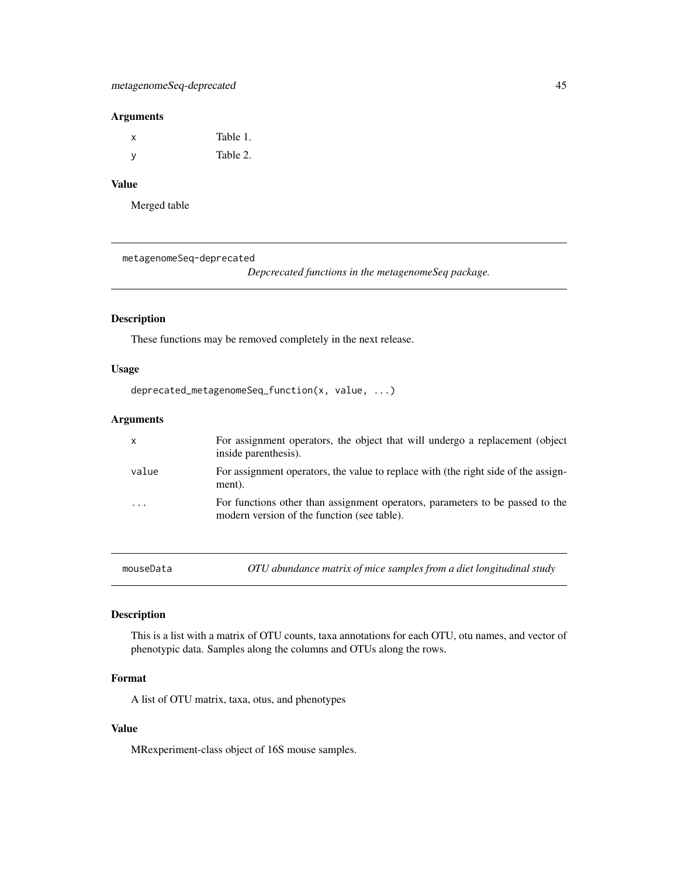### Arguments

| x | Table 1. |
|---|----------|
| v | Table 2. |

# Value

Merged table

metagenomeSeq-deprecated

*Depcrecated functions in the metagenomeSeq package.*

## Description

These functions may be removed completely in the next release.

### Usage

```
deprecated_metagenomeSeq_function(x, value, ...)
```
## Arguments

| X                       | For assignment operators, the object that will undergo a replacement (object<br>inside parenthesis).                         |
|-------------------------|------------------------------------------------------------------------------------------------------------------------------|
| value                   | For assignment operators, the value to replace with (the right side of the assign-<br>ment).                                 |
| $\cdot$ $\cdot$ $\cdot$ | For functions other than assignment operators, parameters to be passed to the<br>modern version of the function (see table). |
|                         |                                                                                                                              |

mouseData *OTU abundance matrix of mice samples from a diet longitudinal study*

# Description

This is a list with a matrix of OTU counts, taxa annotations for each OTU, otu names, and vector of phenotypic data. Samples along the columns and OTUs along the rows.

# Format

A list of OTU matrix, taxa, otus, and phenotypes

## Value

MRexperiment-class object of 16S mouse samples.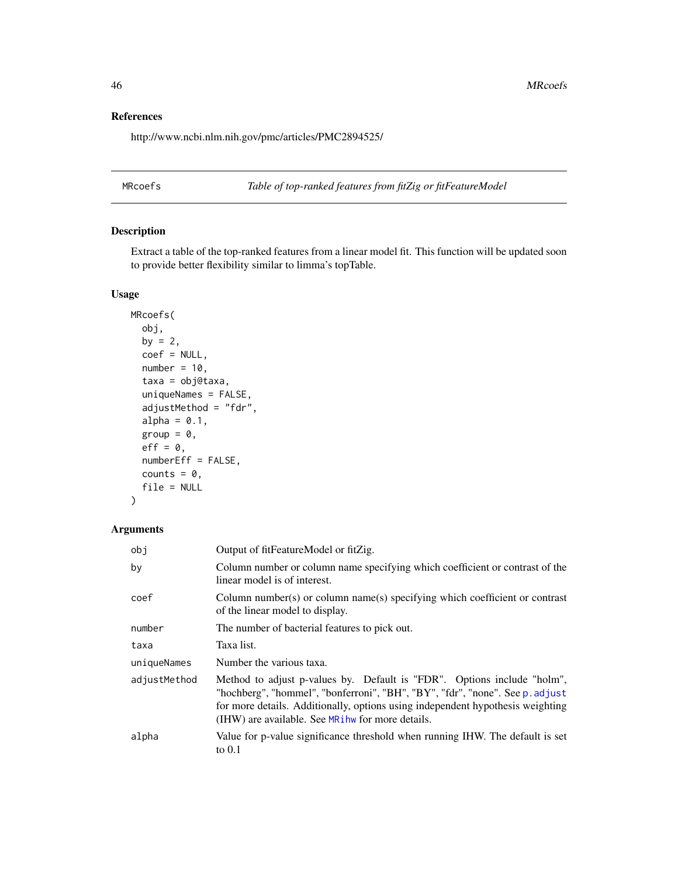As a set of the set of the set of the set of the set of the set of the MRcoefs and the MRcoefs and the set of the set of the set of the set of the set of the set of the set of the set of the set of the set of the set of th

## References

http://www.ncbi.nlm.nih.gov/pmc/articles/PMC2894525/

<span id="page-45-0"></span>MRcoefs *Table of top-ranked features from fitZig or fitFeatureModel*

# Description

Extract a table of the top-ranked features from a linear model fit. This function will be updated soon to provide better flexibility similar to limma's topTable.

### Usage

```
MRcoefs(
  obj,
 by = 2,
  coef = NULL,number = 10,
  taxa = obj@taxa,
  uniqueNames = FALSE,
  adjustMethod = "fdr",
  alpha = 0.1,
  group = 0,eff = 0,
  numberEff = FALSE,
  counts = 0,
  file = NULL
)
```
# Arguments

| obj          | Output of fitFeatureModel or fitZig.                                                                                                                                                                                                                                                          |
|--------------|-----------------------------------------------------------------------------------------------------------------------------------------------------------------------------------------------------------------------------------------------------------------------------------------------|
| by           | Column number or column name specifying which coefficient or contrast of the<br>linear model is of interest.                                                                                                                                                                                  |
| coef         | Column number(s) or column name(s) specifying which coefficient or contrast<br>of the linear model to display.                                                                                                                                                                                |
| number       | The number of bacterial features to pick out.                                                                                                                                                                                                                                                 |
| taxa         | Taxa list.                                                                                                                                                                                                                                                                                    |
| uniqueNames  | Number the various taxa.                                                                                                                                                                                                                                                                      |
| adjustMethod | Method to adjust p-values by. Default is "FDR". Options include "holm",<br>"hochberg", "hommel", "bonferroni", "BH", "BY", "fdr", "none". See p. adjust<br>for more details. Additionally, options using independent hypothesis weighting<br>(IHW) are available. See MRihw for more details. |
| alpha        | Value for p-value significance threshold when running IHW. The default is set<br>to $0.1$                                                                                                                                                                                                     |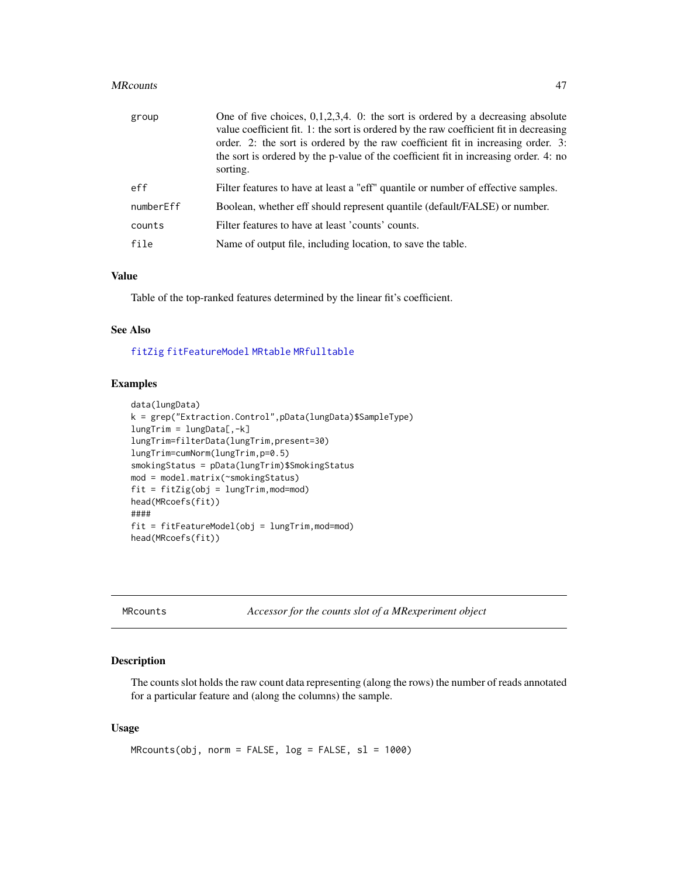#### MRcounts **All Accounts** 47

| group     | One of five choices, $0,1,2,3,4$ . 0: the sort is ordered by a decreasing absolute<br>value coefficient fit. 1: the sort is ordered by the raw coefficient fit in decreasing<br>order. 2: the sort is ordered by the raw coefficient fit in increasing order. 3:<br>the sort is ordered by the p-value of the coefficient fit in increasing order. 4: no<br>sorting. |
|-----------|----------------------------------------------------------------------------------------------------------------------------------------------------------------------------------------------------------------------------------------------------------------------------------------------------------------------------------------------------------------------|
| eff       | Filter features to have at least a "eff" quantile or number of effective samples.                                                                                                                                                                                                                                                                                    |
| numberEff | Boolean, whether eff should represent quantile (default/FALSE) or number.                                                                                                                                                                                                                                                                                            |
| counts    | Filter features to have at least 'counts' counts.                                                                                                                                                                                                                                                                                                                    |
| file      | Name of output file, including location, to save the table.                                                                                                                                                                                                                                                                                                          |

#### Value

Table of the top-ranked features determined by the linear fit's coefficient.

#### See Also

[fitZig](#page-31-0) [fitFeatureModel](#page-22-0) [MRtable](#page-52-0) [MRfulltable](#page-49-0)

### Examples

```
data(lungData)
k = grep("Extraction.Control",pData(lungData)$SampleType)
lungTrim = lungData[, -k]lungTrim=filterData(lungTrim,present=30)
lungTrim=cumNorm(lungTrim,p=0.5)
smokingStatus = pData(lungTrim)$SmokingStatus
mod = model.matrix(~smokingStatus)
fit = fitZig(obj = lungTrim,mod=mod)head(MRcoefs(fit))
####
fit = fitFeatureModel(obj = lungTrim,mod=mod)head(MRcoefs(fit))
```
<span id="page-46-0"></span>MRcounts *Accessor for the counts slot of a MRexperiment object*

### Description

The counts slot holds the raw count data representing (along the rows) the number of reads annotated for a particular feature and (along the columns) the sample.

#### Usage

 $MRcounts(obj, norm = FALSE, log = FALSE, sl = 1000)$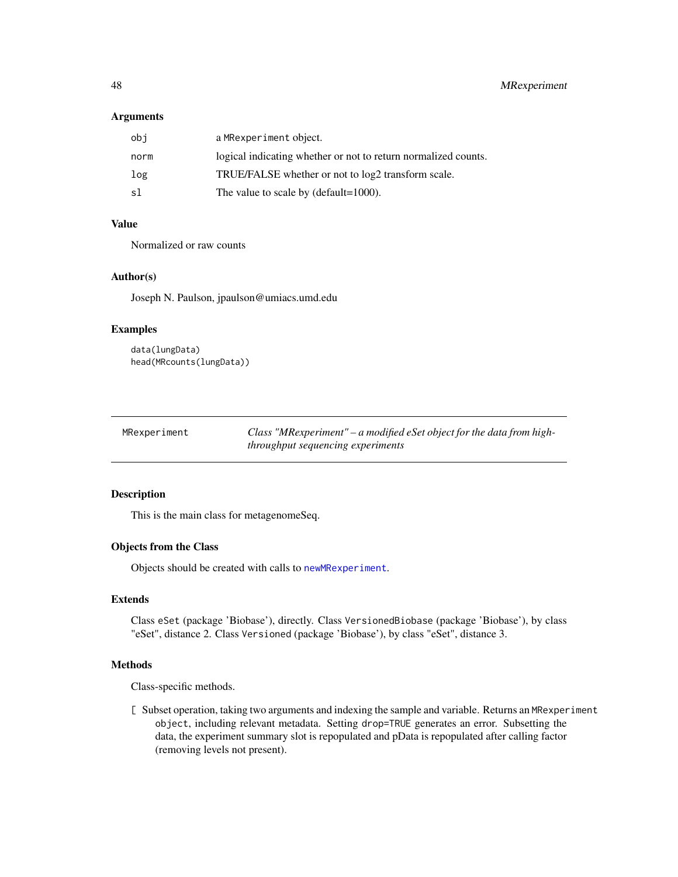#### Arguments

| obi  | a MRexperiment object.                                         |
|------|----------------------------------------------------------------|
| norm | logical indicating whether or not to return normalized counts. |
| log  | TRUE/FALSE whether or not to log2 transform scale.             |
| sl   | The value to scale by (default=1000).                          |

# Value

Normalized or raw counts

### Author(s)

Joseph N. Paulson, jpaulson@umiacs.umd.edu

### Examples

```
data(lungData)
head(MRcounts(lungData))
```

| MRexperiment | Class "MRexperiment" – a modified eSet object for the data from high- |
|--------------|-----------------------------------------------------------------------|
|              | <i>throughput sequencing experiments</i>                              |

# <span id="page-47-0"></span>Description

This is the main class for metagenomeSeq.

# Objects from the Class

Objects should be created with calls to [newMRexperiment](#page-54-0).

#### Extends

Class eSet (package 'Biobase'), directly. Class VersionedBiobase (package 'Biobase'), by class "eSet", distance 2. Class Versioned (package 'Biobase'), by class "eSet", distance 3.

# Methods

Class-specific methods.

[ Subset operation, taking two arguments and indexing the sample and variable. Returns an MRexperiment object, including relevant metadata. Setting drop=TRUE generates an error. Subsetting the data, the experiment summary slot is repopulated and pData is repopulated after calling factor (removing levels not present).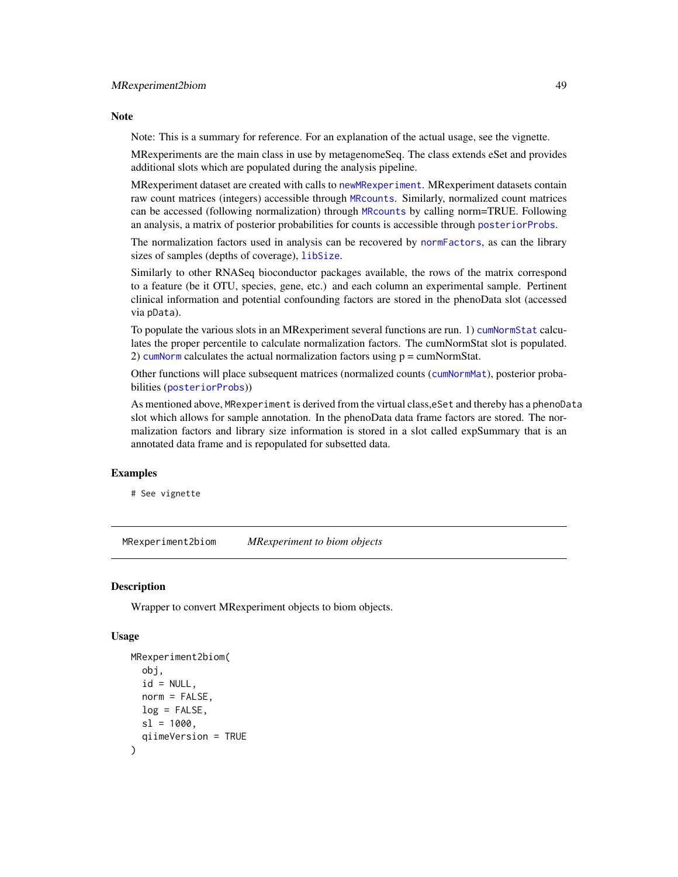#### **Note**

Note: This is a summary for reference. For an explanation of the actual usage, see the vignette.

MRexperiments are the main class in use by metagenomeSeq. The class extends eSet and provides additional slots which are populated during the analysis pipeline.

MRexperiment dataset are created with calls to [newMRexperiment](#page-54-0). MRexperiment datasets contain raw count matrices (integers) accessible through [MRcounts](#page-46-0). Similarly, normalized count matrices can be accessed (following normalization) through [MRcounts](#page-46-0) by calling norm=TRUE. Following an analysis, a matrix of posterior probabilities for counts is accessible through [posteriorProbs](#page-68-0).

The normalization factors used in analysis can be recovered by [normFactors](#page-55-0), as can the library sizes of samples (depths of coverage), [libSize](#page-37-0).

Similarly to other RNASeq bioconductor packages available, the rows of the matrix correspond to a feature (be it OTU, species, gene, etc.) and each column an experimental sample. Pertinent clinical information and potential confounding factors are stored in the phenoData slot (accessed via pData).

To populate the various slots in an MRexperiment several functions are run. 1) [cumNormStat](#page-13-0) calculates the proper percentile to calculate normalization factors. The cumNormStat slot is populated. 2) [cumNorm](#page-12-0) calculates the actual normalization factors using  $p = \text{cumNormStat.}$ 

Other functions will place subsequent matrices (normalized counts ([cumNormMat](#page-13-1)), posterior probabilities ([posteriorProbs](#page-68-0)))

As mentioned above, MRexperiment is derived from the virtual class,eSet and thereby has a phenoData slot which allows for sample annotation. In the phenoData data frame factors are stored. The normalization factors and library size information is stored in a slot called expSummary that is an annotated data frame and is repopulated for subsetted data.

#### Examples

# See vignette

MRexperiment2biom *MRexperiment to biom objects*

#### **Description**

Wrapper to convert MRexperiment objects to biom objects.

#### Usage

```
MRexperiment2biom(
  obj,
  id = NULL,norm = FALSE,
  log = FALSE,
  sl = 1000,qiimeVersion = TRUE
)
```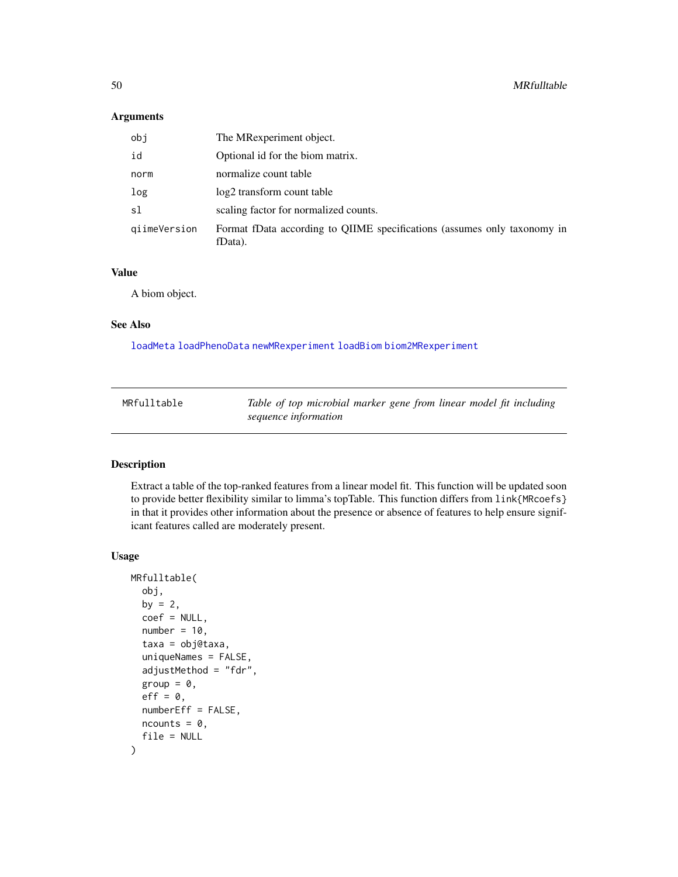## Arguments

| obi          | The MRexperiment object.                                                            |
|--------------|-------------------------------------------------------------------------------------|
| id           | Optional id for the biom matrix.                                                    |
| norm         | normalize count table                                                               |
| log          | log2 transform count table                                                          |
| sl           | scaling factor for normalized counts.                                               |
| qiimeVersion | Format fData according to QIIME specifications (assumes only taxonomy in<br>fData). |

# Value

A biom object.

### See Also

[loadMeta](#page-39-0) [loadPhenoData](#page-41-0) [newMRexperiment](#page-54-0) [loadBiom](#page-39-1) [biom2MRexperiment](#page-5-0)

<span id="page-49-0"></span>

| MRfulltable | Table of top microbial marker gene from linear model fit including |
|-------------|--------------------------------------------------------------------|
|             | sequence information                                               |

## Description

Extract a table of the top-ranked features from a linear model fit. This function will be updated soon to provide better flexibility similar to limma's topTable. This function differs from link{MRcoefs} in that it provides other information about the presence or absence of features to help ensure significant features called are moderately present.

### Usage

```
MRfulltable(
  obj,
 by = 2,
  coef = NULL,
  number = 10,taxa = obj@taxa,
  uniqueNames = FALSE,
  adjustMethod = "fdr",
  group = 0,eff = 0,
  numberEff = FALSE,
  ncounts = 0,
  file = NULL
)
```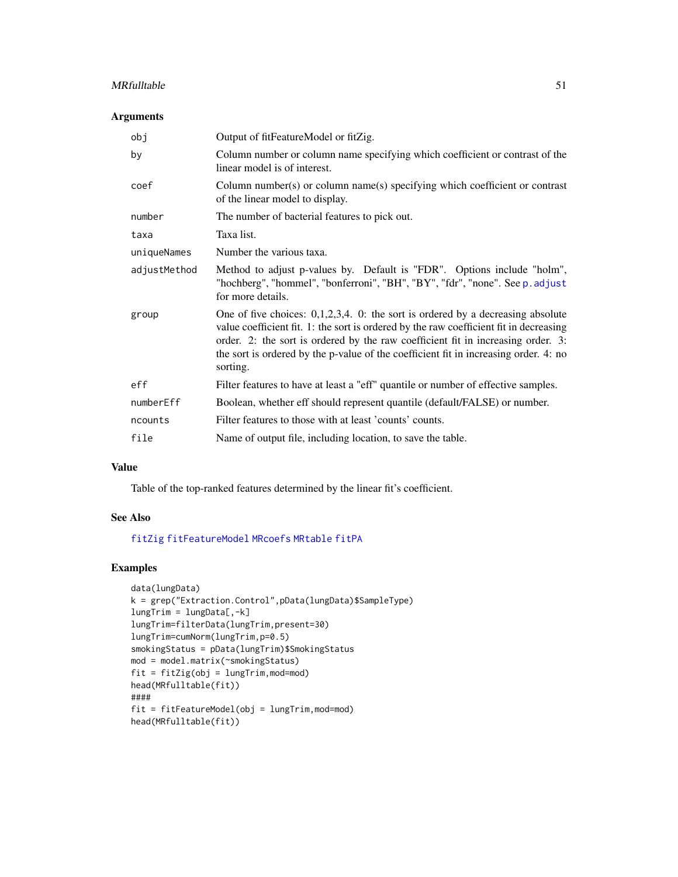#### MRfulltable 51

### Arguments

| obj          | Output of fitFeatureModel or fitZig.                                                                                                                                                                                                                                                                                                                                 |
|--------------|----------------------------------------------------------------------------------------------------------------------------------------------------------------------------------------------------------------------------------------------------------------------------------------------------------------------------------------------------------------------|
| by           | Column number or column name specifying which coefficient or contrast of the<br>linear model is of interest.                                                                                                                                                                                                                                                         |
| coef         | Column number(s) or column name(s) specifying which coefficient or contrast<br>of the linear model to display.                                                                                                                                                                                                                                                       |
| number       | The number of bacterial features to pick out.                                                                                                                                                                                                                                                                                                                        |
| taxa         | Taxa list.                                                                                                                                                                                                                                                                                                                                                           |
| uniqueNames  | Number the various taxa.                                                                                                                                                                                                                                                                                                                                             |
| adjustMethod | Method to adjust p-values by. Default is "FDR". Options include "holm",<br>"hochberg", "hommel", "bonferroni", "BH", "BY", "fdr", "none". See p. adjust<br>for more details.                                                                                                                                                                                         |
| group        | One of five choices: $0,1,2,3,4$ . 0: the sort is ordered by a decreasing absolute<br>value coefficient fit. 1: the sort is ordered by the raw coefficient fit in decreasing<br>order. 2: the sort is ordered by the raw coefficient fit in increasing order. 3:<br>the sort is ordered by the p-value of the coefficient fit in increasing order. 4: no<br>sorting. |
| eff          | Filter features to have at least a "eff" quantile or number of effective samples.                                                                                                                                                                                                                                                                                    |
| numberEff    | Boolean, whether eff should represent quantile (default/FALSE) or number.                                                                                                                                                                                                                                                                                            |
| ncounts      | Filter features to those with at least 'counts' counts.                                                                                                                                                                                                                                                                                                              |
| file         | Name of output file, including location, to save the table.                                                                                                                                                                                                                                                                                                          |
|              |                                                                                                                                                                                                                                                                                                                                                                      |

#### Value

Table of the top-ranked features determined by the linear fit's coefficient.

# See Also

# [fitZig](#page-31-0) [fitFeatureModel](#page-22-0) [MRcoefs](#page-45-0) [MRtable](#page-52-0) [fitPA](#page-26-0)

```
data(lungData)
k = grep("Extraction.Control",pData(lungData)$SampleType)
lungTrim = lungData[,-k]
lungTrim=filterData(lungTrim,present=30)
lungTrim=cumNorm(lungTrim,p=0.5)
smokingStatus = pData(lungTrim)$SmokingStatus
mod = model.matrix(~smokingStatus)
fit = fitZig(obj = lungTrim,mod=mod)
head(MRfulltable(fit))
####
fit = fitFeatureModel(obj = lungTrim,mod=mod)
head(MRfulltable(fit))
```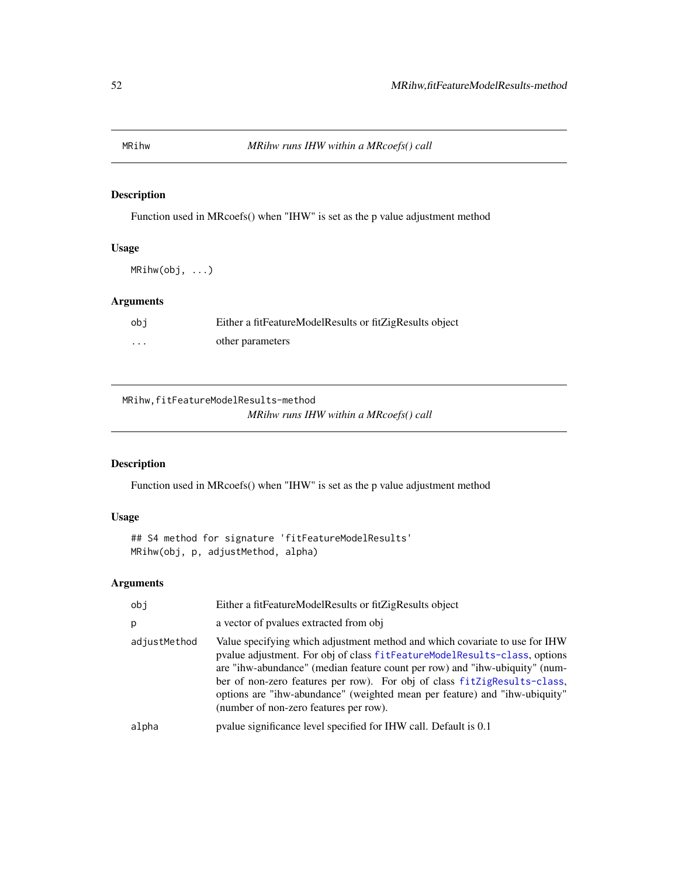<span id="page-51-0"></span>

Function used in MRcoefs() when "IHW" is set as the p value adjustment method

#### Usage

MRihw(obj, ...)

# Arguments

| obi      | Either a fitFeatureModelResults or fitZigResults object |
|----------|---------------------------------------------------------|
| $\cdots$ | other parameters                                        |

MRihw,fitFeatureModelResults-method *MRihw runs IHW within a MRcoefs() call*

# Description

Function used in MRcoefs() when "IHW" is set as the p value adjustment method

# Usage

```
## S4 method for signature 'fitFeatureModelResults'
MRihw(obj, p, adjustMethod, alpha)
```
# Arguments

| obj          | Either a fitFeatureModelResults or fitZigResults object                                                                                                                                                                                                                                                                                                                                                                                     |
|--------------|---------------------------------------------------------------------------------------------------------------------------------------------------------------------------------------------------------------------------------------------------------------------------------------------------------------------------------------------------------------------------------------------------------------------------------------------|
| p            | a vector of pyalues extracted from obj                                                                                                                                                                                                                                                                                                                                                                                                      |
| adjustMethod | Value specifying which adjustment method and which covariate to use for IHW<br>pvalue adjustment. For obj of class fitFeatureModelResults-class, options<br>are "ihw-abundance" (median feature count per row) and "ihw-ubiquity" (num-<br>ber of non-zero features per row). For obj of class fitZigResults-class,<br>options are "ihw-abundance" (weighted mean per feature) and "ihw-ubiquity"<br>(number of non-zero features per row). |
| alpha        | pvalue significance level specified for IHW call. Default is 0.1                                                                                                                                                                                                                                                                                                                                                                            |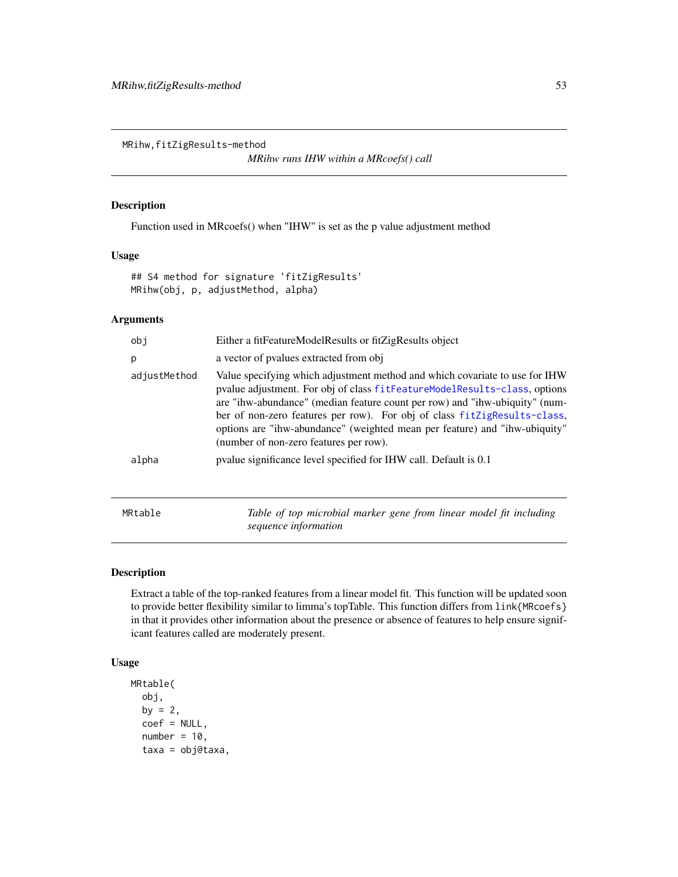MRihw,fitZigResults-method

*MRihw runs IHW within a MRcoefs() call*

#### Description

Function used in MRcoefs() when "IHW" is set as the p value adjustment method

## Usage

```
## S4 method for signature 'fitZigResults'
MRihw(obj, p, adjustMethod, alpha)
```
# Arguments

| obi          | Either a fitFeatureModelResults or fitZigResults object                                                                                                                                                                                                                                                                                                                                                                                     |
|--------------|---------------------------------------------------------------------------------------------------------------------------------------------------------------------------------------------------------------------------------------------------------------------------------------------------------------------------------------------------------------------------------------------------------------------------------------------|
| p            | a vector of pyalues extracted from obj                                                                                                                                                                                                                                                                                                                                                                                                      |
| adjustMethod | Value specifying which adjustment method and which covariate to use for IHW<br>pvalue adjustment. For obj of class fitFeatureModelResults-class, options<br>are "ihw-abundance" (median feature count per row) and "ihw-ubiquity" (num-<br>ber of non-zero features per row). For obj of class fitZigResults-class,<br>options are "ihw-abundance" (weighted mean per feature) and "ihw-ubiquity"<br>(number of non-zero features per row). |
| alpha        | pvalue significance level specified for IHW call. Default is 0.1                                                                                                                                                                                                                                                                                                                                                                            |
|              |                                                                                                                                                                                                                                                                                                                                                                                                                                             |

<span id="page-52-0"></span>MRtable *Table of top microbial marker gene from linear model fit including sequence information*

# Description

Extract a table of the top-ranked features from a linear model fit. This function will be updated soon to provide better flexibility similar to limma's topTable. This function differs from link{MRcoefs} in that it provides other information about the presence or absence of features to help ensure significant features called are moderately present.

#### Usage

```
MRtable(
  obj,
 by = 2,
  coef = NULL,
  number = 10,
  taxa = obj@taxa,
```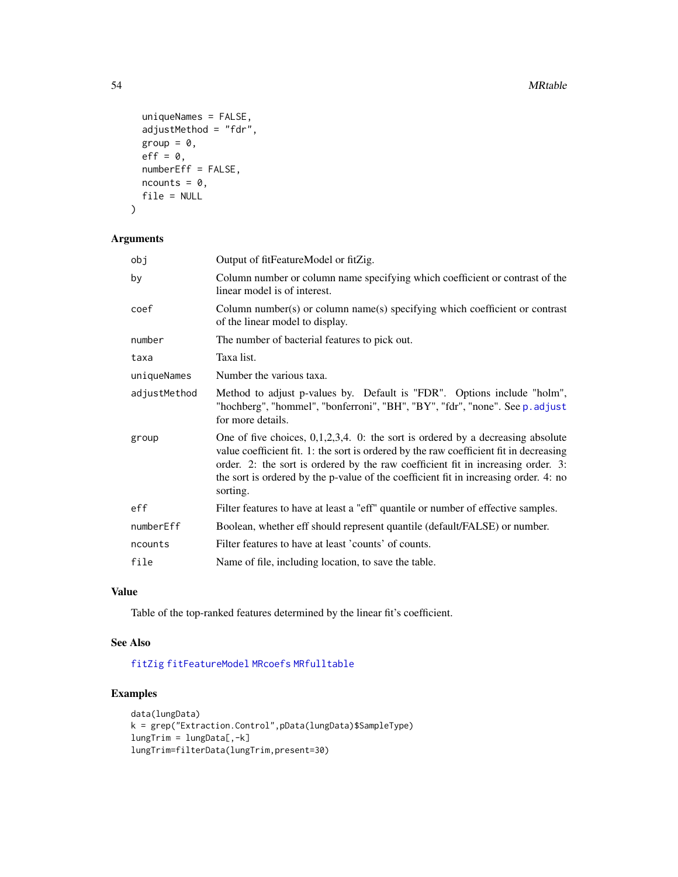```
uniqueNames = FALSE,
  adjustMethod = "fdr",group = 0,eff = 0,
  numberEff = FALSE,
 ncounts = 0,
 file = NULL
\mathcal{L}
```
# Arguments

| obj          | Output of fitFeatureModel or fitZig.                                                                                                                                                                                                                                                                                                                                 |  |
|--------------|----------------------------------------------------------------------------------------------------------------------------------------------------------------------------------------------------------------------------------------------------------------------------------------------------------------------------------------------------------------------|--|
| by           | Column number or column name specifying which coefficient or contrast of the<br>linear model is of interest.                                                                                                                                                                                                                                                         |  |
| coef         | Column number(s) or column name(s) specifying which coefficient or contrast<br>of the linear model to display.                                                                                                                                                                                                                                                       |  |
| number       | The number of bacterial features to pick out.                                                                                                                                                                                                                                                                                                                        |  |
| taxa         | Taxa list.                                                                                                                                                                                                                                                                                                                                                           |  |
| uniqueNames  | Number the various taxa.                                                                                                                                                                                                                                                                                                                                             |  |
| adjustMethod | Method to adjust p-values by. Default is "FDR". Options include "holm",<br>"hochberg", "hommel", "bonferroni", "BH", "BY", "fdr", "none". See p. adjust<br>for more details.                                                                                                                                                                                         |  |
| group        | One of five choices, $0,1,2,3,4$ . 0: the sort is ordered by a decreasing absolute<br>value coefficient fit. 1: the sort is ordered by the raw coefficient fit in decreasing<br>order. 2: the sort is ordered by the raw coefficient fit in increasing order. 3:<br>the sort is ordered by the p-value of the coefficient fit in increasing order. 4: no<br>sorting. |  |
| eff          | Filter features to have at least a "eff" quantile or number of effective samples.                                                                                                                                                                                                                                                                                    |  |
| numberEff    | Boolean, whether eff should represent quantile (default/FALSE) or number.                                                                                                                                                                                                                                                                                            |  |
| ncounts      | Filter features to have at least 'counts' of counts.                                                                                                                                                                                                                                                                                                                 |  |
| file         | Name of file, including location, to save the table.                                                                                                                                                                                                                                                                                                                 |  |

# Value

Table of the top-ranked features determined by the linear fit's coefficient.

## See Also

[fitZig](#page-31-0) [fitFeatureModel](#page-22-0) [MRcoefs](#page-45-0) [MRfulltable](#page-49-0)

```
data(lungData)
k = grep("Extraction.Control",pData(lungData)$SampleType)
lungTrim = lungData[, -k]lungTrim=filterData(lungTrim,present=30)
```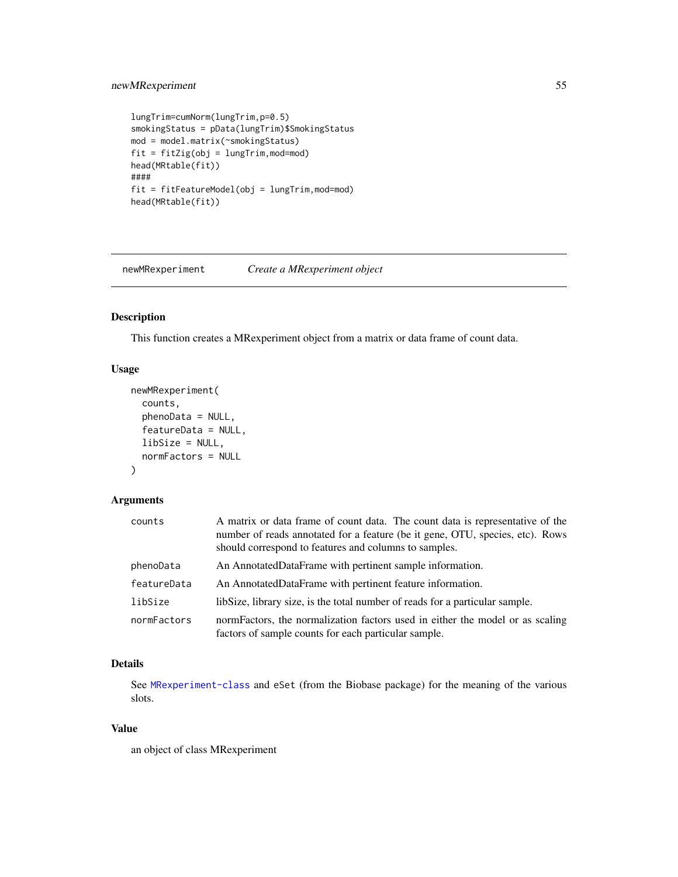# newMRexperiment 55

```
lungTrim=cumNorm(lungTrim,p=0.5)
smokingStatus = pData(lungTrim)$SmokingStatus
mod = model.matrix(~smokingStatus)
fit = fitZig(obj = lungTrim,mod=mod)head(MRtable(fit))
####
fit = fitFeatureModel(obj = lungTrim,mod=mod)
head(MRtable(fit))
```
<span id="page-54-0"></span>newMRexperiment *Create a MRexperiment object*

# Description

This function creates a MRexperiment object from a matrix or data frame of count data.

#### Usage

```
newMRexperiment(
  counts,
  phenoData = NULL,
  featureData = NULL,
  libSize = NULL,
  normFactors = NULL
)
```
# Arguments

| counts      | A matrix or data frame of count data. The count data is representative of the<br>number of reads annotated for a feature (be it gene, OTU, species, etc). Rows<br>should correspond to features and columns to samples. |
|-------------|-------------------------------------------------------------------------------------------------------------------------------------------------------------------------------------------------------------------------|
| phenoData   | An AnnotatedDataFrame with pertinent sample information.                                                                                                                                                                |
| featureData | An AnnotatedDataFrame with pertinent feature information.                                                                                                                                                               |
| libSize     | libSize, library size, is the total number of reads for a particular sample.                                                                                                                                            |
| normFactors | normFactors, the normalization factors used in either the model or as scaling<br>factors of sample counts for each particular sample.                                                                                   |

# Details

See [MRexperiment-class](#page-47-0) and eSet (from the Biobase package) for the meaning of the various slots.

## Value

an object of class MRexperiment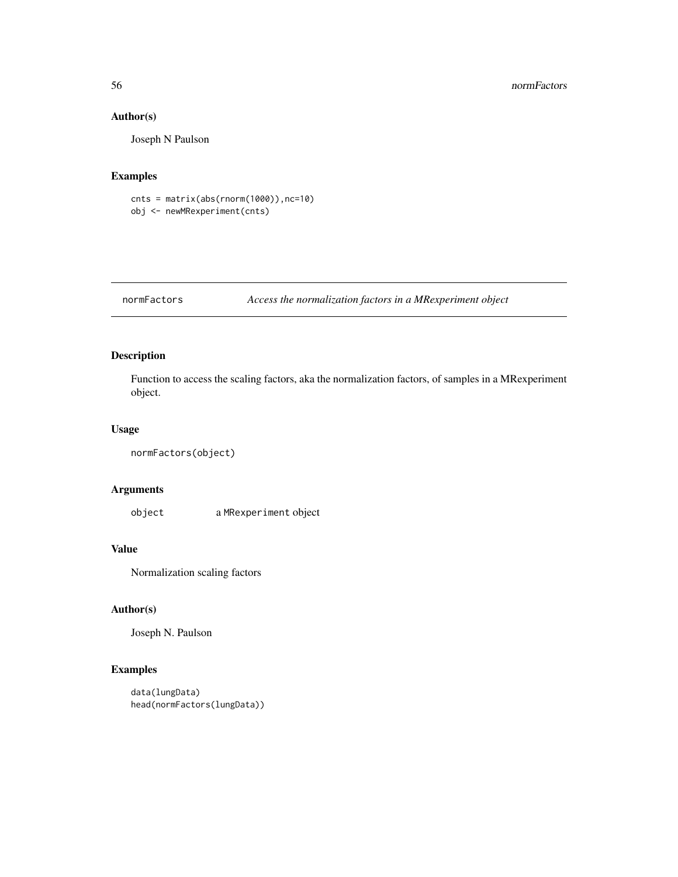## Author(s)

Joseph N Paulson

# Examples

cnts = matrix(abs(rnorm(1000)),nc=10) obj <- newMRexperiment(cnts)

<span id="page-55-0"></span>normFactors *Access the normalization factors in a MRexperiment object*

# Description

Function to access the scaling factors, aka the normalization factors, of samples in a MRexperiment object.

### Usage

```
normFactors(object)
```
### Arguments

object a MRexperiment object

### Value

Normalization scaling factors

# Author(s)

Joseph N. Paulson

```
data(lungData)
head(normFactors(lungData))
```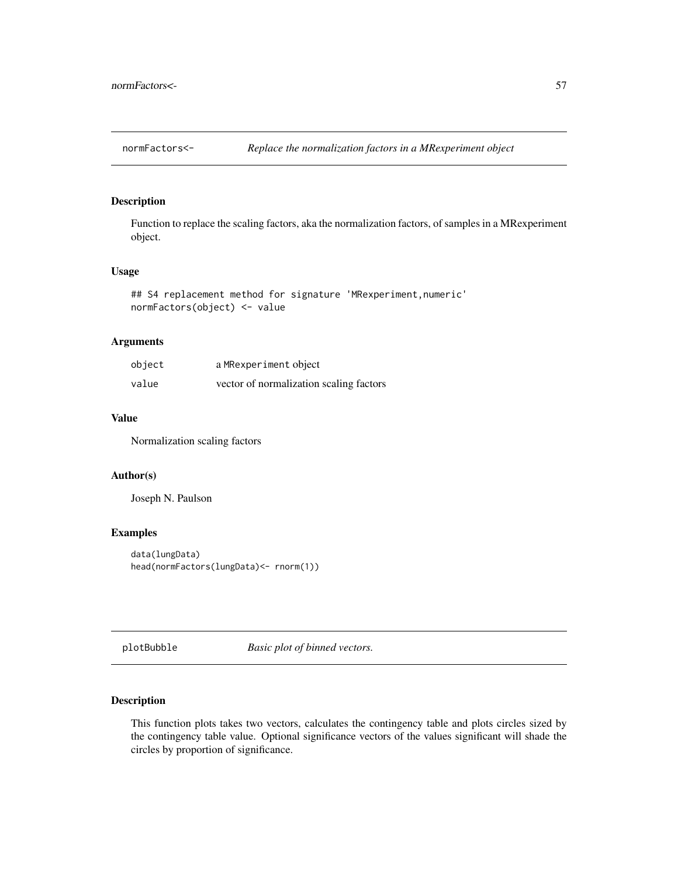Function to replace the scaling factors, aka the normalization factors, of samples in a MRexperiment object.

#### Usage

```
## S4 replacement method for signature 'MRexperiment, numeric'
normFactors(object) <- value
```
# Arguments

| object | a MRexperiment object                   |
|--------|-----------------------------------------|
| value  | vector of normalization scaling factors |

#### Value

Normalization scaling factors

#### Author(s)

Joseph N. Paulson

# Examples

```
data(lungData)
head(normFactors(lungData)<- rnorm(1))
```
plotBubble *Basic plot of binned vectors.*

### Description

This function plots takes two vectors, calculates the contingency table and plots circles sized by the contingency table value. Optional significance vectors of the values significant will shade the circles by proportion of significance.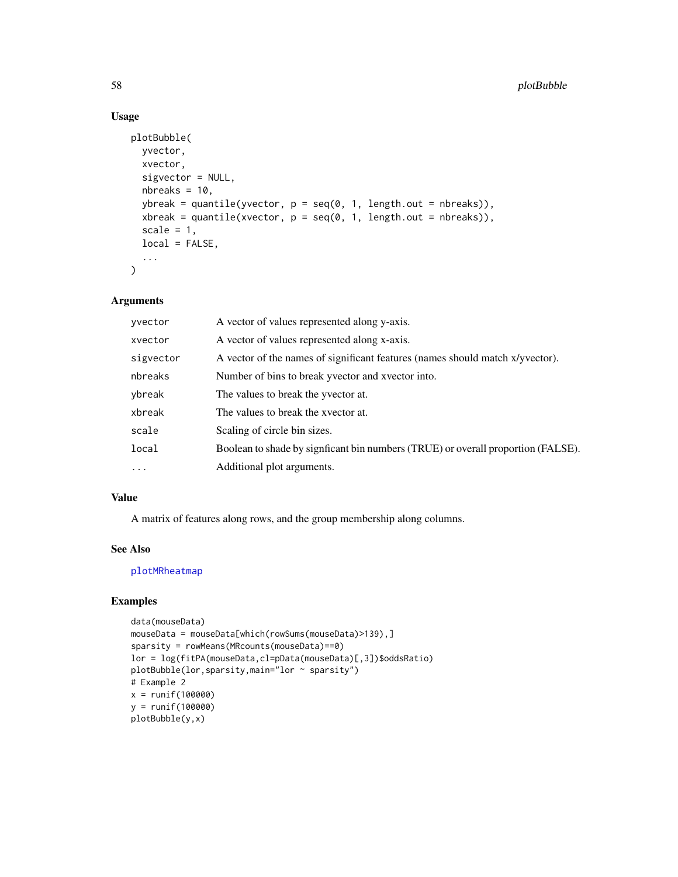# Usage

```
plotBubble(
 yvector,
 xvector,
 sigvector = NULL,
 nbreaks = 10,
 ybreak = quantile(yvector, p = seq(0, 1, length.out = nbreaks)),xbreak = quantile(xvector, p = seq(0, 1, length.out = nbreaks)),scale = 1,
 local = FALSE,
  ...
)
```
### Arguments

| yvector   | A vector of values represented along y-axis.                                      |
|-----------|-----------------------------------------------------------------------------------|
| xvector   | A vector of values represented along x-axis.                                      |
| sigvector | A vector of the names of significant features (names should match x/yvector).     |
| nbreaks   | Number of bins to break yvector and xvector into.                                 |
| ybreak    | The values to break the yvector at.                                               |
| xbreak    | The values to break the xvector at.                                               |
| scale     | Scaling of circle bin sizes.                                                      |
| local     | Boolean to shade by significant bin numbers (TRUE) or overall proportion (FALSE). |
| $\cdots$  | Additional plot arguments.                                                        |

### Value

A matrix of features along rows, and the group membership along columns.

### See Also

[plotMRheatmap](#page-62-0)

```
data(mouseData)
mouseData = mouseData[which(rowSums(mouseData)>139),]
sparsity = rowMeans(MRcounts(mouseData)==0)
lor = log(fitPA(mouseData,cl=pData(mouseData)[,3])$oddsRatio)
plotBubble(lor,sparsity,main="lor ~ sparsity")
# Example 2
x = runif(100000)
y = runif(100000)
plotBubble(y,x)
```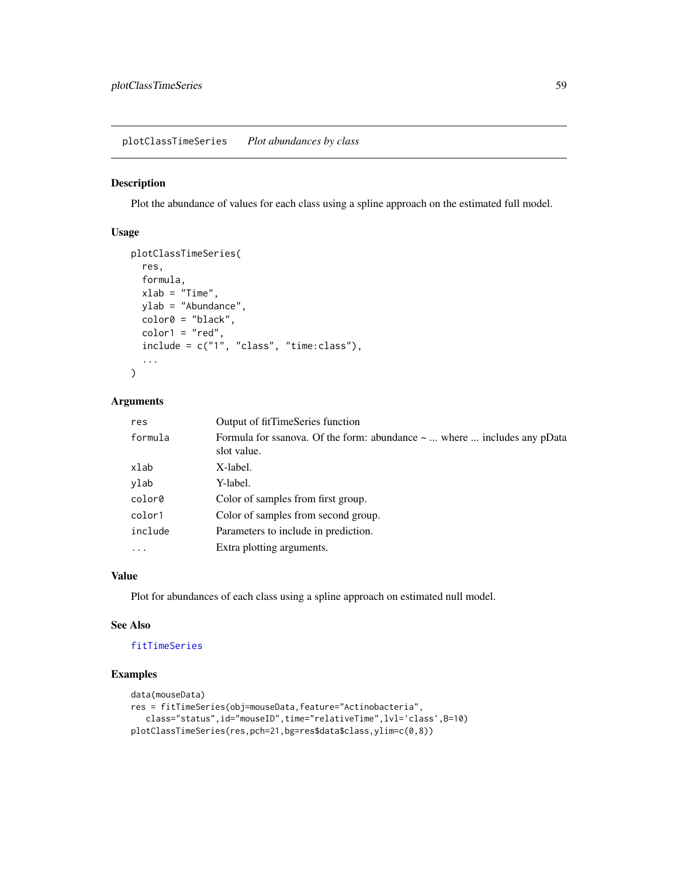plotClassTimeSeries *Plot abundances by class*

## Description

Plot the abundance of values for each class using a spline approach on the estimated full model.

# Usage

```
plotClassTimeSeries(
  res,
  formula,
 xlab = "Time",
 ylab = "Abundance",
 color@{thick} = "black",
  color1 = "red",include = c("1", "class", "time:class"),...
)
```
# Arguments

| res      | Output of fitTimeSeries function                                                            |
|----------|---------------------------------------------------------------------------------------------|
| formula  | Formula for ssanova. Of the form: abundance $\sim$ where  includes any pData<br>slot value. |
| xlab     | X-label.                                                                                    |
| ylab     | Y-label.                                                                                    |
| color0   | Color of samples from first group.                                                          |
| color1   | Color of samples from second group.                                                         |
| include  | Parameters to include in prediction.                                                        |
| $\cdots$ | Extra plotting arguments.                                                                   |
|          |                                                                                             |

#### Value

Plot for abundances of each class using a spline approach on estimated null model.

#### See Also

#### [fitTimeSeries](#page-28-0)

```
data(mouseData)
res = fitTimeSeries(obj=mouseData,feature="Actinobacteria",
  class="status",id="mouseID",time="relativeTime",lvl='class',B=10)
plotClassTimeSeries(res,pch=21,bg=res$data$class,ylim=c(0,8))
```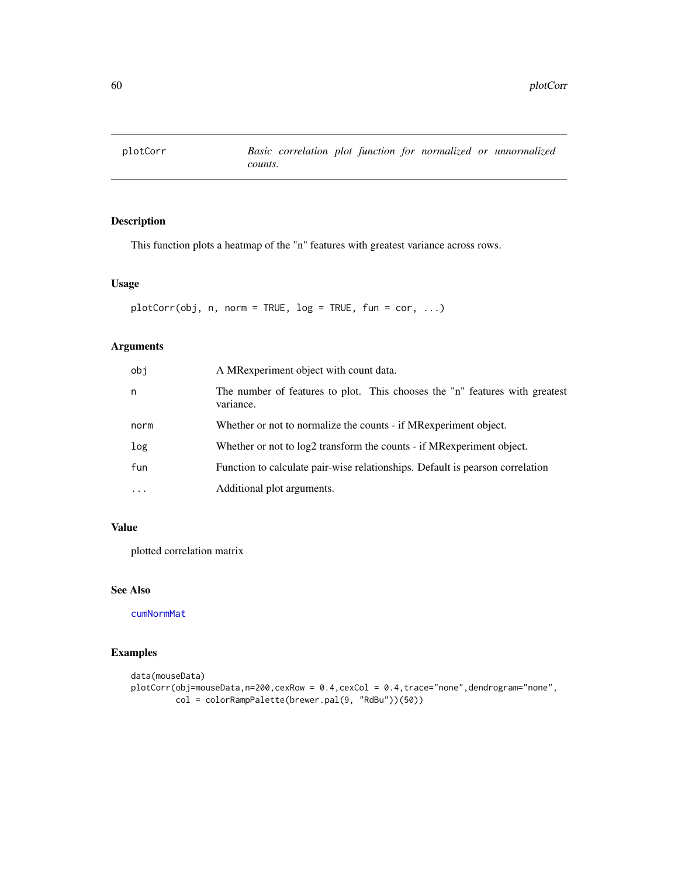<span id="page-59-0"></span>

This function plots a heatmap of the "n" features with greatest variance across rows.

# Usage

```
plotCorr(obj, n, norm = TRUE, log = TRUE, fun = cor, ...)
```
# Arguments

| obi      | A MRexperiment object with count data.                                                   |
|----------|------------------------------------------------------------------------------------------|
| n        | The number of features to plot. This chooses the "n" features with greatest<br>variance. |
| norm     | Whether or not to normalize the counts - if MR experiment object.                        |
| log      | Whether or not to log2 transform the counts - if MRexperiment object.                    |
| fun      | Function to calculate pair-wise relationships. Default is pearson correlation            |
| $\cdots$ | Additional plot arguments.                                                               |

# Value

plotted correlation matrix

#### See Also

[cumNormMat](#page-13-1)

```
data(mouseData)
plotCorr(obj=mouseData,n=200,cexRow = 0.4,cexCol = 0.4,trace="none",dendrogram="none",
        col = colorRampPalette(brewer.pal(9, "RdBu"))(50))
```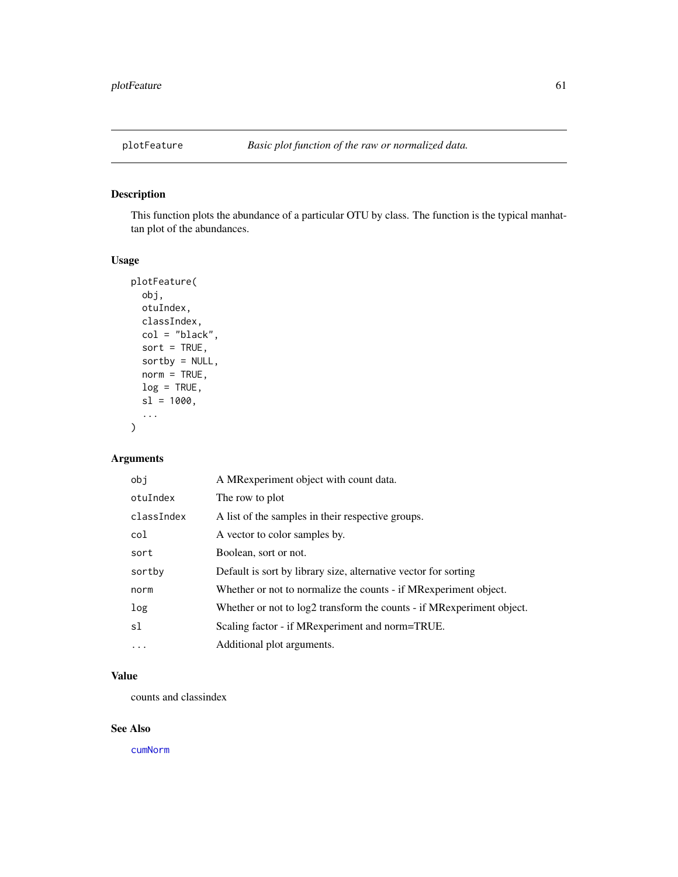This function plots the abundance of a particular OTU by class. The function is the typical manhattan plot of the abundances.

#### Usage

```
plotFeature(
 obj,
 otuIndex,
 classIndex,
 col = "black",
  sort = TRUE,sortby = NULL,
 norm = TRUE,log = TRUE,sl = 1000,...
)
```
# Arguments

| obi        | A MRexperiment object with count data.                                |
|------------|-----------------------------------------------------------------------|
| otuIndex   | The row to plot                                                       |
| classIndex | A list of the samples in their respective groups.                     |
| col        | A vector to color samples by.                                         |
| sort       | Boolean, sort or not.                                                 |
| sortby     | Default is sort by library size, alternative vector for sorting       |
| norm       | Whether or not to normalize the counts - if MR experiment object.     |
| log        | Whether or not to log2 transform the counts - if MRexperiment object. |
| s1         | Scaling factor - if MRexperiment and norm=TRUE.                       |
| $\cdots$   | Additional plot arguments.                                            |

# Value

counts and classindex

## See Also

[cumNorm](#page-12-0)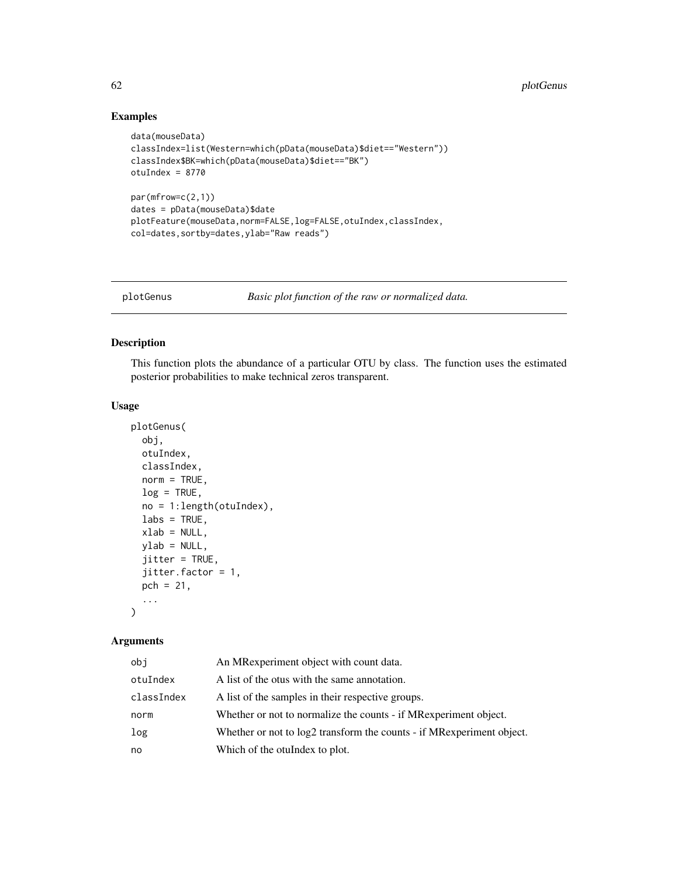# Examples

```
data(mouseData)
classIndex=list(Western=which(pData(mouseData)$diet=="Western"))
classIndex$BK=which(pData(mouseData)$diet=="BK")
otuIndex = 8770
par(mfrow=c(2,1))
dates = pData(mouseData)$date
plotFeature(mouseData,norm=FALSE,log=FALSE,otuIndex,classIndex,
col=dates,sortby=dates,ylab="Raw reads")
```
<span id="page-61-0"></span>plotGenus *Basic plot function of the raw or normalized data.*

## Description

This function plots the abundance of a particular OTU by class. The function uses the estimated posterior probabilities to make technical zeros transparent.

#### Usage

```
plotGenus(
  obj,
  otuIndex,
  classIndex,
  norm = TRUE,log = TRUE,no = 1:length(otuIndex),
  \text{labels} = \text{TRUE},
  xlab = NULL,ylab = NULL,
  jitter = TRUE,
  jitter.factor = 1,
  pch = 21,
  ...
\mathcal{L}
```
# Arguments

| obj        | An MRexperiment object with count data.                               |
|------------|-----------------------------------------------------------------------|
| otuIndex   | A list of the otus with the same annotation.                          |
| classIndex | A list of the samples in their respective groups.                     |
| norm       | Whether or not to normalize the counts - if MRexperiment object.      |
| log        | Whether or not to log2 transform the counts - if MRexperiment object. |
| no         | Which of the otuIndex to plot.                                        |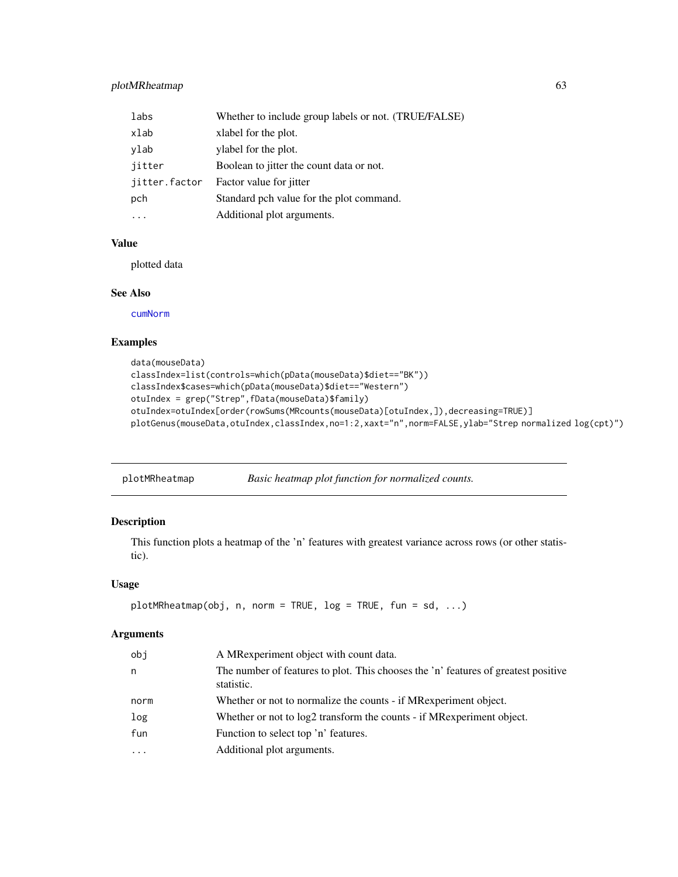# plotMRheatmap 63

| labs          | Whether to include group labels or not. (TRUE/FALSE) |
|---------------|------------------------------------------------------|
| xlab          | xlabel for the plot.                                 |
| ylab          | ylabel for the plot.                                 |
| jitter        | Boolean to jitter the count data or not.             |
| jitter.factor | Factor value for jitter                              |
| pch           | Standard pch value for the plot command.             |
|               | Additional plot arguments.                           |

# Value

plotted data

#### See Also

[cumNorm](#page-12-0)

# Examples

```
data(mouseData)
classIndex=list(controls=which(pData(mouseData)$diet=="BK"))
classIndex$cases=which(pData(mouseData)$diet=="Western")
otuIndex = grep("Strep",fData(mouseData)$family)
otuIndex=otuIndex[order(rowSums(MRcounts(mouseData)[otuIndex,]),decreasing=TRUE)]
plotGenus(mouseData,otuIndex,classIndex,no=1:2,xaxt="n",norm=FALSE,ylab="Strep normalized log(cpt)")
```
<span id="page-62-0"></span>

| plotMRheatmap | Basic heatmap plot function for normalized counts. |  |
|---------------|----------------------------------------------------|--|
|               |                                                    |  |

# Description

This function plots a heatmap of the 'n' features with greatest variance across rows (or other statistic).

# Usage

```
plotMRheatmap(obj, n, norm = TRUE, log = TRUE, fun = sd, ...)
```
# Arguments

| obj       | A MRexperiment object with count data.                                                           |
|-----------|--------------------------------------------------------------------------------------------------|
| n         | The number of features to plot. This chooses the 'n' features of greatest positive<br>statistic. |
| norm      | Whether or not to normalize the counts - if MR experiment object.                                |
| log       | Whether or not to log2 transform the counts - if MRexperiment object.                            |
| fun       | Function to select top 'n' features.                                                             |
| $\ddotsc$ | Additional plot arguments.                                                                       |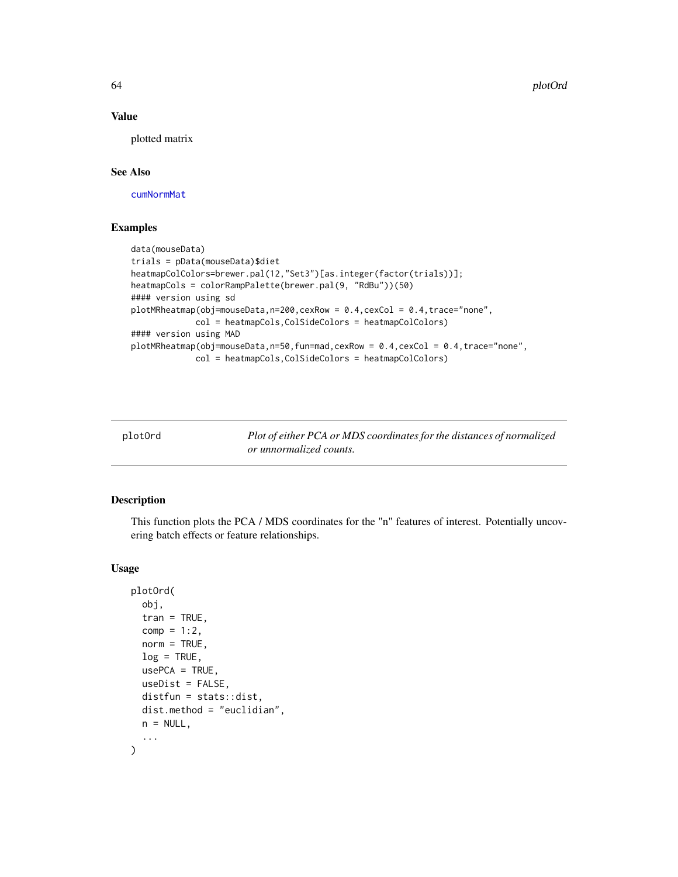### Value

plotted matrix

# See Also

[cumNormMat](#page-13-1)

### Examples

```
data(mouseData)
trials = pData(mouseData)$diet
heatmapColColors=brewer.pal(12,"Set3")[as.integer(factor(trials))];
heatmapCols = colorRampPalette(brewer.pal(9, "RdBu"))(50)
#### version using sd
plotMRheatmap(obj=mouseData,n=200,cexRow = 0.4,cexCol = 0.4,trace="none",
             col = heatmapCols,ColSideColors = heatmapColColors)
#### version using MAD
plotMRheatmap(obj=mouseData,n=50,fun=mad,cexRow = 0.4,cexCol = 0.4,trace="none",
             col = heatmapCols,ColSideColors = heatmapColColors)
```
<span id="page-63-0"></span>plotOrd *Plot of either PCA or MDS coordinates for the distances of normalized or unnormalized counts.*

# Description

This function plots the PCA / MDS coordinates for the "n" features of interest. Potentially uncovering batch effects or feature relationships.

### Usage

```
plotOrd(
 obj,
  tran = TRUE,comp = 1:2,norm = TRUE,log = TRUE,usePCA = TRUE,
 useDist = FALSE,distfun = stats::dist,
 dist.method = "euclidian",
 n = NULL,...
)
```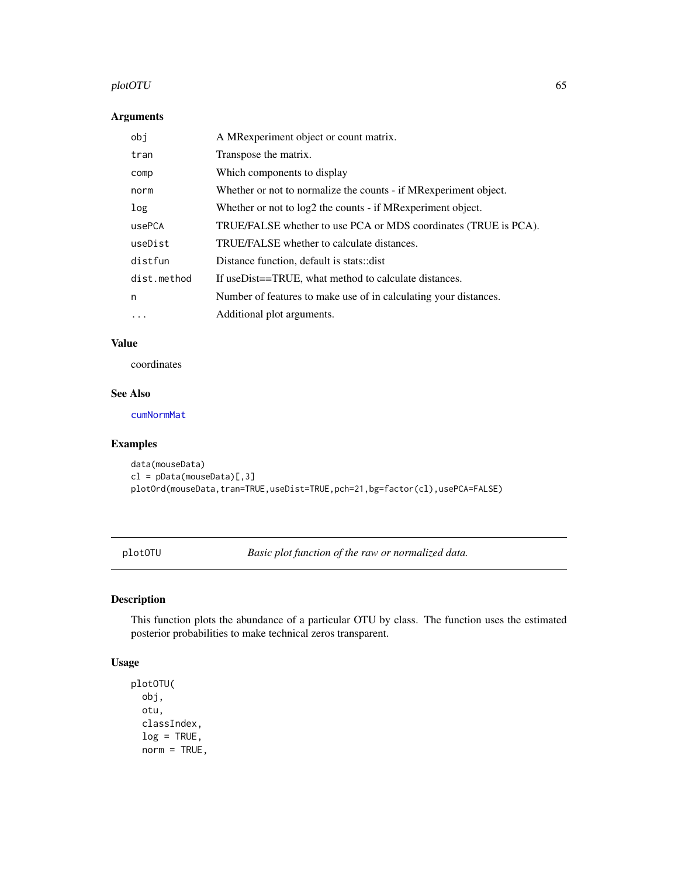#### plotOTU 65

### Arguments

| obj         | A MRexperiment object or count matrix.                            |
|-------------|-------------------------------------------------------------------|
| tran        | Transpose the matrix.                                             |
| comp        | Which components to display                                       |
| norm        | Whether or not to normalize the counts - if MR experiment object. |
| log         | Whether or not to $log2$ the counts - if MR experiment object.    |
| usePCA      | TRUE/FALSE whether to use PCA or MDS coordinates (TRUE is PCA).   |
| useDist     | TRUE/FALSE whether to calculate distances.                        |
| distfun     | Distance function, default is stats::dist                         |
| dist.method | If useDist==TRUE, what method to calculate distances.             |
| n           | Number of features to make use of in calculating your distances.  |
| .           | Additional plot arguments.                                        |

# Value

coordinates

### See Also

[cumNormMat](#page-13-1)

# Examples

```
data(mouseData)
cl = pData(mouseData)[, 3]plotOrd(mouseData,tran=TRUE,useDist=TRUE,pch=21,bg=factor(cl),usePCA=FALSE)
```
<span id="page-64-0"></span>plotOTU *Basic plot function of the raw or normalized data.*

# Description

This function plots the abundance of a particular OTU by class. The function uses the estimated posterior probabilities to make technical zeros transparent.

# Usage

```
plotOTU(
  obj,
  otu,
  classIndex,
  log = TRUE,norm = TRUE,
```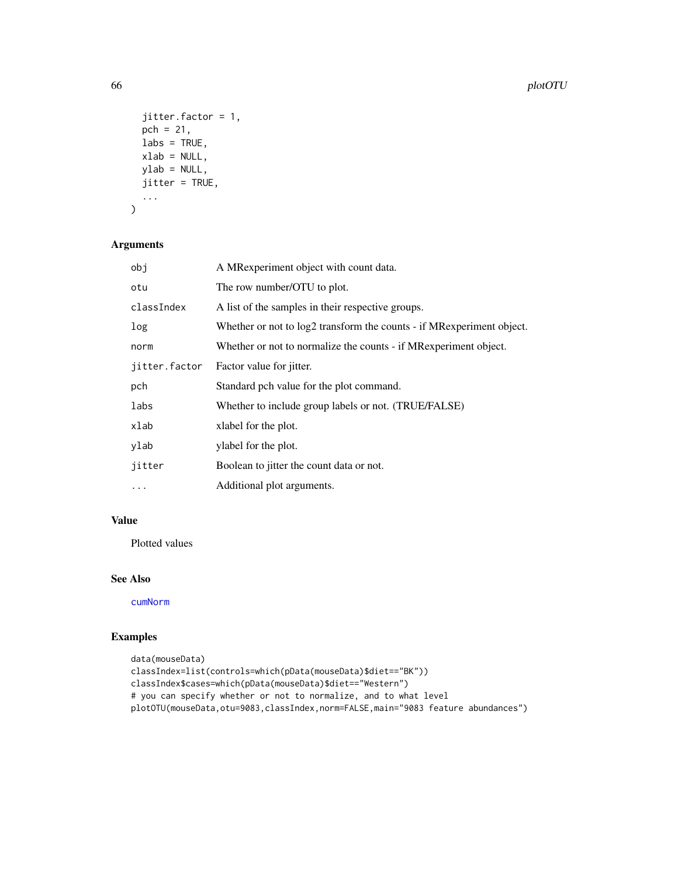#### 66 plotOTU

```
jitter.factor = 1,
  pch = 21,
  \text{labels} = \text{TRUE},
  xlab = NULL,ylab = NULL,
  jitter = TRUE,
   ...
\mathcal{L}
```
# Arguments

| obj           | A MRexperiment object with count data.                                |
|---------------|-----------------------------------------------------------------------|
| otu           | The row number/OTU to plot.                                           |
| classIndex    | A list of the samples in their respective groups.                     |
| log           | Whether or not to log2 transform the counts - if MRexperiment object. |
| norm          | Whether or not to normalize the counts - if MR experiment object.     |
| jitter.factor | Factor value for jitter.                                              |
| pch           | Standard pch value for the plot command.                              |
| labs          | Whether to include group labels or not. (TRUE/FALSE)                  |
| xlab          | xlabel for the plot.                                                  |
| ylab          | ylabel for the plot.                                                  |
| jitter        | Boolean to jitter the count data or not.                              |
| $\cdots$      | Additional plot arguments.                                            |

## Value

Plotted values

# See Also

[cumNorm](#page-12-0)

```
data(mouseData)
classIndex=list(controls=which(pData(mouseData)$diet=="BK"))
classIndex$cases=which(pData(mouseData)$diet=="Western")
# you can specify whether or not to normalize, and to what level
plotOTU(mouseData,otu=9083,classIndex,norm=FALSE,main="9083 feature abundances")
```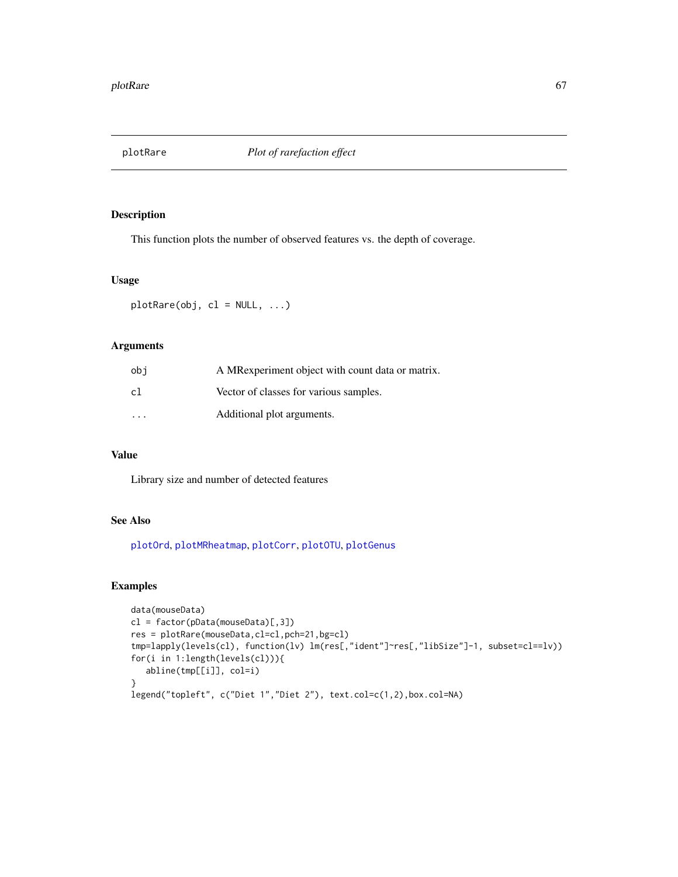This function plots the number of observed features vs. the depth of coverage.

### Usage

 $plotRare(obj, cl = NULL, ...)$ 

#### Arguments

| obi | A MRexperiment object with count data or matrix. |
|-----|--------------------------------------------------|
| cl  | Vector of classes for various samples.           |
| .   | Additional plot arguments.                       |

### Value

Library size and number of detected features

# See Also

[plotOrd](#page-63-0), [plotMRheatmap](#page-62-0), [plotCorr](#page-59-0), [plotOTU](#page-64-0), [plotGenus](#page-61-0)

```
data(mouseData)
cl = factor(pData(mouseData)[,3])
res = plotRare(mouseData,cl=cl,pch=21,bg=cl)
tmp=lapply(levels(cl), function(lv) lm(res[,"ident"]~res[,"libSize"]-1, subset=cl==lv))
for(i in 1:length(levels(cl))){
   abline(tmp[[i]], col=i)
}
legend("topleft", c("Diet 1","Diet 2"), text.col=c(1,2),box.col=NA)
```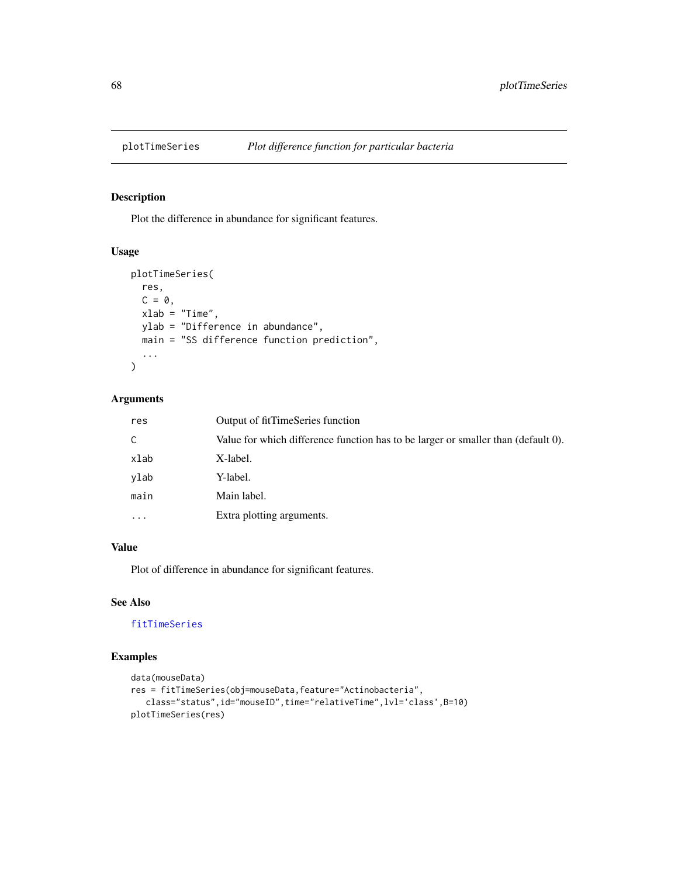Plot the difference in abundance for significant features.

### Usage

```
plotTimeSeries(
  res,
  C = \emptyset,
  xlab = "Time",
  ylab = "Difference in abundance",
  main = "SS difference function prediction",
  ...
\mathcal{L}
```
# Arguments

| res       | Output of fitTimeSeries function                                                  |
|-----------|-----------------------------------------------------------------------------------|
| C         | Value for which difference function has to be larger or smaller than (default 0). |
| xlab      | X-label.                                                                          |
| ylab      | Y-label.                                                                          |
| main      | Main label.                                                                       |
| $\ddotsc$ | Extra plotting arguments.                                                         |

# Value

Plot of difference in abundance for significant features.

## See Also

[fitTimeSeries](#page-28-0)

```
data(mouseData)
res = fitTimeSeries(obj=mouseData,feature="Actinobacteria",
  class="status",id="mouseID",time="relativeTime",lvl='class',B=10)
plotTimeSeries(res)
```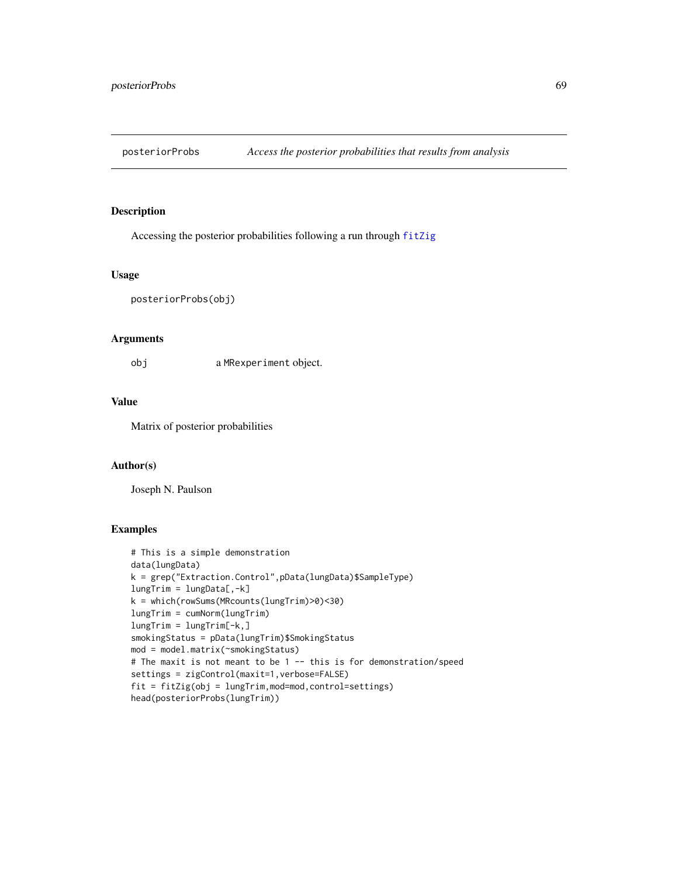<span id="page-68-0"></span>posteriorProbs *Access the posterior probabilities that results from analysis*

## Description

Accessing the posterior probabilities following a run through [fitZig](#page-31-0)

#### Usage

posteriorProbs(obj)

### Arguments

obj a MRexperiment object.

# Value

Matrix of posterior probabilities

## Author(s)

Joseph N. Paulson

```
# This is a simple demonstration
data(lungData)
k = grep("Extraction.Control",pData(lungData)$SampleType)
lungTrim = lungData[,-k]
k = which(rowSums(MRcounts(lungTrim)>0)<30)
lungTrim = cumNorm(lungTrim)
lungTrim = lungTrim[-k, ]smokingStatus = pData(lungTrim)$SmokingStatus
mod = model.matrix(~smokingStatus)
# The maxit is not meant to be 1 -- this is for demonstration/speed
settings = zigControl(maxit=1,verbose=FALSE)
fit = fitZig(obj = lungTrim,mod=mod,control=settings)
head(posteriorProbs(lungTrim))
```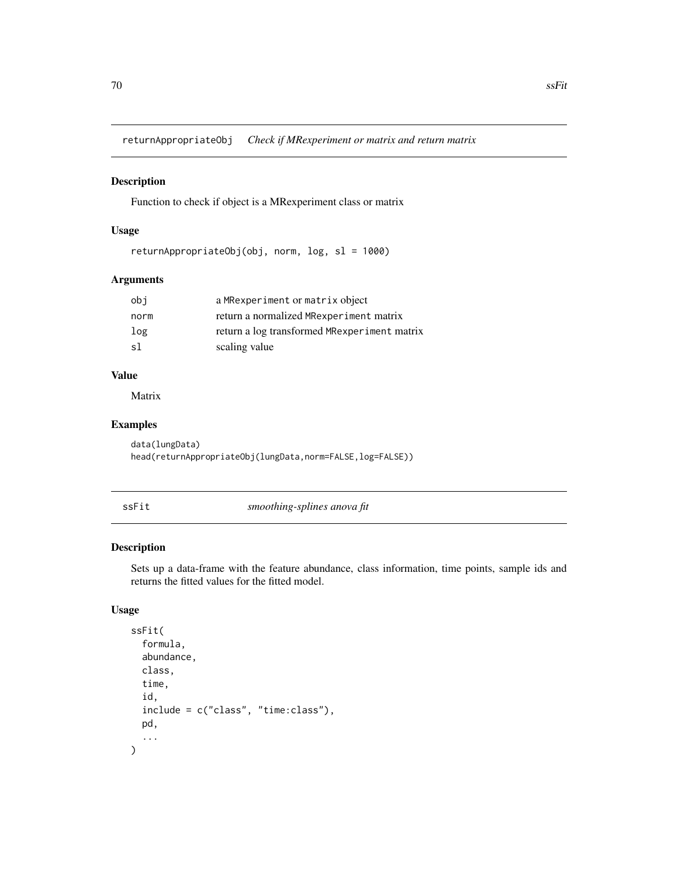returnAppropriateObj *Check if MRexperiment or matrix and return matrix*

# Description

Function to check if object is a MRexperiment class or matrix

# Usage

```
returnAppropriateObj(obj, norm, log, sl = 1000)
```
# Arguments

| obi  | a MRexperiment or matrix object              |
|------|----------------------------------------------|
| norm | return a normalized MRexperiment matrix      |
| log  | return a log transformed MRexperiment matrix |
| s1   | scaling value                                |

# Value

Matrix

### Examples

data(lungData) head(returnAppropriateObj(lungData,norm=FALSE,log=FALSE))

<span id="page-69-0"></span>ssFit *smoothing-splines anova fit*

# Description

Sets up a data-frame with the feature abundance, class information, time points, sample ids and returns the fitted values for the fitted model.

# Usage

```
ssFit(
  formula,
 abundance,
 class,
  time,
  id,
  include = c("class", "time:class"),
 pd,
  ...
)
```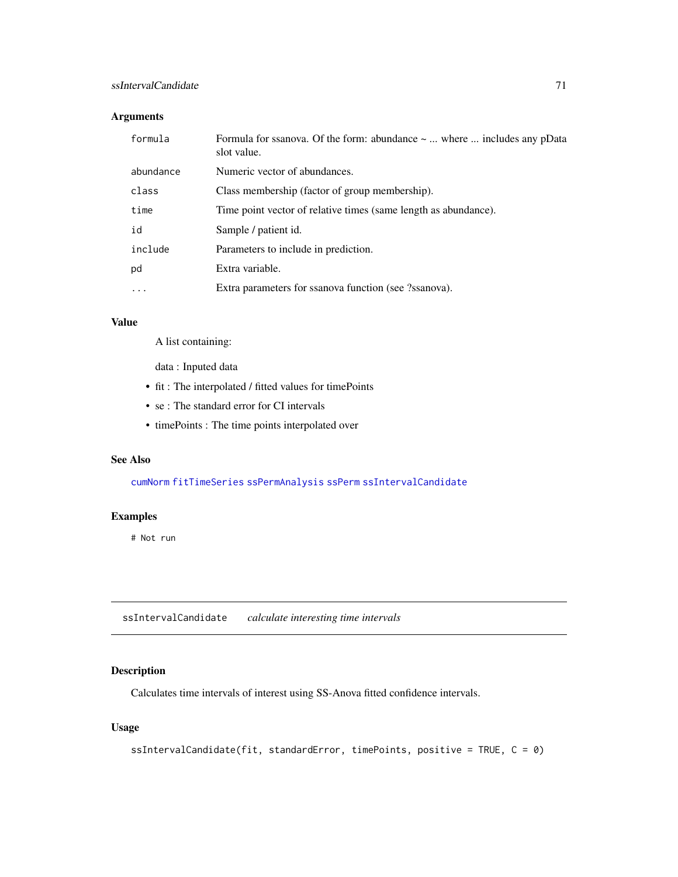# Arguments

| formula   | Formula for ssanova. Of the form: abundance $\sim$ where  includes any pData<br>slot value. |
|-----------|---------------------------------------------------------------------------------------------|
| abundance | Numeric vector of abundances.                                                               |
| class     | Class membership (factor of group membership).                                              |
| time      | Time point vector of relative times (same length as abundance).                             |
| id        | Sample / patient id.                                                                        |
| include   | Parameters to include in prediction.                                                        |
| pd        | Extra variable.                                                                             |
| $\cdots$  | Extra parameters for ssanova function (see ?ssanova).                                       |

### Value

A list containing:

data : Inputed data

- fit : The interpolated / fitted values for timePoints
- se : The standard error for CI intervals
- timePoints : The time points interpolated over

### See Also

[cumNorm](#page-12-0) [fitTimeSeries](#page-28-0) [ssPermAnalysis](#page-72-0) [ssPerm](#page-71-0) [ssIntervalCandidate](#page-70-0)

# Examples

# Not run

<span id="page-70-0"></span>ssIntervalCandidate *calculate interesting time intervals*

## Description

Calculates time intervals of interest using SS-Anova fitted confidence intervals.

## Usage

```
ssIntervalCandidate(fit, standardError, timePoints, positive = TRUE, C = 0)
```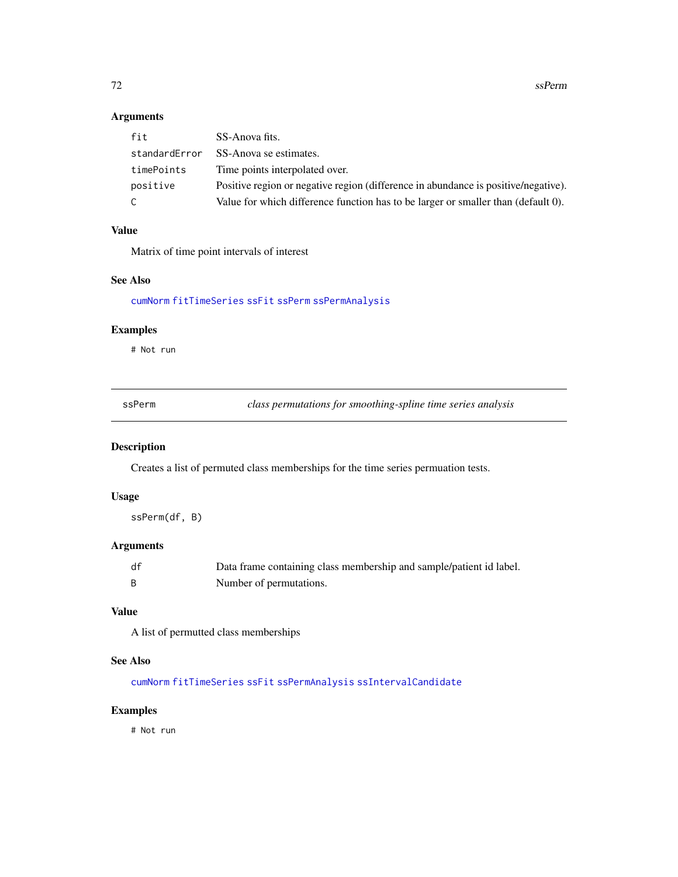72 ssPerm

## Arguments

| fit           | SS-Anova fits.                                                                     |
|---------------|------------------------------------------------------------------------------------|
| standardError | SS-Anova se estimates.                                                             |
| timePoints    | Time points interpolated over.                                                     |
| positive      | Positive region or negative region (difference in abundance is positive/negative). |
| C.            | Value for which difference function has to be larger or smaller than (default 0).  |

# Value

Matrix of time point intervals of interest

# See Also

[cumNorm](#page-12-0) [fitTimeSeries](#page-28-0) [ssFit](#page-69-0) [ssPerm](#page-71-0) [ssPermAnalysis](#page-72-0)

# Examples

# Not run

<span id="page-71-0"></span>ssPerm *class permutations for smoothing-spline time series analysis*

# Description

Creates a list of permuted class memberships for the time series permuation tests.

## Usage

ssPerm(df, B)

# Arguments

| df  | Data frame containing class membership and sample/patient id label. |
|-----|---------------------------------------------------------------------|
| - B | Number of permutations.                                             |

# Value

A list of permutted class memberships

## See Also

[cumNorm](#page-12-0) [fitTimeSeries](#page-28-0) [ssFit](#page-69-0) [ssPermAnalysis](#page-72-0) [ssIntervalCandidate](#page-70-0)

## Examples

# Not run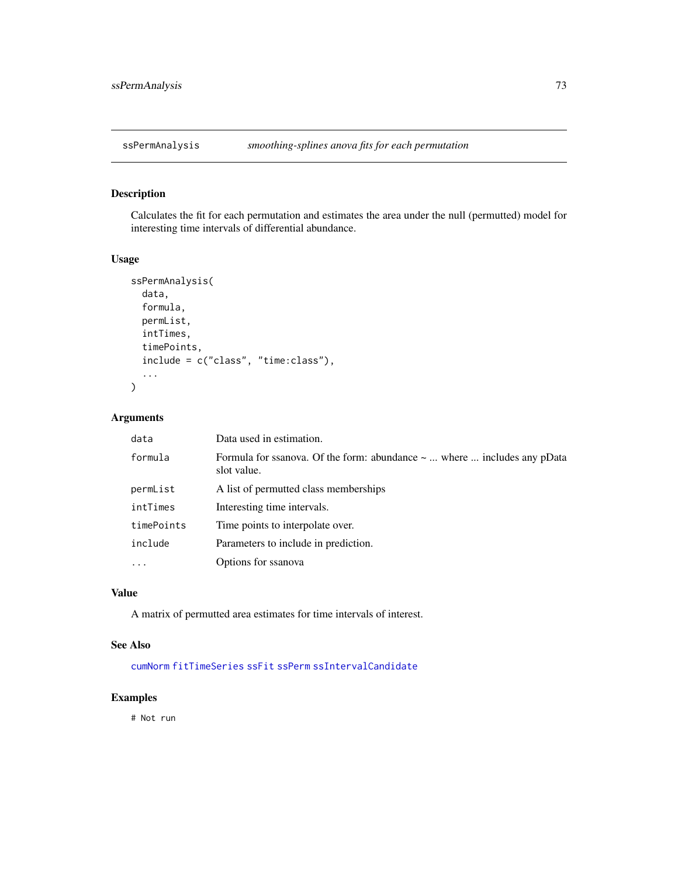<span id="page-72-0"></span>

# Description

Calculates the fit for each permutation and estimates the area under the null (permutted) model for interesting time intervals of differential abundance.

#### Usage

```
ssPermAnalysis(
  data,
  formula,
 permList,
  intTimes,
  timePoints,
  include = c("class", "time:class"),
  ...
)
```
#### Arguments

| data       | Data used in estimation.                                                                    |
|------------|---------------------------------------------------------------------------------------------|
| formula    | Formula for ssanova. Of the form: abundance $\sim$ where  includes any pData<br>slot value. |
| permList   | A list of permutted class memberships                                                       |
| intTimes   | Interesting time intervals.                                                                 |
| timePoints | Time points to interpolate over.                                                            |
| include    | Parameters to include in prediction.                                                        |
| .          | Options for ssanova                                                                         |
|            |                                                                                             |

# Value

A matrix of permutted area estimates for time intervals of interest.

#### See Also

[cumNorm](#page-12-0) [fitTimeSeries](#page-28-0) [ssFit](#page-69-0) [ssPerm](#page-71-0) [ssIntervalCandidate](#page-70-0)

# Examples

# Not run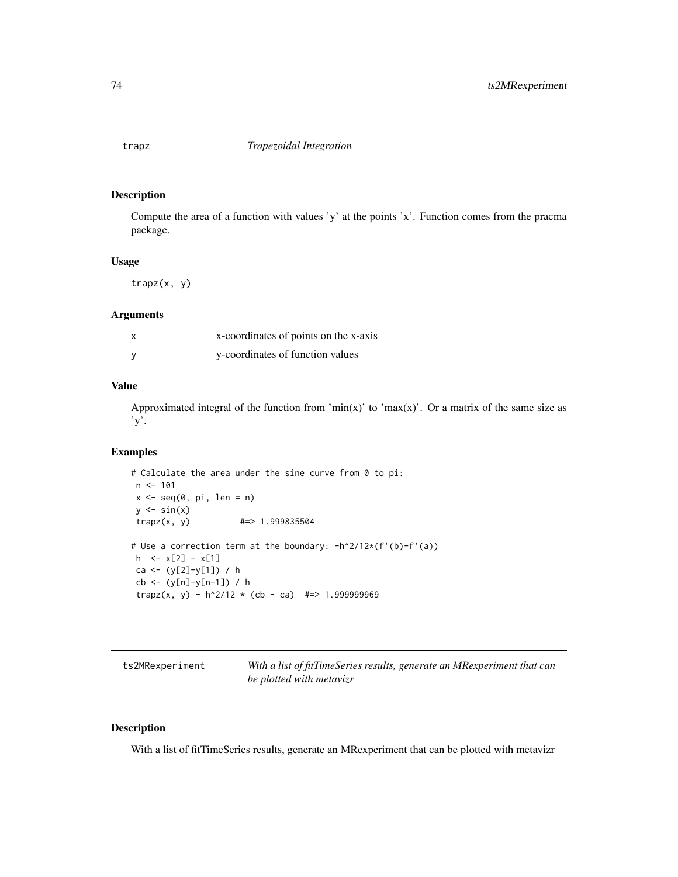<span id="page-73-0"></span>

#### Description

Compute the area of a function with values 'y' at the points 'x'. Function comes from the pracma package.

#### Usage

trapz(x, y)

#### Arguments

| $\boldsymbol{\mathsf{x}}$ | x-coordinates of points on the x-axis |
|---------------------------|---------------------------------------|
|                           | y-coordinates of function values      |

#### Value

Approximated integral of the function from 'min(x)' to 'max(x)'. Or a matrix of the same size as 'y'.

#### Examples

```
# Calculate the area under the sine curve from 0 to pi:
n < -101x \leq -\text{seq}(0, \text{pi}, \text{ len} = \text{n})y \leftarrow \sin(x)trapz(x, y) #=> 1.999835504
# Use a correction term at the boundary: -h^2/12*(f'(b)-f'(a))
h \leq x[2] - x[1]ca <- (y[2]-y[1]) / h
cb <- (y[n]-y[n-1]) / h
trapz(x, y) - h^2/12 \times (cb - ca) \quad # \Rightarrow 1.999999969
```

| ts2MRexperiment | With a list of fitTimeSeries results, generate an MRexperiment that can |
|-----------------|-------------------------------------------------------------------------|
|                 | be plotted with metavizr                                                |

# Description

With a list of fitTimeSeries results, generate an MRexperiment that can be plotted with metavizr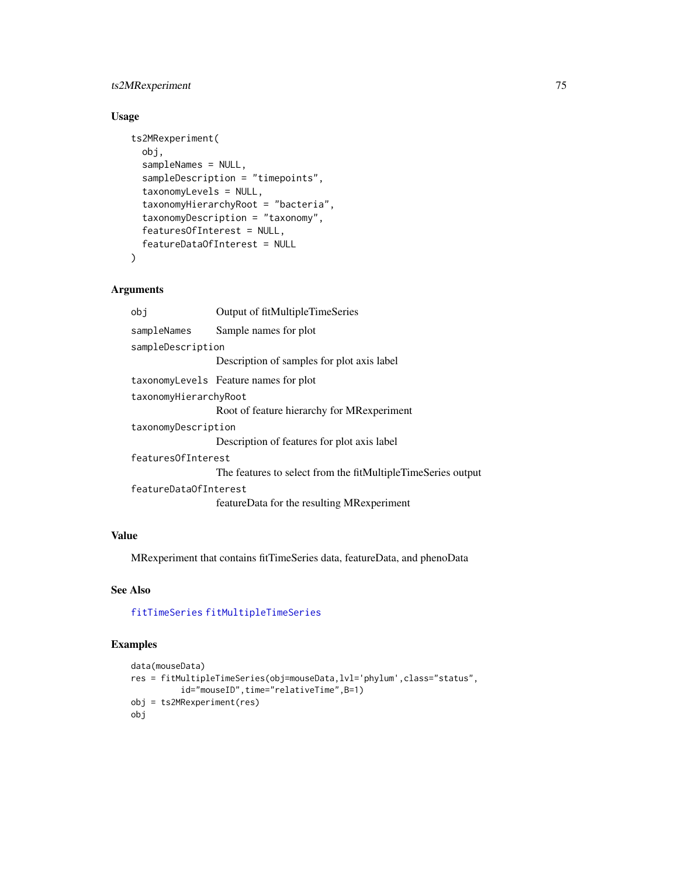# <span id="page-74-0"></span>ts2MRexperiment 75

#### Usage

```
ts2MRexperiment(
  obj,
  sampleNames = NULL,
  sampleDescription = "timepoints",
  taxonomyLevels = NULL,
  taxonomyHierarchyRoot = "bacteria",
  taxonomyDescription = "taxonomy",
  featuresOfInterest = NULL,
  featureDataOfInterest = NULL
)
```
#### Arguments

| obj                   | Output of fitMultipleTimeSeries                              |  |
|-----------------------|--------------------------------------------------------------|--|
| sampleNames           | Sample names for plot                                        |  |
| sampleDescription     |                                                              |  |
|                       | Description of samples for plot axis label                   |  |
|                       | taxonomy Levels Feature names for plot                       |  |
| taxonomyHierarchyRoot |                                                              |  |
|                       | Root of feature hierarchy for MRexperiment                   |  |
| taxonomyDescription   |                                                              |  |
|                       | Description of features for plot axis label                  |  |
| features0fInterest    |                                                              |  |
|                       | The features to select from the fitMultipleTimeSeries output |  |
| featureDataOfInterest |                                                              |  |
|                       | featureData for the resulting MRexperiment                   |  |

# Value

MRexperiment that contains fitTimeSeries data, featureData, and phenoData

#### See Also

[fitTimeSeries](#page-28-0) [fitMultipleTimeSeries](#page-25-0)

# Examples

```
data(mouseData)
res = fitMultipleTimeSeries(obj=mouseData,lvl='phylum',class="status",
         id="mouseID",time="relativeTime",B=1)
obj = ts2MRexperiment(res)
obj
```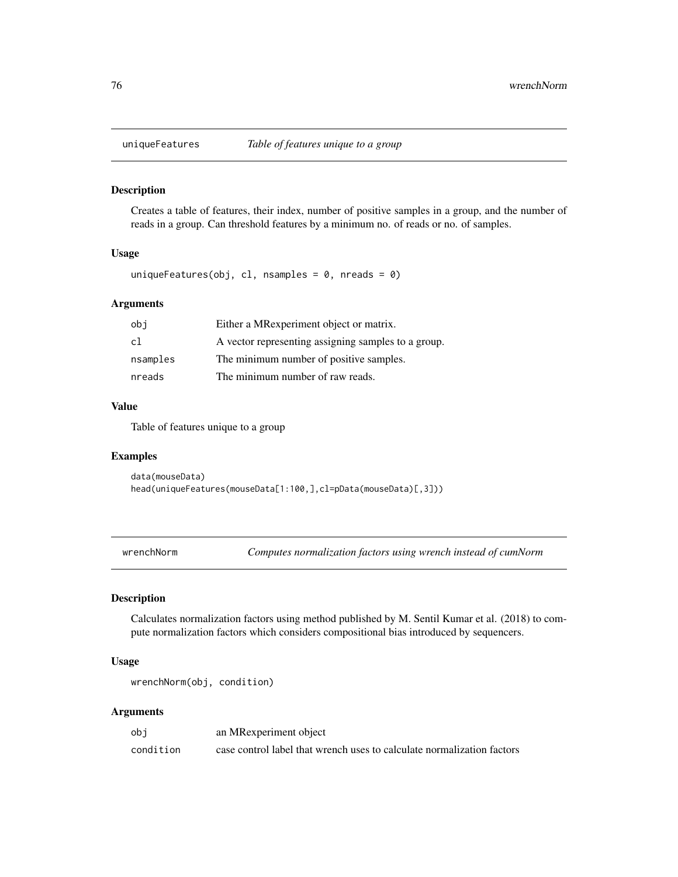<span id="page-75-0"></span>

#### Description

Creates a table of features, their index, number of positive samples in a group, and the number of reads in a group. Can threshold features by a minimum no. of reads or no. of samples.

#### Usage

uniqueFeatures(obj, cl, nsamples =  $0$ , nreads =  $0$ )

#### Arguments

| obj      | Either a MRexperiment object or matrix.             |
|----------|-----------------------------------------------------|
| -c1      | A vector representing assigning samples to a group. |
| nsamples | The minimum number of positive samples.             |
| nreads   | The minimum number of raw reads.                    |

#### Value

Table of features unique to a group

# Examples

data(mouseData) head(uniqueFeatures(mouseData[1:100,],cl=pData(mouseData)[,3]))

wrenchNorm *Computes normalization factors using wrench instead of cumNorm*

# Description

Calculates normalization factors using method published by M. Sentil Kumar et al. (2018) to compute normalization factors which considers compositional bias introduced by sequencers.

#### Usage

```
wrenchNorm(obj, condition)
```
# Arguments

| obj       | an MRexperiment object                                                 |
|-----------|------------------------------------------------------------------------|
| condition | case control label that wrench uses to calculate normalization factors |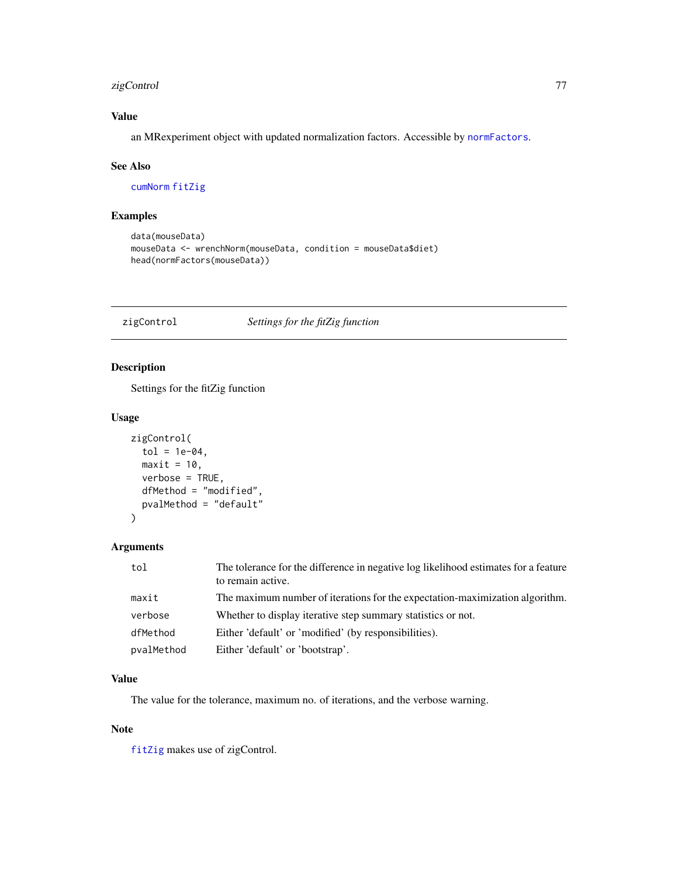# <span id="page-76-0"></span>zigControl 77

# Value

an MRexperiment object with updated normalization factors. Accessible by [normFactors](#page-55-0).

#### See Also

[cumNorm](#page-12-0) [fitZig](#page-31-0)

#### Examples

```
data(mouseData)
mouseData <- wrenchNorm(mouseData, condition = mouseData$diet)
head(normFactors(mouseData))
```
# zigControl *Settings for the fitZig function*

#### Description

Settings for the fitZig function

#### Usage

```
zigControl(
  tol = 1e-04,maxit = 10,
  verbose = TRUE,
  dfMethod = "modified",
  pvalMethod = "default"
\mathcal{L}
```
# Arguments

| tol        | The tolerance for the difference in negative log likelihood estimates for a feature<br>to remain active. |
|------------|----------------------------------------------------------------------------------------------------------|
| maxit      | The maximum number of iterations for the expectation-maximization algorithm.                             |
| verbose    | Whether to display iterative step summary statistics or not.                                             |
| dfMethod   | Either 'default' or 'modified' (by responsibilities).                                                    |
| pvalMethod | Either 'default' or 'bootstrap'.                                                                         |

# Value

The value for the tolerance, maximum no. of iterations, and the verbose warning.

#### Note

[fitZig](#page-31-0) makes use of zigControl.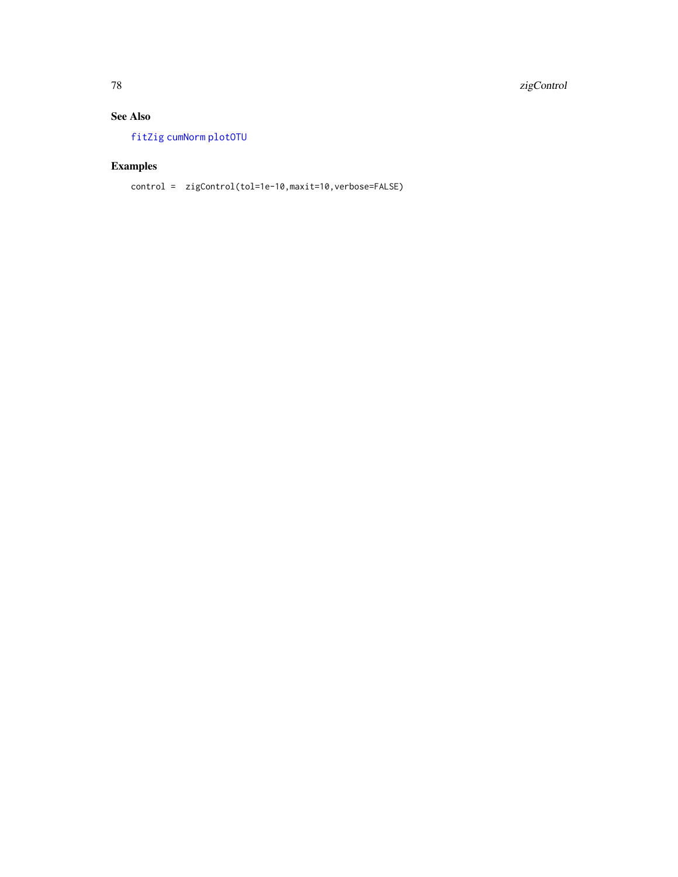<span id="page-77-0"></span>78 zigControl

# See Also

[fitZig](#page-31-0) [cumNorm](#page-12-0) [plotOTU](#page-64-0)

# Examples

control = zigControl(tol=1e-10,maxit=10,verbose=FALSE)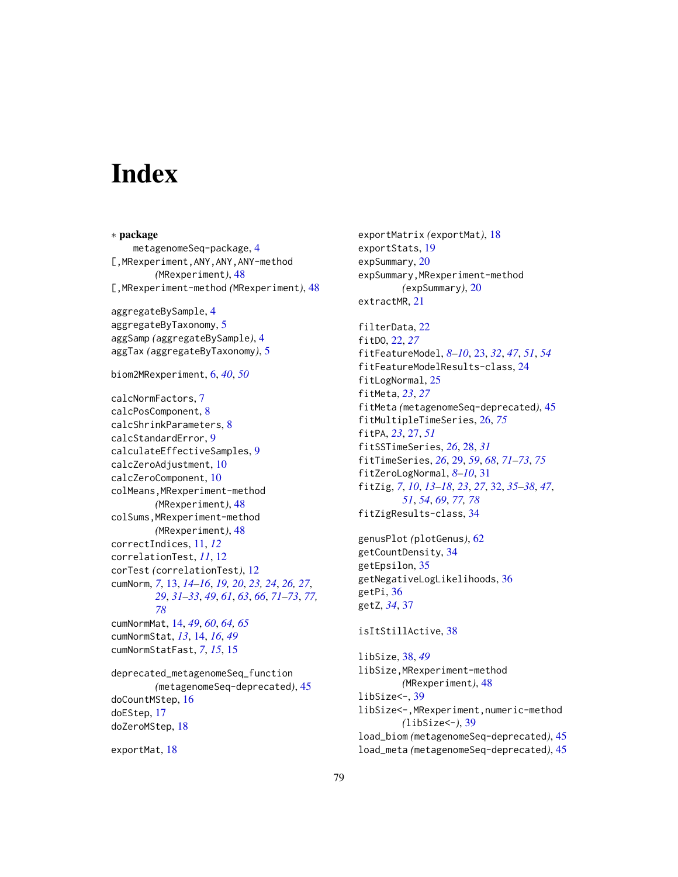# **Index**

∗ package metagenomeSeq-package, [4](#page-3-0) [,MRexperiment,ANY,ANY,ANY-method *(*MRexperiment*)*, [48](#page-47-0) [,MRexperiment-method *(*MRexperiment*)*, [48](#page-47-0) aggregateBySample, [4](#page-3-0) aggregateByTaxonomy, [5](#page-4-0) aggSamp *(*aggregateBySample*)*, [4](#page-3-0) aggTax *(*aggregateByTaxonomy*)*, [5](#page-4-0) biom2MRexperiment, [6,](#page-5-0) *[40](#page-39-0)*, *[50](#page-49-0)* calcNormFactors, [7](#page-6-0) calcPosComponent, [8](#page-7-0) calcShrinkParameters, [8](#page-7-0) calcStandardError, [9](#page-8-0) calculateEffectiveSamples, [9](#page-8-0) calcZeroAdjustment, [10](#page-9-0) calcZeroComponent, [10](#page-9-0) colMeans,MRexperiment-method *(*MRexperiment*)*, [48](#page-47-0) colSums,MRexperiment-method *(*MRexperiment*)*, [48](#page-47-0) correctIndices, [11,](#page-10-0) *[12](#page-11-0)* correlationTest, *[11](#page-10-0)*, [12](#page-11-0) corTest *(*correlationTest*)*, [12](#page-11-0) cumNorm, *[7](#page-6-0)*, [13,](#page-12-1) *[14](#page-13-0)[–16](#page-15-0)*, *[19,](#page-18-0) [20](#page-19-0)*, *[23,](#page-22-0) [24](#page-23-0)*, *[26,](#page-25-1) [27](#page-26-0)*, *[29](#page-28-1)*, *[31](#page-30-0)[–33](#page-32-0)*, *[49](#page-48-0)*, *[61](#page-60-0)*, *[63](#page-62-0)*, *[66](#page-65-0)*, *[71–](#page-70-1)[73](#page-72-0)*, *[77,](#page-76-0) [78](#page-77-0)* cumNormMat, [14,](#page-13-0) *[49](#page-48-0)*, *[60](#page-59-0)*, *[64,](#page-63-0) [65](#page-64-1)* cumNormStat, *[13](#page-12-1)*, [14,](#page-13-0) *[16](#page-15-0)*, *[49](#page-48-0)* cumNormStatFast, *[7](#page-6-0)*, *[15](#page-14-0)*, [15](#page-14-0) deprecated\_metagenomeSeq\_function *(*metagenomeSeq-deprecated*)*, [45](#page-44-0) doCountMStep, [16](#page-15-0) doEStep, [17](#page-16-0) doZeroMStep, [18](#page-17-0) exportMat, [18](#page-17-0)

exportMatrix *(*exportMat*)*, [18](#page-17-0) exportStats, [19](#page-18-0) expSummary, [20](#page-19-0) expSummary,MRexperiment-method *(*expSummary*)*, [20](#page-19-0) extractMR, [21](#page-20-0)

filterData, [22](#page-21-0) fitDO, [22,](#page-21-0) *[27](#page-26-0)* fitFeatureModel, *[8](#page-7-0)[–10](#page-9-0)*, [23,](#page-22-0) *[32](#page-31-1)*, *[47](#page-46-0)*, *[51](#page-50-0)*, *[54](#page-53-0)* fitFeatureModelResults-class, [24](#page-23-0) fitLogNormal, [25](#page-24-0) fitMeta, *[23](#page-22-0)*, *[27](#page-26-0)* fitMeta *(*metagenomeSeq-deprecated*)*, [45](#page-44-0) fitMultipleTimeSeries, [26,](#page-25-1) *[75](#page-74-0)* fitPA, *[23](#page-22-0)*, [27,](#page-26-0) *[51](#page-50-0)* fitSSTimeSeries, *[26](#page-25-1)*, [28,](#page-27-0) *[31](#page-30-0)* fitTimeSeries, *[26](#page-25-1)*, [29,](#page-28-1) *[59](#page-58-0)*, *[68](#page-67-0)*, *[71](#page-70-1)[–73](#page-72-0)*, *[75](#page-74-0)* fitZeroLogNormal, *[8](#page-7-0)[–10](#page-9-0)*, [31](#page-30-0) fitZig, *[7](#page-6-0)*, *[10](#page-9-0)*, *[13](#page-12-1)[–18](#page-17-0)*, *[23](#page-22-0)*, *[27](#page-26-0)*, [32,](#page-31-1) *[35](#page-34-0)[–38](#page-37-0)*, *[47](#page-46-0)*, *[51](#page-50-0)*, *[54](#page-53-0)*, *[69](#page-68-0)*, *[77,](#page-76-0) [78](#page-77-0)* fitZigResults-class, [34](#page-33-0)

genusPlot *(*plotGenus*)*, [62](#page-61-0) getCountDensity, [34](#page-33-0) getEpsilon, [35](#page-34-0) getNegativeLogLikelihoods, [36](#page-35-0) getPi, [36](#page-35-0) getZ, *[34](#page-33-0)*, [37](#page-36-0)

#### isItStillActive, [38](#page-37-0)

libSize, [38,](#page-37-0) *[49](#page-48-0)* libSize,MRexperiment-method *(*MRexperiment*)*, [48](#page-47-0) libSize<-, [39](#page-38-0) libSize<-,MRexperiment,numeric-method *(*libSize<-*)*, [39](#page-38-0) load\_biom *(*metagenomeSeq-deprecated*)*, [45](#page-44-0) load\_meta *(*metagenomeSeq-deprecated*)*, [45](#page-44-0)